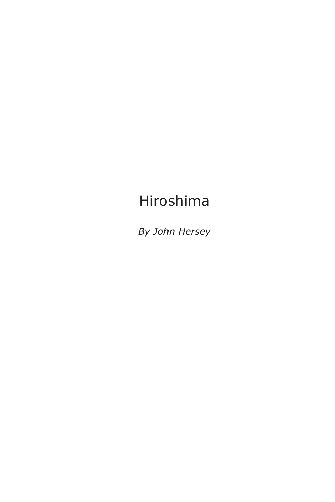# Hiroshima

*By John Hersey*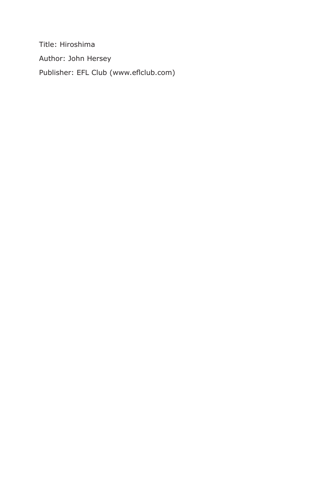Title: Hiroshima Author: John Hersey Publisher: EFL Club (www.eflclub.com)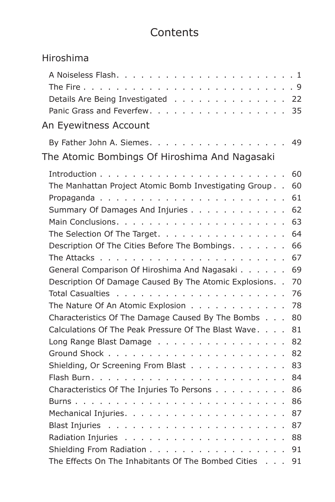# **Contents**

| Hiroshima                                                                                                                                                                                                                                                                                                                                                                                                                                                                                                          |                                                                                                    |
|--------------------------------------------------------------------------------------------------------------------------------------------------------------------------------------------------------------------------------------------------------------------------------------------------------------------------------------------------------------------------------------------------------------------------------------------------------------------------------------------------------------------|----------------------------------------------------------------------------------------------------|
| Details Are Being Investigated 22<br>Panic Grass and Feverfew. 35                                                                                                                                                                                                                                                                                                                                                                                                                                                  |                                                                                                    |
| An Eyewitness Account                                                                                                                                                                                                                                                                                                                                                                                                                                                                                              |                                                                                                    |
| By Father John A. Siemes.                                                                                                                                                                                                                                                                                                                                                                                                                                                                                          | 49                                                                                                 |
| The Atomic Bombings Of Hiroshima And Nagasaki                                                                                                                                                                                                                                                                                                                                                                                                                                                                      |                                                                                                    |
| The Manhattan Project Atomic Bomb Investigating Group<br>Summary Of Damages And Injuries<br>The Selection Of The Target.<br>Description Of The Cities Before The Bombings.<br>General Comparison Of Hiroshima And Nagasaki<br>Description Of Damage Caused By The Atomic Explosions. .<br>The Nature Of An Atomic Explosion $\ldots$<br>Characteristics Of The Damage Caused By The Bombs<br>Calculations Of The Peak Pressure Of The Blast Wave.<br>Long Range Blast Damage<br>Shielding, Or Screening From Blast | 60<br>60<br>61<br>62<br>63<br>64<br>66<br>67<br>69<br>70<br>76<br>78<br>80<br>81<br>82<br>82<br>83 |
|                                                                                                                                                                                                                                                                                                                                                                                                                                                                                                                    | 84                                                                                                 |
| Characteristics Of The Injuries To Persons                                                                                                                                                                                                                                                                                                                                                                                                                                                                         | 86<br>86                                                                                           |
|                                                                                                                                                                                                                                                                                                                                                                                                                                                                                                                    | 87                                                                                                 |
|                                                                                                                                                                                                                                                                                                                                                                                                                                                                                                                    | 87                                                                                                 |
|                                                                                                                                                                                                                                                                                                                                                                                                                                                                                                                    | 88                                                                                                 |
| Shielding From Radiation                                                                                                                                                                                                                                                                                                                                                                                                                                                                                           | 91                                                                                                 |
| The Effects On The Inhabitants Of The Bombed Cities<br>$\mathbf{1}$ and $\mathbf{1}$                                                                                                                                                                                                                                                                                                                                                                                                                               | 91                                                                                                 |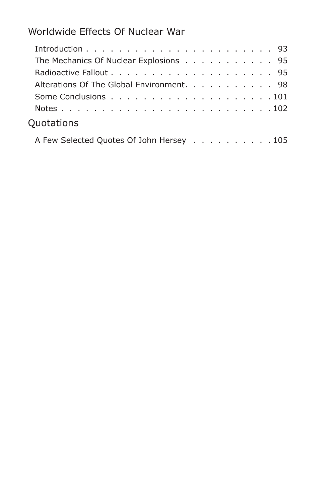## [Worldwide Effects Of Nuclear War](#page-96-0)

| The Mechanics Of Nuclear Explosions 95    |  |  |  |  |  |  |
|-------------------------------------------|--|--|--|--|--|--|
|                                           |  |  |  |  |  |  |
| Alterations Of The Global Environment. 98 |  |  |  |  |  |  |
|                                           |  |  |  |  |  |  |
|                                           |  |  |  |  |  |  |
| Quotations                                |  |  |  |  |  |  |
| A Few Selected Quotes Of John Hersey 105  |  |  |  |  |  |  |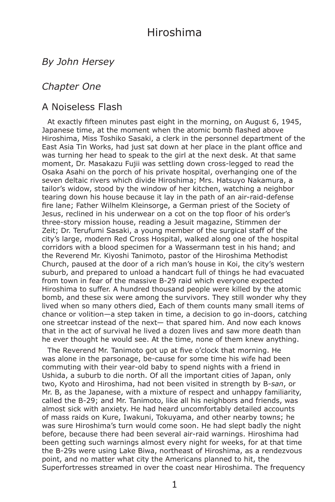### Hiroshima

<span id="page-4-0"></span>*By John Hersey*

#### *Chapter One*

#### A Noiseless Flash

At exactly fifteen minutes past eight in the morning, on August 6, 1945, Japanese time, at the moment when the atomic bomb flashed above Hiroshima, Miss Toshiko Sasaki, a clerk in the personnel department of the East Asia Tin Works, had just sat down at her place in the plant office and was turning her head to speak to the girl at the next desk. At that same moment, Dr. Masakazu Fujii was settling down cross-legged to read the Osaka Asahi on the porch of his private hospital, overhanging one of the seven deltaic rivers which divide Hiroshima; Mrs. Hatsuyo Nakamura, a tailor's widow, stood by the window of her kitchen, watching a neighbor tearing down his house because it lay in the path of an air-raid-defense fire lane; Father Wilhelm Kleinsorge, a German priest of the Society of Jesus, reclined in his underwear on a cot on the top floor of his order's three-story mission house, reading a Jesuit magazine, Stimmen der Zeit; Dr. Terufumi Sasaki, a young member of the surgical staff of the city's large, modern Red Cross Hospital, walked along one of the hospital corridors with a blood specimen for a Wassermann test in his hand; and the Reverend Mr. Kiyoshi Tanimoto, pastor of the Hiroshima Methodist Church, paused at the door of a rich man's house in Koi, the city's western suburb, and prepared to unload a handcart full of things he had evacuated from town in fear of the massive B-29 raid which everyone expected Hiroshima to suffer. A hundred thousand people were killed by the atomic bomb, and these six were among the survivors. They still wonder why they lived when so many others died, Each of them counts many small items of chance or volition—a step taken in time, a decision to go in-doors, catching one streetcar instead of the next— that spared him. And now each knows that in the act of survival he lived a dozen lives and saw more death than he ever thought he would see. At the time, none of them knew anything.

The Reverend Mr. Tanimoto got up at five o'clock that morning. He was alone in the parsonage, be-cause for some time his wife had been commuting with their year-old baby to spend nights with a friend in Ushida, a suburb to die north. Of all the important cities of Japan, only two, Kyoto and Hiroshima, had not been visited in strength by B-*san*, or Mr. B, as the Japanese, with a mixture of respect and unhappy familiarity, called the B-29; and Mr. Tanimoto, like all his neighbors and friends, was almost sick with anxiety. He had heard uncomfortably detailed accounts of mass raids on Kure, Iwakuni, Tokuyama, and other nearby towns; he was sure Hiroshima's turn would come soon. He had slept badly the night before, because there had been several air-raid warnings. Hiroshima had been getting such warnings almost every night for weeks, for at that time the B-29s were using Lake Biwa, northeast of Hiroshima, as a rendezvous point, and no matter what city the Americans planned to hit, the Superfortresses streamed in over the coast near Hiroshima. The frequency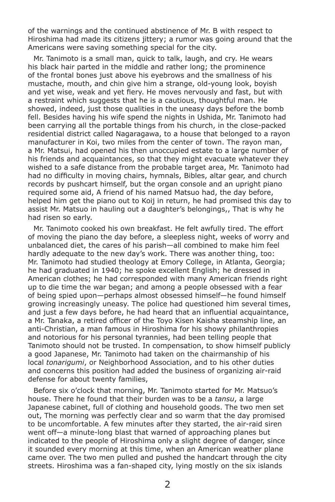of the warnings and the continued abstinence of Mr. B with respect to Hiroshima had made its citizens jittery; a rumor was going around that the Americans were saving something special for the city.

Mr. Tanimoto is a small man, quick to talk, laugh, and cry. He wears his black hair parted in the middle and rather long; the prominence of the frontal bones just above his eyebrows and the smallness of his mustache, mouth, and chin give him a strange, old-young look, boyish and yet wise, weak and yet fiery. He moves nervously and fast, but with a restraint which suggests that he is a cautious, thoughtful man. He showed, indeed, just those qualities in the uneasy days before the bomb fell. Besides having his wife spend the nights in Ushida, Mr. Tanimoto had been carrying all the portable things from his church, in the close-packed residential district called Nagaragawa, to a house that belonged to a rayon manufacturer in Koi, two miles from the center of town. The rayon man, a Mr. Matsui, had opened his then unoccupied estate to a large number of his friends and acquaintances, so that they might evacuate whatever they wished to a safe distance from the probable target area, Mr. Tanimoto had had no difficulty in moving chairs, hymnals, Bibles, altar gear, and church records by pushcart himself, but the organ console and an upright piano required some aid, A friend of his named Matsuo had, the day before, helped him get the piano out to Koij in return, he had promised this day to assist Mr. Matsuo in hauling out a daughter's belongings,, That is why he had risen so early.

Mr. Tanimoto cooked his own breakfast. He felt awfully tired. The effort of moving the piano the day before, a sleepless night, weeks of worry and unbalanced diet, the cares of his parish—all combined to make him feel hardly adequate to the new day's work. There was another thing, too: Mr. Tanimoto had studied theology at Emory College, in Atlanta, Georgia; he had graduated in 1940; he spoke excellent English; he dressed in American clothes; he had corresponded with many American friends right up to die time the war began; and among a people obsessed with a fear of being spied upon—perhaps almost obsessed himself—he found himself growing increasingly uneasy. The police had questioned him several times, and just a few days before, he had heard that an influential acquaintance, a Mr. Tanaka, a retired officer of the Toyo Kisen Kaisha steamship line, an anti-Christian, a man famous in Hiroshima for his showy philanthropies and notorious for his personal tyrannies, had been telling people that Tanimoto should not be trusted. In compensation, to show himself publicly a good Japanese, Mr. Tanimoto had taken on the chairmanship of his local *tonarigumi*, or Neighborhood Association, and to his other duties and concerns this position had added the business of organizing air-raid defense for about twenty families,

Before six o'clock that morning, Mr. Tanimoto started for Mr. Matsuo's house. There he found that their burden was to be a *tansu*, a large Japanese cabinet, full of clothing and household goods. The two men set out, The morning was perfectly clear and so warm that the day promised to be uncomfortable. A few minutes after they started, the air-raid siren went off—a minute-long blast that warned of approaching planes but indicated to the people of Hiroshima only a slight degree of danger, since it sounded every morning at this time, when an American weather plane came over. The two men pulled and pushed the handcart through the city streets. Hiroshima was a fan-shaped city, lying mostly on the six islands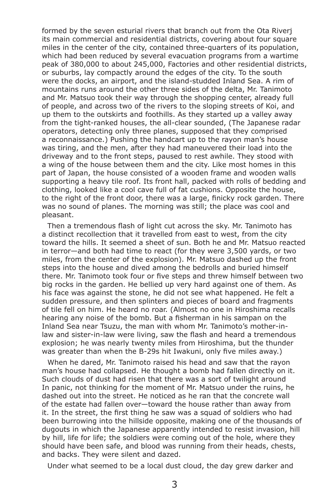formed by the seven esturial rivers that branch out from the Ota Riverj its main commercial and residential districts, covering about four square miles in the center of the city, contained three-quarters of its population, which had been reduced by several evacuation programs from a wartime peak of 380,000 to about 245,000, Factories and other residential districts, or suburbs, lay compactly around the edges of the city. To the south were the docks, an airport, and the island-studded Inland Sea. A rim of mountains runs around the other three sides of the delta, Mr. Tanimoto and Mr. Matsuo took their way through the shopping center, already full of people, and across two of the rivers to the sloping streets of Koi, and up them to the outskirts and foothills. As they started up a valley away from the tight-ranked houses, the all-clear sounded, (The Japanese radar operators, detecting only three planes, supposed that they comprised a reconnaissance.) Pushing the handcart up to the rayon man's house was tiring, and the men, after they had maneuvered their load into the driveway and to the front steps, paused to rest awhile. They stood with a wing of the house between them and the city. Like most homes in this part of Japan, the house consisted of a wooden frame and wooden walls supporting a heavy tile roof. Its front hall, packed with rolls of bedding and clothing, looked like a cool cave full of fat cushions. Opposite the house, to the right of the front door, there was a large, finicky rock garden. There was no sound of planes. The morning was still; the place was cool and pleasant.

Then a tremendous flash of light cut across the sky. Mr. Tanimoto has a distinct recollection that it travelled from east to west, from the city toward the hills. It seemed a sheet of sun. Both he and Mr. Matsuo reacted in terror—and both had time to react (for they were 3,500 yards, or two miles, from the center of the explosion). Mr. Matsuo dashed up the front steps into the house and dived among the bedrolls and buried himself there. Mr. Tanimoto took four or five steps and threw himself between two big rocks in the garden. He bellied up very hard against one of them. As his face was against the stone, he did not see what happened. He felt a sudden pressure, and then splinters and pieces of board and fragments of tile fell on him. He heard no roar. (Almost no one in Hiroshima recalls hearing any noise of the bomb. But a fisherman in his sampan on the Inland Sea near Tsuzu, the man with whom Mr. Tanimoto's mother-inlaw and sister-in-law were living, saw the flash and heard a tremendous explosion; he was nearly twenty miles from Hiroshima, but the thunder was greater than when the B-29s hit Iwakuni, only five miles away.)

When he dared, Mr. Tanimoto raised his head and saw that the rayon man's house had collapsed. He thought a bomb had fallen directly on it. Such clouds of dust had risen that there was a sort of twilight around In panic, not thinking for the moment of Mr. Matsuo under the ruins, he dashed out into the street. He noticed as he ran that the concrete wall of the estate had fallen over—toward the house rather than away from it. In the street, the first thing he saw was a squad of soldiers who had been burrowing into the hillside opposite, making one of the thousands of dugouts in which the Japanese apparently intended to resist invasion, hill by hill, life for life; the soldiers were coming out of the hole, where they should have been safe, and blood was running from their heads, chests, and backs. They were silent and dazed.

Under what seemed to be a local dust cloud, the day grew darker and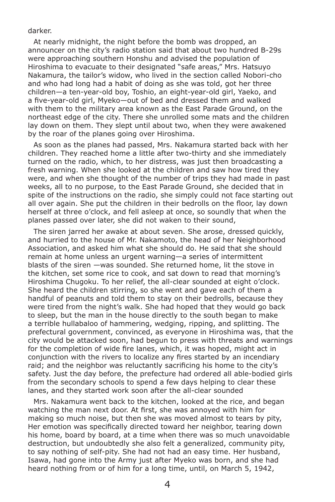darker.

At nearly midnight, the night before the bomb was dropped, an announcer on the city's radio station said that about two hundred B-29s were approaching southern Honshu and advised the population of Hiroshima to evacuate to their designated "safe areas," Mrs. Hatsuyo Nakamura, the tailor's widow, who lived in the section called Nobori-cho and who had long had a habit of doing as she was told, got her three children—a ten-year-old boy, Toshio, an eight-year-old girl, Yaeko, and a five-year-old girl, Myeko—out of bed and dressed them and walked with them to the military area known as the East Parade Ground, on the northeast edge of the city. There she unrolled some mats and the children lay down on them. They slept until about two, when they were awakened by the roar of the planes going over Hiroshima.

As soon as the planes had passed, Mrs. Nakamura started back with her children. They reached home a little after two-thirty and she immediately turned on the radio, which, to her distress, was just then broadcasting a fresh warning. When she looked at the children and saw how tired they were, and when she thought of the number of trips they had made in past weeks, all to no purpose, to the East Parade Ground, she decided that in spite of the instructions on the radio, she simply could not face starting out all over again. She put the children in their bedrolls on the floor, lay down herself at three o'clock, and fell asleep at once, so soundly that when the planes passed over later, she did not waken to their sound,

The siren jarred her awake at about seven. She arose, dressed quickly, and hurried to the house of Mr. Nakamoto, the head of her Neighborhood Association, and asked him what she should do. He said that she should remain at home unless an urgent warning—a series of intermittent blasts of the siren —was sounded. She returned home, lit the stove in the kitchen, set some rice to cook, and sat down to read that morning's Hiroshima Chugoku. To her relief, the all-clear sounded at eight o'clock. She heard the children stirring, so she went and gave each of them a handful of peanuts and told them to stay on their bedrolls, because they were tired from the night's walk. She had hoped that they would go back to sleep, but the man in the house directly to the south began to make a terrible hullabaloo of hammering, wedging, ripping, and splitting. The prefectural government, convinced, as everyone in Hiroshima was, that the city would be attacked soon, had begun to press with threats and warnings for the completion of wide fire lanes, which, it was hoped, might act in conjunction with the rivers to localize any fires started by an incendiary raid; and the neighbor was reluctantly sacrificing his home to the city's safety. Just the day before, the prefecture had ordered all able-bodied girls from the secondary schools to spend a few days helping to clear these lanes, and they started work soon after the all-clear sounded

Mrs. Nakamura went back to the kitchen, looked at the rice, and began watching the man next door. At first, she was annoyed with him for making so much noise, but then she was moved almost to tears by pity, Her emotion was specifically directed toward her neighbor, tearing down his home, board by board, at a time when there was so much unavoidable destruction, but undoubtedly she also felt a generalized, community pity, to say nothing of self-pity. She had not had an easy time. Her husband, Isawa, had gone into the Army just after Myeko was born, and she had heard nothing from or of him for a long time, until, on March 5, 1942,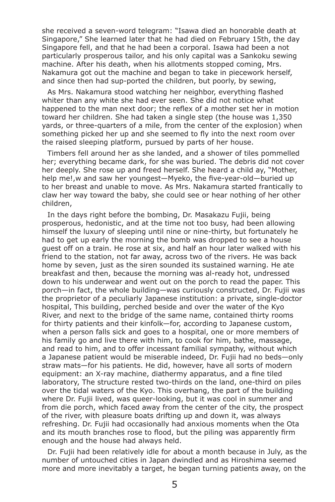she received a seven-word telegram: "Isawa died an honorable death at Singapore," She learned later that he had died on February 15th, the day Singapore fell, and that he had been a corporal. Isawa had been a not particularly prosperous tailor, and his only capital was a Sankoku sewing machine. After his death, when his allotments stopped coming, Mrs. Nakamura got out the machine and began to take in piecework herself, and since then had sup-ported the children, but poorly, by sewing,

As Mrs. Nakamura stood watching her neighbor, everything flashed whiter than any white she had ever seen. She did not notice what happened to the man next door; the reflex of a mother set her in motion toward her children. She had taken a single step (the house was 1,350 yards, or three-quarters of a mile, from the center of the explosion) when something picked her up and she seemed to fly into the next room over the raised sleeping platform, pursued by parts of her house.

Timbers fell around her as she landed, and a shower of tiles pommelled her; everything became dark, for she was buried. The debris did not cover her deeply. She rose up and freed herself. She heard a child ay, "Mother, help me!,w and saw her youngest—Myeko, the five-year-old—buried up to her breast and unable to move. As Mrs. Nakamura started frantically to claw her way toward the baby, she could see or hear nothing of her other children,

In the days right before the bombing, Dr. Masakazu Fujii, being prosperous, hedonistic, and at the time not too busy, had been allowing himself the luxury of sleeping until nine or nine-thirty, but fortunately he had to get up early the morning the bomb was dropped to see a house guest off on a train. He rose at six, and half an hour later walked with his friend to the station, not far away, across two of the rivers. He was back home by seven, just as the siren sounded its sustained warning. He ate breakfast and then, because the morning was al-ready hot, undressed down to his underwear and went out on the porch to read the paper. This porch—in fact, the whole building—was curiously constructed, Dr. Fujii was the proprietor of a peculiarly Japanese institution: a private, single-doctor hospital, This building, perched beside and over the water of the Kyo River, and next to the bridge of the same name, contained thirty rooms for thirty patients and their kinfolk—for, according to Japanese custom, when a person falls sick and goes to a hospital, one or more members of his family go and live there with him, to cook for him, bathe, massage, and read to him, and to offer incessant familial sympathy, without which a Japanese patient would be miserable indeed, Dr. Fujii had no beds—only straw mats—for his patients. He did, however, have all sorts of modern equipment: an X-ray machine, diathermy apparatus, and a fine tiled laboratory, The structure rested two-thirds on the land, one-third on piles over the tidal waters of the Kyo. This overhang, the part of the building where Dr. Fujii lived, was queer-looking, but it was cool in summer and from die porch, which faced away from the center of the city, the prospect of the river, with pleasure boats drifting up and down it, was always refreshing. Dr. Fujii had occasionally had anxious moments when the Ota and its mouth branches rose to flood, but the piling was apparently firm enough and the house had always held.

Dr. Fujii had been relatively idle for about a month because in July, as the number of untouched cities in Japan dwindled and as Hiroshima seemed more and more inevitably a target, he began turning patients away, on the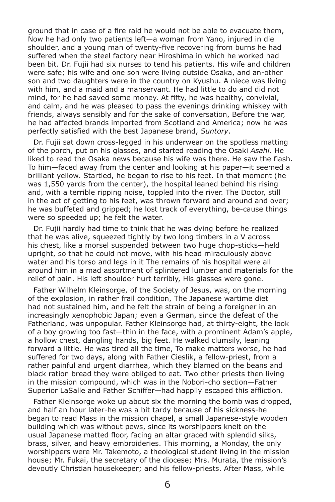ground that in case of a fire raid he would not be able to evacuate them, Now he had only two patients left—a woman from Yano, injured in die shoulder, and a young man of twenty-five recovering from burns he had suffered when the steel factory near Hiroshima in which he worked had been bit. Dr. Fujii had six nurses to tend his patients. His wife and children were safe; his wife and one son were living outside Osaka, and an-other son and two daughters were in the country on Kyushu. A niece was living with him, and a maid and a manservant. He had little to do and did not mind, for he had saved some money. At fifty, he was healthy, convivial, and calm, and he was pleased to pass the evenings drinking whiskey with friends, always sensibly and for the sake of conversation, Before the war, he had affected brands imported from Scotland and America; now he was perfectly satisfied with the best Japanese brand, *Suntory*.

Dr. Fujii sat down cross-legged in his underwear on the spotless matting of the porch, put on his glasses, and started reading the Osaki *Asahi*. He liked to read the Osaka news because his wife was there. He saw the flash. To him—faced away from the center and looking at his paper—it seemed a brilliant yellow. Startled, he began to rise to his feet. In that moment (he was 1,550 yards from the center), the hospital leaned behind his rising and, with a terrible ripping noise, toppled into the river. The Doctor, still in the act of getting to his feet, was thrown forward and around and over; he was buffeted and gripped; he lost track of everything, be-cause things were so speeded up; he felt the water.

Dr. Fujii hardly had time to think that he was dying before he realized that he was alive, squeezed tightly by two long timbers in a V across his chest, like a morsel suspended between two huge chop-sticks—held upright, so that he could not move, with his head miraculously above water and his torso and legs in it The remains of his hospital were all around him in a mad assortment of splintered lumber and materials for the relief of pain. His left shoulder hurt terribly, His glasses were gone.

Father Wilhelm Kleinsorge, of the Society of Jesus, was, on the morning of the explosion, in rather frail condition, The Japanese wartime diet had not sustained him, and he felt the strain of being a foreigner in an increasingly xenophobic Japan; even a German, since the defeat of the Fatherland, was unpopular. Father Kleinsorge had, at thirty-eight, the look of a boy growing too fast—thin in the face, with a prominent Adam's apple, a hollow chest, dangling hands, big feet. He walked clumsily, leaning forward a little. He was tired all the time, To make matters worse, he had suffered for two days, along with Father Cieslik, a fellow-priest, from a rather painful and urgent diarrhea, which they blamed on the beans and black ration bread they were obliged to eat. Two other priests then living in the mission compound, which was in the Nobori-cho section—Father Superior LaSalle and Father Schiffer—had happily escaped this affliction.

Father Kleinsorge woke up about six the morning the bomb was dropped, and half an hour later-he was a bit tardy because of his sickness-he began to read Mass in the mission chapel, a small Japanese-style wooden building which was without pews, since its worshippers knelt on the usual Japanese matted floor, facing an altar graced with splendid silks, brass, silver, and heavy embroideries. This morning, a Monday, the only worshippers were Mr. Takemoto, a theological student living in the mission house; Mr. Fukai, the secretary of the diocese; Mrs. Murata, the mission's devoutly Christian housekeeper; and his fellow-priests. After Mass, while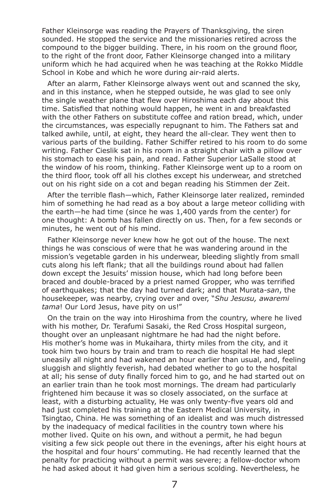Father Kleinsorge was reading the Prayers of Thanksgiving, the siren sounded. He stopped the service and the missionaries retired across the compound to the bigger building. There, in his room on the ground floor, to the right of the front door, Father Kleinsorge changed into a military uniform which he had acquired when he was teaching at the Rokko Middle School in Kobe and which he wore during air-raid alerts.

After an alarm, Father Kleinsorge always went out and scanned the sky, and in this instance, when he stepped outside, he was glad to see only the single weather plane that flew over Hiroshima each day about this time. Satisfied that nothing would happen, he went in and breakfasted with the other Fathers on substitute coffee and ration bread, which, under the circumstances, was especially repugnant to him. The Fathers sat and talked awhile, until, at eight, they heard the all-clear. They went then to various parts of the building. Father Schiffer retired to his room to do some writing. Father Cieslik sat in his room in a straight chair with a pillow over his stomach to ease his pain, and read. Father Superior LaSalle stood at the window of his room, thinking. Father Kleinsorge went up to a room on the third floor, took off all his clothes except his underwear, and stretched out on his right side on a cot and began reading his Stimmen der Zeit.

After the terrible flash—which, Father Kleinsorge later realized, reminded him of something he had read as a boy about a large meteor colliding with the earth—he had time (since he was 1,400 yards from the center) for one thought: A bomb has fallen directly on us. Then, for a few seconds or minutes, he went out of his mind.

Father Kleinsorge never knew how he got out of the house. The next things he was conscious of were that he was wandering around in the mission's vegetable garden in his underwear, bleeding slightly from small cuts along his left flank; that all the buildings round about had fallen down except the Jesuits' mission house, which had long before been braced and double-braced by a priest named Gropper, who was terrified of earthquakes; that the day had turned dark; and that Murata*-san*, the housekeeper, was nearby, crying over and over, "*Shu Jesusu, awaremi tama*! Our Lord Jesus, have pity on us!"

On the train on the way into Hiroshima from the country, where he lived with his mother, Dr. Terafumi Sasaki, the Red Cross Hospital surgeon, thought over an unpleasant nightmare he had had the night before. His mother's home was in Mukaihara, thirty miles from the city, and it took him two hours by train and tram to reach die hospital He had slept uneasily all night and had wakened an hour earlier than usual, and, feeling sluggish and slightly feverish, had debated whether to go to the hospital at all; his sense of duty finally forced him to go, and he had started out on an earlier train than he took most mornings. The dream had particularly frightened him because it was so closely associated, on the surface at least, with a disturbing actuality, He was only twenty-five years old and had just completed his training at the Eastern Medical University, in Tsingtao, China. He was something of an idealist and was much distressed by the inadequacy of medical facilities in the country town where his mother lived. Quite on his own, and without a permit, he had begun visiting a few sick people out there in the evenings, after his eight hours at the hospital and four hours' commuting. He had recently learned that the penalty for practicing without a permit was severe; a fellow-doctor whom he had asked about it had given him a serious scolding. Nevertheless, he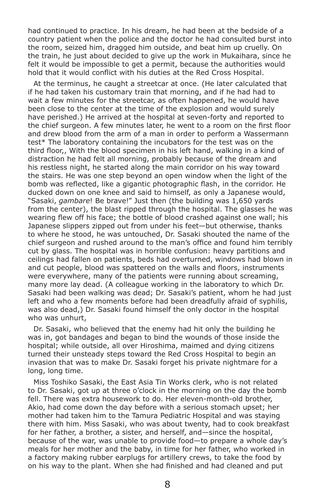had continued to practice. In his dream, he had been at the bedside of a country patient when the police and the doctor he had consulted burst into the room, seized him, dragged him outside, and beat him up cruelly. On the train, he just about decided to give up the work in Mukaihara, since he felt it would be impossible to get a permit, because the authorities would hold that it would conflict with his duties at the Red Cross Hospital.

At the terminus, he caught a streetcar at once. (He later calculated that if he had taken his customary train that morning, and if he had had to wait a few minutes for the streetcar, as often happened, he would have been close to the center at the time of the explosion and would surely have perished.) He arrived at the hospital at seven-forty and reported to the chief surgeon. A few minutes later, he went to a room on the first floor and drew blood from the arm of a man in order to perform a Wassermann test\* The laboratory containing the incubators for the test was on the third floor,, With the blood specimen in his left hand, walking in a kind of distraction he had felt all morning, probably because of the dream and his restless night, he started along the main corridor on his way toward the stairs. He was one step beyond an open window when the light of the bomb was reflected, like a gigantic photographic flash, in the corridor. He ducked down on one knee and said to himself, as only a Japanese would, "Sasaki, *gambare*! Be brave!" Just then (the building was 1,650 yards from the center), the blast ripped through the hospital. The glasses he was wearing flew off his face; the bottle of blood crashed against one wall; his Japanese slippers zipped out from under his feet—but otherwise, thanks to where he stood, he was untouched, Dr. Sasaki shouted the name of the chief surgeon and rushed around to the man's office and found him terribly cut by glass. The hospital was in horrible confusion: heavy partitions and ceilings had fallen on patients, beds had overturned, windows had blown in and cut people, blood was spattered on the walls and floors, instruments were everywhere, many of the patients were running about screaming, many more lay dead. (A colleague working in the laboratory to which Dr. Sasaki had been walking was dead; Dr. Sasaki's patient, whom he had just left and who a few moments before had been dreadfully afraid of syphilis, was also dead,) Dr. Sasaki found himself the only doctor in the hospital who was unhurt,

Dr. Sasaki, who believed that the enemy had hit only the building he was in, got bandages and began to bind the wounds of those inside the hospital; while outside, all over Hiroshima, maimed and dying citizens turned their unsteady steps toward the Red Cross Hospital to begin an invasion that was to make Dr. Sasaki forget his private nightmare for a long, long time.

Miss Toshiko Sasaki, the East Asia Tin Works clerk, who is not related to Dr. Sasaki, got up at three o'clock in the morning on the day the bomb fell. There was extra housework to do. Her eleven-month-old brother, Akio, had come down the day before with a serious stomach upset; her mother had taken him to the Tamura Pediatric Hospital and was staying there with him. Miss Sasaki, who was about twenty, had to cook breakfast for her father, a brother, a sister, and herself, and—since the hospital, because of the war, was unable to provide food—to prepare a whole day's meals for her mother and the baby, in time for her father, who worked in a factory making rubber earplugs for artillery crews, to take the food by on his way to the plant. When she had finished and had cleaned and put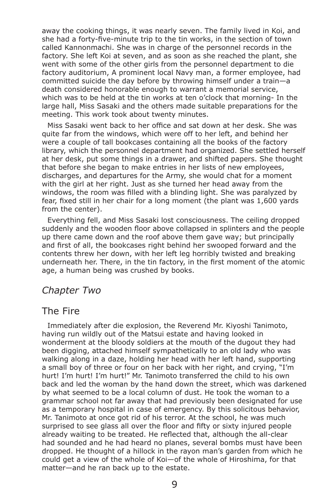<span id="page-12-0"></span>away the cooking things, it was nearly seven. The family lived in Koi, and she had a forty-five-minute trip to the tin works, in the section of town called Kannonmachi. She was in charge of the personnel records in the factory. She left Koi at seven, and as soon as she reached the plant, she went with some of the other girls from the personnel department to die factory auditorium, A prominent local Navy man, a former employee, had committed suicide the day before by throwing himself under a train—a death considered honorable enough to warrant a memorial service, which was to be held at the tin works at ten o'clock that morning- In the large hall, Miss Sasaki and the others made suitable preparations for the meeting. This work took about twenty minutes.

Miss Sasaki went back to her office and sat down at her desk. She was quite far from the windows, which were off to her left, and behind her were a couple of tall bookcases containing all the books of the factory library, which the personnel department had organized. She settled herself at her desk, put some things in a drawer, and shifted papers. She thought that before she began to make entries in her lists of new employees, discharges, and departures for the Army, she would chat for a moment with the girl at her right. Just as she turned her head away from the windows, the room was filled with a blinding light. She was paralyzed by fear, fixed still in her chair for a long moment (the plant was 1,600 yards from the center).

Everything fell, and Miss Sasaki lost consciousness. The ceiling dropped suddenly and the wooden floor above collapsed in splinters and the people up there came down and the roof above them gave way; but principally and first of all, the bookcases right behind her swooped forward and the contents threw her down, with her left leg horribly twisted and breaking underneath her. There, in the tin factory, in the first moment of the atomic age, a human being was crushed by books.

#### *Chapter Two*

#### The Fire

Immediately after die explosion, the Reverend Mr. Kiyoshi Tanimoto, having run wildly out of the Matsui estate and having looked in wonderment at the bloody soldiers at the mouth of the dugout they had been digging, attached himself sympathetically to an old lady who was walking along in a daze, holding her head with her left hand, supporting a small boy of three or four on her back with her right, and crying, "I'm hurt! I'm hurt! I'm hurt!" Mr. Tanimoto transferred the child to his own back and led the woman by the hand down the street, which was darkened by what seemed to be a local column of dust. He took the woman to a grammar school not far away that had previously been designated for use as a temporary hospital in case of emergency. By this solicitous behavior, Mr. Tanimoto at once got rid of his terror. At the school, he was much surprised to see glass all over the floor and fifty or sixty injured people already waiting to be treated. He reflected that, although the all-clear had sounded and he had heard no planes, several bombs must have been dropped. He thought of a hillock in the rayon man's garden from which he could get a view of the whole of Koi—of the whole of Hiroshima, for that matter—and he ran back up to the estate.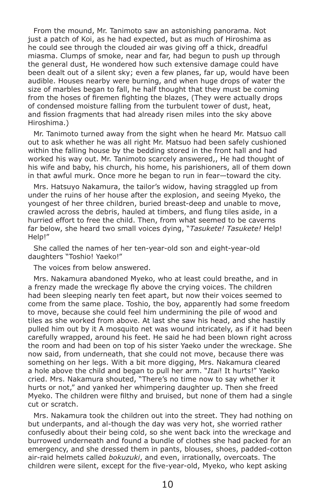From the mound, Mr. Tanimoto saw an astonishing panorama. Not just a patch of Koi, as he had expected, but as much of Hiroshima as he could see through the clouded air was giving off a thick, dreadful miasma. Clumps of smoke, near and far, had begun to push up through the general dust, He wondered how such extensive damage could have been dealt out of a silent sky; even a few planes, far up, would have been audible. Houses nearby were burning, and when huge drops of water the size of marbles began to fall, he half thought that they must be coming from the hoses of firemen fighting the blazes, (They were actually drops of condensed moisture falling from the turbulent tower of dust, heat, and fission fragments that had already risen miles into the sky above Hiroshima.)

Mr. Tanimoto turned away from the sight when he heard Mr. Matsuo call out to ask whether he was all right Mr. Matsuo had been safely cushioned within the falling house by the bedding stored in the front hall and had worked his way out. Mr. Tanimoto scarcely answered,, He had thought of his wife and baby, his church, his home, his parishioners, all of them down in that awful murk. Once more he began to run in fear—toward the city.

Mrs. Hatsuyo Nakamura, the tailor's widow, having straggled up from under the ruins of her house after the explosion, and seeing Myeko, the youngest of her three children, buried breast-deep and unable to move, crawled across the debris, hauled at timbers, and flung tiles aside, in a hurried effort to free the child. Then, from what seemed to be caverns far below, she heard two small voices dying, "*Tasukete! Tasukete!* Help! Help!"

She called the names of her ten-year-old son and eight-year-old daughters "Toshio! Yaeko!"

The voices from below answered.

Mrs. Nakamura abandoned Myeko, who at least could breathe, and in a frenzy made the wreckage fly above the crying voices. The children had been sleeping nearly ten feet apart, but now their voices seemed to come from the same place. Toshio, the boy, apparently had some freedom to move, because she could feel him undermining the pile of wood and tiles as she worked from above. At last she saw his head, and she hastily pulled him out by it A mosquito net was wound intricately, as if it had been carefully wrapped, around his feet. He said he had been blown right across the room and had been on top of his sister Yaeko under the wreckage. She now said, from underneath, that she could not move, because there was something on her legs. With a bit more digging, Mrs. Nakamura cleared a hole above the child and began to pull her arm. "*Itai*! It hurts!" Yaeko cried. Mrs. Nakamura shouted, "There's no time now to say whether it hurts or not," and yanked her whimpering daughter up. Then she freed Myeko. The children were filthy and bruised, but none of them had a single cut or scratch.

Mrs. Nakamura took the children out into the street. They had nothing on but underpants, and al-though the day was very hot, she worried rather confusedly about their being cold, so she went back into the wreckage and burrowed underneath and found a bundle of clothes she had packed for an emergency, and she dressed them in pants, blouses, shoes, padded-cotton air-raid helmets called *bokuzuki*, and even, irrationally, overcoats. The children were silent, except for the five-year-old, Myeko, who kept asking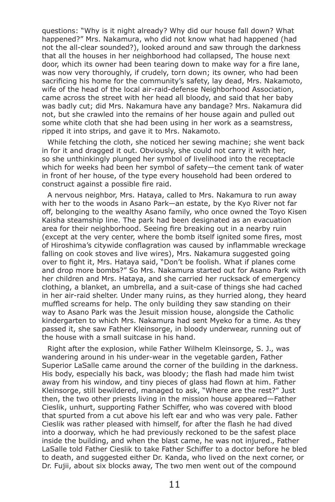questions: "Why is it night already? Why did our house fall down? What happened?" Mrs. Nakamura, who did not know what had happened (had not the all-clear sounded?), looked around and saw through the darkness that all the houses in her neighborhood had collapsed, The house next door, which its owner had been tearing down to make way for a fire lane, was now very thoroughly, if crudely, torn down; its owner, who had been sacrificing his home for the community's safety, lay dead, Mrs. Nakamoto, wife of the head of the local air-raid-defense Neighborhood Association, came across the street with her head all bloody, and said that her baby was badly cut; did Mrs. Nakamura have any bandage? Mrs. Nakamura did not, but she crawled into the remains of her house again and pulled out some white cloth that she had been using in her work as a seamstress, ripped it into strips, and gave it to Mrs. Nakamoto.

While fetching the cloth, she noticed her sewing machine; she went back in for it and dragged it out. Obviously, she could not carry it with her, so she unthinkingly plunged her symbol of livelihood into the receptacle which for weeks had been her symbol of safety—the cement tank of water in front of her house, of the type every household had been ordered to construct against a possible fire raid.

A nervous neighbor, Mrs. Hataya, called to Mrs. Nakamura to run away with her to the woods in Asano Park—an estate, by the Kyo River not far off, belonging to the wealthy Asano family, who once owned the Toyo Kisen Kaisha steamship line. The park had been designated as an evacuation area for their neighborhood. Seeing fire breaking out in a nearby ruin (except at the very center, where the bomb itself ignited some fires, most of Hiroshima's citywide conflagration was caused by inflammable wreckage falling on cook stoves and live wires), Mrs. Nakamura suggested going over to fight it, Mrs. Hataya said, "Don't be foolish. What if planes come and drop more bombs?" So Mrs. Nakamura started out for Asano Park with her children and Mrs. Hataya, and she carried her rucksack of emergency clothing, a blanket, an umbrella, and a suit-case of things she had cached in her air-raid shelter. Under many ruins, as they hurried along, they heard muffled screams for help. The only building they saw standing on their way to Asano Park was the Jesuit mission house, alongside the Catholic kindergarten to which Mrs. Nakamura had sent Myeko for a time. As they passed it, she saw Father Kleinsorge, in bloody underwear, running out of the house with a small suitcase in his hand.

Right after the explosion, while Father Wilhelm Kleinsorge, S. J., was wandering around in his under-wear in the vegetable garden, Father Superior LaSalle came around the corner of the building in the darkness. His body, especially his back, was bloody; the flash had made him twist away from his window, and tiny pieces of glass had flown at him. Father Kleinsorge, still bewildered, managed to ask, "Where are the rest?" Just then, the two other priests living in the mission house appeared—Father Cieslik, unhurt, supporting Father Schiffer, who was covered with blood that spurted from a cut above his left ear and who was very pale. Father Cieslik was rather pleased with himself, for after the flash he had dived into a doorway, which he had previously reckoned to be the safest place inside the building, and when the blast came, he was not injured., Father LaSalle told Father Cieslik to take Father Schiffer to a doctor before he bled to death, and suggested either Dr. Kanda, who lived on the next corner, or Dr. Fujii, about six blocks away, The two men went out of the compound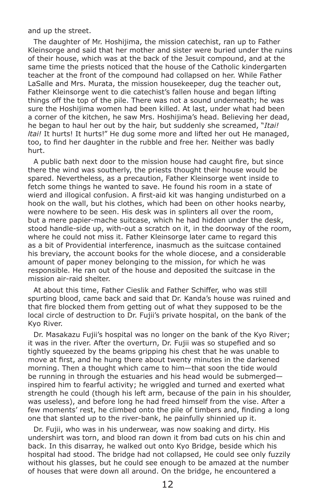and up the street.

The daughter of Mr. Hoshijima, the mission catechist, ran up to Father Kleinsorge and said that her mother and sister were buried under the ruins of their house, which was at the back of the Jesuit compound, and at the same time the priests noticed that the house of the Catholic kindergarten teacher at the front of the compound had collapsed on her. While Father LaSalle and Mrs. Murata, the mission housekeeper, dug the teacher out, Father Kleinsorge went to die catechist's fallen house and began lifting things off the top of the pile. There was not a sound underneath; he was sure the Hoshijima women had been killed. At last, under what had been a corner of the kitchen, he saw Mrs. Hoshijima's head. Believing her dead, he began to haul her out by the hair, but suddenly she screamed, "*Itai! ltai!* It hurts! It hurts!" He dug some more and lifted her out He managed, too, to find her daughter in the rubble and free her. Neither was badly hurt.

A public bath next door to the mission house had caught fire, but since there the wind was southerly, the priests thought their house would be spared. Nevertheless, as a precaution, Father Kleinsorge went inside to fetch some things he wanted to save. He found his room in a state of wierd and illogical confusion. A first-aid kit was hanging undisturbed on a hook on the wall, but his clothes, which had been on other hooks nearby, were nowhere to be seen. His desk was in splinters all over the room, but a mere papier-mache suitcase, which he had hidden under the desk, stood handle-side up, with-out a scratch on it, in the doorway of the room, where he could not miss it. Father Kleinsorge later came to regard this as a bit of Providential interference, inasmuch as the suitcase contained his breviary, the account books for the whole diocese, and a considerable amount of paper money belonging to the mission, for which he was responsible. He ran out of the house and deposited the suitcase in the mission air-raid shelter.

At about this time, Father Cieslik and Father Schiffer, who was still spurting blood, came back and said that Dr. Kanda's house was ruined and that fire blocked them from getting out of what they supposed to be the local circle of destruction to Dr. Fujii's private hospital, on the bank of the Kyo River.

Dr. Masakazu Fujii's hospital was no longer on the bank of the Kyo River; it was in the river. After the overturn, Dr. Fujii was so stupefied and so tightly squeezed by the beams gripping his chest that he was unable to move at first, and he hung there about twenty minutes in the darkened morning. Then a thought which came to him—that soon the tide would be running in through the estuaries and his head would be submerged inspired him to fearful activity; he wriggled and turned and exerted what strength he could (though his left arm, because of the pain in his shoulder, was useless), and before long he had freed himself from the vise. After a few moments' rest, he climbed onto the pile of timbers and, finding a long one that slanted up to the river-bank, he painfully shinnied up it.

Dr. Fujii, who was in his underwear, was now soaking and dirty. His undershirt was torn, and blood ran down it from bad cuts on his chin and back. In this disarray, he walked out onto Kyo Bridge, beside which his hospital had stood. The bridge had not collapsed, He could see only fuzzily without his glasses, but he could see enough to be amazed at the number of houses that were down all around. On the bridge, he encountered a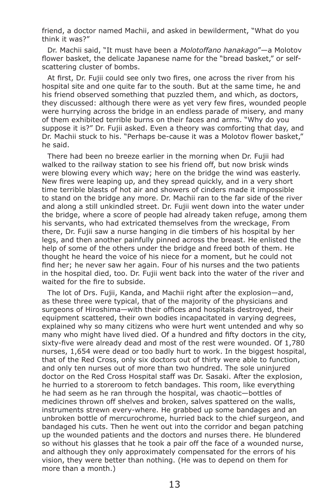friend, a doctor named Machii, and asked in bewilderment, "What do you think it was?"

Dr. Machii said, "It must have been a *Molotoffano hanakago*"—a Molotov flower basket, the delicate Japanese name for the "bread basket," or selfscattering cluster of bombs.

At first, Dr. Fujii could see only two fires, one across the river from his hospital site and one quite far to the south. But at the same time, he and his friend observed something that puzzled them, and which, as doctors, they discussed: although there were as yet very few fires, wounded people were hurrying across the bridge in an endless parade of misery, and many of them exhibited terrible burns on their faces and arms. "Why do you suppose it is?" Dr. Fujii asked. Even a theory was comforting that day, and Dr. Machii stuck to his. "Perhaps be-cause it was a Molotov flower basket," he said.

There had been no breeze earlier in the morning when Dr. Fujii had walked to the railway station to see his friend off, but now brisk winds were blowing every which way; here on the bridge the wind was easterly. New fires were leaping up, and they spread quickly, and in a very short time terrible blasts of hot air and showers of cinders made it impossible to stand on the bridge any more. Dr. Machii ran to the far side of the river and along a still unkindled street. Dr. Fujii went down into the water under the bridge, where a score of people had already taken refuge, among them his servants, who had extricated themselves from the wreckage, From there, Dr. Fujii saw a nurse hanging in die timbers of his hospital by her legs, and then another painfully pinned across the breast. He enlisted the help of some of the others under the bridge and freed both of them. He thought he heard the voice of his niece for a moment, but he could not find her; he never saw her again. Four of his nurses and the two patients in the hospital died, too. Dr. Fujii went back into the water of the river and waited for the fire to subside.

The lot of Drs. Fujii, Kanda, and Machii right after the explosion—and, as these three were typical, that of the majority of the physicians and surgeons of Hiroshima—with their offices and hospitals destroyed, their equipment scattered, their own bodies incapacitated in varying degrees, explained why so many citizens who were hurt went untended and why so many who might have lived died. Of a hundred and fifty doctors in the city, sixty-five were already dead and most of the rest were wounded. Of 1,780 nurses, 1,654 were dead or too badly hurt to work. In the biggest hospital, that of the Red Cross, only six doctors out of thirty were able to function, and only ten nurses out of more than two hundred. The sole uninjured doctor on the Red Cross Hospital staff was Dr. Sasaki. After the explosion, he hurried to a storeroom to fetch bandages. This room, like everything he had seem as he ran through the hospital, was chaotic—bottles of medicines thrown off shelves and broken, salves spattered on the walls, instruments strewn every-where. He grabbed up some bandages and an unbroken bottle of mercurochrome, hurried back to the chief surgeon, and bandaged his cuts. Then he went out into the corridor and began patching up the wounded patients and the doctors and nurses there. He blundered so without his glasses that he took a pair off the face of a wounded nurse, and although they only approximately compensated for the errors of his vision, they were better than nothing. (He was to depend on them for more than a month.)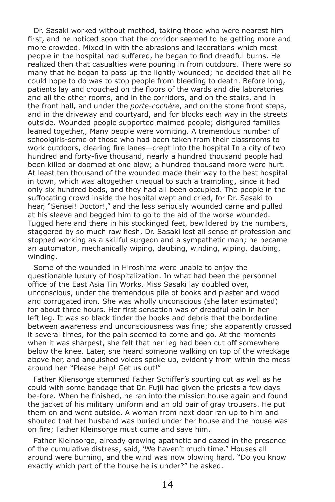Dr. Sasaki worked without method, taking those who were nearest him first, and he noticed soon that the corridor seemed to be getting more and more crowded. Mixed in with the abrasions and lacerations which most people in the hospital had suffered, he began to find dreadful burns. He realized then that casualties were pouring in from outdoors. There were so many that he began to pass up the lightly wounded; he decided that all he could hope to do was to stop people from bleeding to death. Before long, patients lay and crouched on the floors of the wards and die laboratories and all the other rooms, and in the corridors, and on the stairs, and in the front hall, and under the *porte-cochère*, and on the stone front steps, and in the driveway and courtyard, and for blocks each way in the streets outside. Wounded people supported maimed people; disfigured families leaned together,, Many people were vomiting. A tremendous number of schoolgirls-some of those who had been taken from their classrooms to work outdoors, clearing fire lanes—crept into the hospital In a city of two hundred and forty-five thousand, nearly a hundred thousand people had been killed or doomed at one blow; a hundred thousand more were hurt. At least ten thousand of the wounded made their way to the best hospital in town, which was altogether unequal to such a trampling, since it had only six hundred beds, and they had all been occupied. The people in the suffocating crowd inside the hospital wept and cried, for Dr. Sasaki to hear, "Sensei! Doctor!," and the less seriously wounded came and pulled at his sleeve and begged him to go to the aid of the worse wounded. Tugged here and there in his stockinged feet, bewildered by the numbers, staggered by so much raw flesh, Dr. Sasaki lost all sense of profession and stopped working as a skillful surgeon and a sympathetic man; he became an automaton, mechanically wiping, daubing, winding, wiping, daubing, winding.

Some of the wounded in Hiroshima were unable to enjoy the questionable luxury of hospitalization. In what had been the personnel office of the East Asia Tin Works, Miss Sasaki lay doubled over, unconscious, under the tremendous pile of books and plaster and wood and corrugated iron. She was wholly unconscious (she later estimated) for about three hours. Her first sensation was of dreadful pain in her left leg. It was so black tinder the books and debris that the borderline between awareness and unconsciousness was fine; she apparently crossed it several times, for the pain seemed to come and go. At the moments when it was sharpest, she felt that her leg had been cut off somewhere below the knee. Later, she heard someone walking on top of the wreckage above her, and anguished voices spoke up, evidently from within the mess around hen "Please help! Get us out!"

Father Kliensorge stemmed Father Schiffer's spurting cut as well as he could with some bandage that Dr. Fujii had given the priests a few days be-fore. When he finished, he ran into the mission house again and found the jacket of his military uniform and an old pair of gray trousers. He put them on and went outside. A woman from next door ran up to him and shouted that her husband was buried under her house and the house was on fire; Father Kleinsorge must come and save him.

Father Kleinsorge, already growing apathetic and dazed in the presence of the cumulative distress, said, 'We haven't much time." Houses all around were burning, and the wind was now blowing hard. "Do you know exactly which part of the house he is under?" he asked.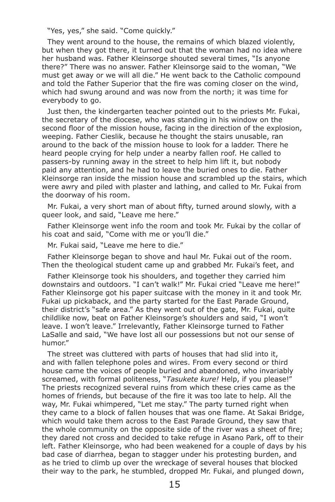"Yes, yes," she said. "Come quickly."

They went around to the house, the remains of which blazed violently, but when they got there, it turned out that the woman had no idea where her husband was. Father Kleinsorge shouted several times, "Is anyone there?" There was no answer. Father Kleinsorge said to the woman, "We must get away or we will all die." He went back to the Catholic compound and told the Father Superior that the fire was coming closer on the wind, which had swung around and was now from the north; it was time for everybody to go.

Just then, the kindergarten teacher pointed out to the priests Mr. Fukai, the secretary of the diocese, who was standing in his window on the second floor of the mission house, facing in the direction of the explosion, weeping. Father Cieslik, because he thought the stairs unusable, ran around to the back of the mission house to look for a ladder. There he heard people crying for help under a nearby fallen roof. He called to passers-by running away in the street to help him lift it, but nobody paid any attention, and he had to leave the buried ones to die. Father Kleinsorge ran inside the mission house and scrambled up the stairs, which were awry and piled with plaster and lathing, and called to Mr. Fukai from the doorway of his room.

Mr. Fukai, a very short man of about fifty, turned around slowly, with a queer look, and said, "Leave me here."

Father Kleinsorge went info the room and took Mr. Fukai by the collar of his coat and said, "Come with me or you'll die."

Mr. Fukai said, "Leave me here to die."

Father Kleinsorge began to shove and haul Mr. Fukai out of the room. Then the theological student came up and grabbed Mr. Fukai's feet, and

Father Kleinsorge took his shoulders, and together they carried him downstairs and outdoors. "I can't walk!" Mr. Fukai cried "Leave me here!" Father Kleinsorge got his paper suitcase with the money in it and took Mr. Fukai up pickaback, and the party started for the East Parade Ground, their district's "safe area." As they went out of the gate, Mr. Fukai, quite childlike now, beat on Father Kleinsorge's shoulders and said, "I won't leave. I won't leave." Irrelevantly, Father Kleinsorge turned to Father LaSalle and said, "We have lost all our possessions but not our sense of humor."

The street was cluttered with parts of houses that had slid into it, and with fallen telephone poles and wires. From every second or third house came the voices of people buried and abandoned, who invariably screamed, with formal politeness, "*Tasukete kure!* Help, if you please!" The priests recognized several ruins from which these cries came as the homes of friends, but because of the fire it was too late to help. All the way, Mr. Fukai whimpered, "Let me stay." The party turned right when they came to a block of fallen houses that was one flame. At Sakai Bridge, which would take them across to the East Parade Ground, they saw that the whole community on the opposite side of the river was a sheet of fire; they dared not cross and decided to take refuge in Asano Park, off to their left. Father Kleinsorge, who had been weakened for a couple of days by his bad case of diarrhea, began to stagger under his protesting burden, and as he tried to climb up over the wreckage of several houses that blocked their way to the park, he stumbled, dropped Mr. Fukai, and plunged down,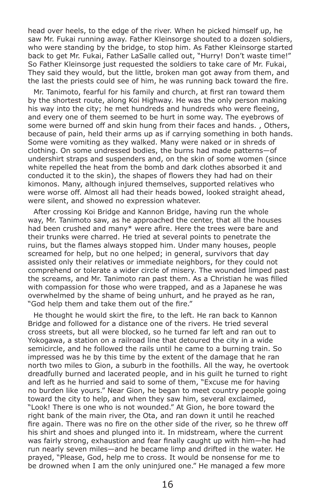head over heels, to the edge of the river. When he picked himself up, he saw Mr. Fukai running away. Father Kleinsorge shouted to a dozen soldiers, who were standing by the bridge, to stop him. As Father Kleinsorge started back to get Mr. Fukai, Father LaSalle called out, "Hurry! Don't waste time!" So Father Kleinsorge just requested the soldiers to take care of Mr. Fukai, They said they would, but the little, broken man got away from them, and the last the priests could see of him, he was running back toward the fire.

Mr. Tanimoto, fearful for his family and church, at first ran toward them by the shortest route, along Koi Highway. He was the only person making his way into the city; he met hundreds and hundreds who were fleeing, and every one of them seemed to be hurt in some way. The eyebrows of some were burned off and skin hung from their faces and hands. , Others, because of pain, held their arms up as if carrying something in both hands. Some were vomiting as they walked. Many were naked or in shreds of clothing. On some undressed bodies, the burns had made patterns—of undershirt straps and suspenders and, on the skin of some women (since white repelled the heat from the bomb and dark clothes absorbed it and conducted it to the skin), the shapes of flowers they had had on their kimonos. Many, although injured themselves, supported relatives who were worse off. Almost all had their heads bowed, looked straight ahead, were silent, and showed no expression whatever.

After crossing Koi Bridge and Kannon Bridge, having run the whole way, Mr. Tanimoto saw, as he approached the center, that all the houses had been crushed and many\* were afire. Here the trees were bare and their trunks were charred. He tried at several points to penetrate the ruins, but the flames always stopped him. Under many houses, people screamed for help, but no one helped; in general, survivors that day assisted only their relatives or immediate neighbors, for they could not comprehend or tolerate a wider circle of misery. The wounded limped past the screams, and Mr. Tanimoto ran past them. As a Christian he was filled with compassion for those who were trapped, and as a Japanese he was overwhelmed by the shame of being unhurt, and he prayed as he ran, "God help them and take them out of the fire."

He thought he would skirt the fire, to the left. He ran back to Kannon Bridge and followed for a distance one of the rivers. He tried several cross streets, but all were blocked, so he turned far left and ran out to Yokogawa, a station on a railroad line that detoured the city in a wide semicircle, and he followed the rails until he came to a burning train. So impressed was he by this time by the extent of the damage that he ran north two miles to Gion, a suburb in the foothills. All the way, he overtook dreadfully burned and lacerated people, and in his guilt he turned to right and left as he hurried and said to some of them, "Excuse me for having no burden like yours." Near Gion, he began to meet country people going toward the city to help, and when they saw him, several exclaimed, "Look! There is one who is not wounded." At Gion, he bore toward the right bank of the main river, the Ota, and ran down it until he reached fire again. There was no fire on the other side of the river, so he threw off his shirt and shoes and plunged into it. In midstream, where the current was fairly strong, exhaustion and fear finally caught up with him—he had run nearly seven miles—and he became limp and drifted in the water. He prayed, "Please, God, help me to cross. It would be nonsense for me to be drowned when I am the only uninjured one." He managed a few more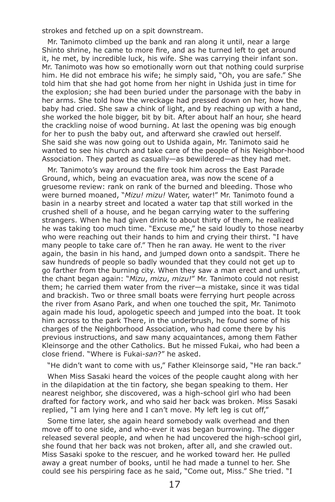strokes and fetched up on a spit downstream.

Mr. Tanimoto climbed up the bank and ran along it until, near a large Shinto shrine, he came to more fire, and as he turned left to get around it, he met, by incredible luck, his wife. She was carrying their infant son. Mr. Tanimoto was how so emotionally worn out that nothing could surprise him. He did not embrace his wife; he simply said, "Oh, you are safe." She told him that she had got home from her night in Ushida just in time for the explosion; she had been buried under the parsonage with the baby in her arms. She told how the wreckage had pressed down on her, how the baby had cried. She saw a chink of light, and by reaching up with a hand, she worked the hole bigger, bit by bit. After about half an hour, she heard the crackling noise of wood burning. At last the opening was big enough for her to push the baby out, and afterward she crawled out herself. She said she was now going out to Ushida again, Mr. Tanimoto said he wanted to see his church and take care of the people of his Neighbor-hood Association. They parted as casually—as bewildered—as they had met.

Mr. Tanimoto's way around the fire took him across the East Parade Ground, which, being an evacuation area, was now the scene of a gruesome review: rank on rank of the burned and bleeding. Those who were burned moaned, "*Mizu! mizu!* Water, water!" Mr. Tanimoto found a basin in a nearby street and located a water tap that still worked in the crushed shell of a house, and he began carrying water to the suffering strangers. When he had given drink to about thirty of them, he realized he was taking too much time. "Excuse me," he said loudly to those nearby who were reaching out their hands to him and crying their thirst. "I have many people to take care of." Then he ran away. He went to the river again, the basin in his hand, and jumped down onto a sandspit. There he saw hundreds of people so badly wounded that they could not get up to go farther from the burning city. When they saw a man erect and unhurt, the chant began again: "*Mizu*, *mizu*, *mizu!*" Mr. Tanimoto could not resist them; he carried them water from the river—a mistake, since it was tidal and brackish. Two or three small boats were ferrying hurt people across the river from Asano Park, and when one touched the spit, Mr. Tanimoto again made his loud, apologetic speech and jumped into the boat. It took him across to the park There, in the underbrush, he found some of his charges of the Neighborhood Association, who had come there by his previous instructions, and saw many acquaintances, among them Father Kleinsorge and the other Catholics. But he missed Fukai, who had been a close friend. "Where is Fukai*-san*?" he asked.

"He didn't want to come with us," Father Kleinsorge said, "He ran back."

When Miss Sasaki heard the voices of the people caught along with her in the dilapidation at the tin factory, she began speaking to them. Her nearest neighbor, she discovered, was a high-school girl who had been drafted for factory work, and who said her back was broken. Miss Sasaki replied, "I am lying here and I can't move. My left leg is cut off,"

Some time later, she again heard somebody walk overhead and then move off to one side, and who-ever it was began burrowing. The digger released several people, and when he had uncovered the high-school girl, she found that her back was not broken, after all, and she crawled out. Miss Sasaki spoke to the rescuer, and he worked toward her. He pulled away a great number of books, until he had made a tunnel to her. She could see his perspiring face as he said, "Come out, Miss." She tried. "I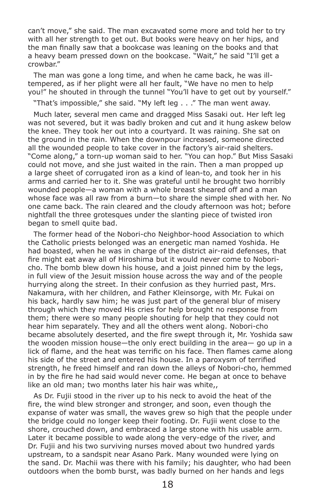can't move," she said. The man excavated some more and told her to try with all her strength to get out. But books were heavy on her hips, and the man finally saw that a bookcase was leaning on the books and that a heavy beam pressed down on the bookcase. "Wait," he said "I'll get a crowbar."

The man was gone a long time, and when he came back, he was illtempered, as if her plight were all her fault, "We have no men to help you!" he shouted in through the tunnel "You'll have to get out by yourself."

"That's impossible," she said. "My left leg . . ." The man went away.

Much later, several men came and dragged Miss Sasaki out. Her left leg was not severed, but it was badly broken and cut and it hung askew below the knee. They took her out into a courtyard. It was raining. She sat on the ground in the rain. When the downpour increased, someone directed all the wounded people to take cover in the factory's air-raid shelters. "Come along," a torn-up woman said to her. "You can hop." But Miss Sasaki could not move, and she just waited in the rain. Then a man propped up a large sheet of corrugated iron as a kind of lean-to, and took her in his arms and carried her to it. She was grateful until he brought two horribly wounded people—a woman with a whole breast sheared off and a man whose face was all raw from a burn—to share the simple shed with her. No one came back. The rain cleared and the cloudy afternoon was hot; before nightfall the three grotesques under the slanting piece of twisted iron began to smell quite bad.

The former head of the Nobori-cho Neighbor-hood Association to which the Catholic priests belonged was an energetic man named Yoshida. He had boasted, when he was in charge of the district air-raid defenses, that fire might eat away all of Hiroshima but it would never come to Noboricho. The bomb blew down his house, and a joist pinned him by the legs, in full view of the Jesuit mission house across the way and of the people hurrying along the street. In their confusion as they hurried past, Mrs. Nakamura, with her children, and Father Kleinsorge, with Mr. Fukai on his back, hardly saw him; he was just part of the general blur of misery through which they moved His cries for help brought no response from them; there were so many people shouting for help that they could not hear him separately. They and all the others went along. Nobori-cho became absolutely deserted, and the fire swept through it, Mr. Yoshida saw the wooden mission house—the only erect building in the area— go up in a lick of flame, and the heat was terrific on his face. Then flames came along his side of the street and entered his house. In a paroxysm of terrified strength, he freed himself and ran down the alleys of Nobori-cho, hemmed in by the fire he had said would never come. He began at once to behave like an old man; two months later his hair was white,,

As Dr. Fujii stood in the river up to his neck to avoid the heat of the fire, the wind blew stronger and stronger, and soon, even though the expanse of water was small, the waves grew so high that the people under the bridge could no longer keep their footing. Dr. Fujii went close to the shore, crouched down, and embraced a large stone with his usable arm. Later it became possible to wade along the very-edge of the river, and Dr. Fujii and his two surviving nurses moved about two hundred yards upstream, to a sandspit near Asano Park. Many wounded were lying on the sand. Dr. Machii was there with his family; his daughter, who had been outdoors when the bomb burst, was badly burned on her hands and legs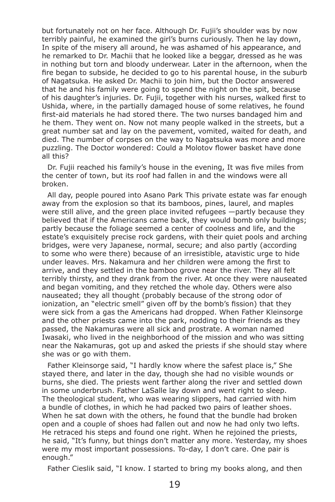but fortunately not on her face. Although Dr. Fujii's shoulder was by now terribly painful, he examined the girl's burns curiously. Then he lay down, In spite of the misery all around, he was ashamed of his appearance, and he remarked to Dr. Machii that he looked like a beggar, dressed as he was in nothing but torn and bloody underwear. Later in the afternoon, when the fire began to subside, he decided to go to his parental house, in the suburb of Nagatsuka. He asked Dr. Machii to join him, but the Doctor answered that he and his family were going to spend the night on the spit, because of his daughter's injuries. Dr. Fujii, together with his nurses, walked first to Ushida, where, in the partially damaged house of some relatives, he found first-aid materials he had stored there. The two nurses bandaged him and he them. They went on. Now not many people walked in the streets, but a great number sat and lay on the pavement, vomited, waited for death, and died. The number of corpses on the way to Nagatsuka was more and more puzzling. The Doctor wondered: Could a Molotov flower basket have done all this?

Dr. Fujii reached his family's house in the evening, It was five miles from the center of town, but its roof had fallen in and the windows were all broken.

All day, people poured into Asano Park This private estate was far enough away from the explosion so that its bamboos, pines, laurel, and maples were still alive, and the green place invited refugees —partly because they believed that if the Americans came back, they would bomb only buildings; partly because the foliage seemed a center of coolness and life, and the estate's exquisitely precise rock gardens, with their quiet pools and arching bridges, were very Japanese, normal, secure; and also partly (according to some who were there) because of an irresistible, atavistic urge to hide under leaves. Mrs. Nakamura and her children were among the first to arrive, and they settled in the bamboo grove near the river. They all felt terribly thirsty, and they drank from the river. At once they were nauseated and began vomiting, and they retched the whole day. Others were also nauseated; they all thought (probably because of the strong odor of ionization, an "electric smell" given off by the bomb's fission) that they were sick from a gas the Americans had dropped. When Father Kleinsorge and the other priests came into the park, nodding to their friends as they passed, the Nakamuras were all sick and prostrate. A woman named Iwasaki, who lived in the neighborhood of the mission and who was sitting near the Nakamuras, got up and asked the priests if she should stay where she was or go with them.

Father Kleinsorge said, "I hardly know where the safest place is," She stayed there, and later in the day, though she had no visible wounds or burns, she died. The priests went farther along the river and settled down in some underbrush. Father LaSalle lay down and went right to sleep. The theological student, who was wearing slippers, had carried with him a bundle of clothes, in which he had packed two pairs of leather shoes. When he sat down with the others, he found that the bundle had broken open and a couple of shoes had fallen out and now he had only two lefts. He retraced his steps and found one right. When he rejoined the priests, he said, "It's funny, but things don't matter any more. Yesterday, my shoes were my most important possessions. To-day, I don't care. One pair is enough."

Father Cieslik said, "I know. I started to bring my books along, and then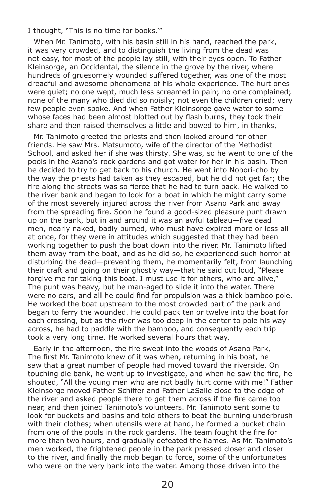I thought, "This is no time for books.'"

When Mr. Tanimoto, with his basin still in his hand, reached the park, it was very crowded, and to distinguish the living from the dead was not easy, for most of the people lay still, with their eyes open. To Father Kleinsorge, an Occidental, the silence in the grove by the river, where hundreds of gruesomely wounded suffered together, was one of the most dreadful and awesome phenomena of his whole experience. The hurt ones were quiet; no one wept, much less screamed in pain; no one complained; none of the many who died did so noisily; not even the children cried; very few people even spoke. And when Father Kleinsorge gave water to some whose faces had been almost blotted out by flash burns, they took their share and then raised themselves a little and bowed to him, in thanks,

Mr. Tanimoto greeted the priests and then looked around for other friends. He saw Mrs. Matsumoto, wife of the director of the Methodist School, and asked her if she was thirsty. She was, so he went to one of the pools in the Asano's rock gardens and got water for her in his basin. Then he decided to try to get back to his church. He went into Nobori-cho by the way the priests had taken as they escaped, but he did not get far; the fire along the streets was so fierce that he had to turn back. He walked to the river bank and began to look for a boat in which he might carry some of the most severely injured across the river from Asano Park and away from the spreading fire. Soon he found a good-sized pleasure punt drawn up on the bank, but in and around it was an awful tableau—five dead men, nearly naked, badly burned, who must have expired more or less all at once, for they were in attitudes which suggested that they had been working together to push the boat down into the river. Mr. Tanimoto lifted them away from the boat, and as he did so, he experienced such horror at disturbing the dead—preventing them, he momentarily felt, from launching their craft and going on their ghostly way—that he said out loud, "Please forgive me for taking this boat. I must use it for others, who are alive," The punt was heavy, but he man-aged to slide it into the water. There were no oars, and all he could find for propulsion was a thick bamboo pole. He worked the boat upstream to the most crowded part of the park and began to ferry the wounded. He could pack ten or twelve into the boat for each crossing, but as the river was too deep in the center to pole his way across, he had to paddle with the bamboo, and consequently each trip took a very long time. He worked several hours that way,

Early in the afternoon, the fire swept into the woods of Asano Park, The first Mr. Tanimoto knew of it was when, returning in his boat, he saw that a great number of people had moved toward the riverside. On touching die bank, he went up to investigate, and when he saw the fire, he shouted, "All the young men who are not badly hurt come with me!" Father Kleinsorge moved Father Schiffer and Father LaSalle close to the edge of the river and asked people there to get them across if the fire came too near, and then joined Tanimoto's volunteers. Mr. Tanimoto sent some to look for buckets and basins and told others to beat the burning underbrush with their clothes; when utensils were at hand, he formed a bucket chain from one of the pools in the rock gardens. The team fought the fire for more than two hours, and gradually defeated the flames. As Mr. Tanimoto's men worked, the frightened people in the park pressed closer and closer to the river, and finally the mob began to force, some of the unfortunates who were on the very bank into the water. Among those driven into the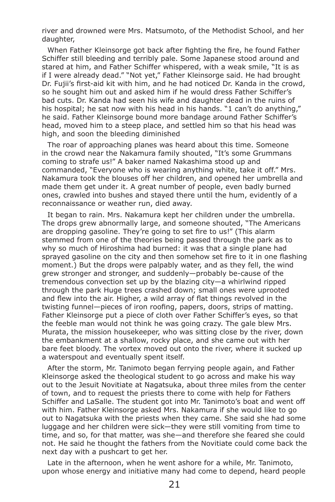river and drowned were Mrs. Matsumoto, of the Methodist School, and her daughter,

When Father Kleinsorge got back after fighting the fire, he found Father Schiffer still bleeding and terribly pale. Some Japanese stood around and stared at him, and Father Schiffer whispered, with a weak smile, "It is as if I were already dead." "Not yet," Father Kleinsorge said. He had brought Dr. Fujii's first-aid kit with him, and he had noticed Dr. Kanda in the crowd, so he sought him out and asked him if he would dress Father Schiffer's bad cuts. Dr. Kanda had seen his wife and daughter dead in the ruins of his hospital; he sat now with his head in his hands. "1 can't do anything," he said. Father Kleinsorge bound more bandage around Father Schiffer's head, moved him to a steep place, and settled him so that his head was high, and soon the bleeding diminished

The roar of approaching planes was heard about this time. Someone in the crowd near the Nakamura family shouted, "It's some Grummans coming to strafe us!" A baker named Nakashima stood up and commanded, "Everyone who is wearing anything white, take it off." Mrs. Nakamura took the blouses off her children, and opened her umbrella and made them get under it. A great number of people, even badly burned ones, crawled into bushes and stayed there until the hum, evidently of a reconnaissance or weather run, died away.

It began to rain. Mrs. Nakamura kept her children under the umbrella. The drops grew abnormally large, and someone shouted, "The Americans are dropping gasoline. They're going to set fire to us!" (This alarm stemmed from one of the theories being passed through the park as to why so much of Hiroshima had burned: it was that a single plane had sprayed gasoline on the city and then somehow set fire to it in one flashing moment.) But the drops were palpably water, and as they fell, the wind grew stronger and stronger, and suddenly—probably be-cause of the tremendous convection set up by the blazing city—a whirlwind ripped through the park Huge trees crashed down; small ones were uprooted and flew into the air. Higher, a wild array of flat things revolved in the twisting funnel—pieces of iron roofing, papers, doors, strips of matting. Father Kleinsorge put a piece of cloth over Father Schiffer's eyes, so that the feeble man would not think he was going crazy. The gale blew Mrs. Murata, the mission housekeeper, who was sitting close by the river, down the embankment at a shallow, rocky place, and she came out with her bare feet bloody. The vortex moved out onto the river, where it sucked up a waterspout and eventually spent itself.

After the storm, Mr. Tanimoto began ferrying people again, and Father Kleinsorge asked the theological student to go across and make his way out to the Jesuit Novitiate at Nagatsuka, about three miles from the center of town, and to request the priests there to come with help for Fathers Schiffer and LaSalle. The student got into Mr. Tanimoto's boat and went off with him. Father Kleinsorge asked Mrs. Nakamura if she would like to go out to Nagatsuka with the priests when they came. She said she had some luggage and her children were sick—they were still vomiting from time to time, and so, for that matter, was she—and therefore she feared she could not. He said he thought the fathers from the Novitiate could come back the next day with a pushcart to get her.

Late in the afternoon, when he went ashore for a while, Mr. Tanimoto, upon whose energy and initiative many had come to depend, heard people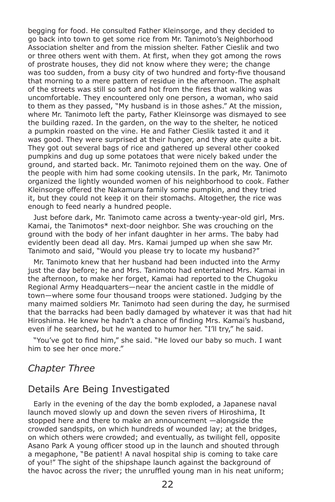<span id="page-25-0"></span>begging for food. He consulted Father Kleinsorge, and they decided to go back into town to get some rice from Mr. Tanimoto's Neighborhood Association shelter and from the mission shelter. Father Cieslik and two or three others went with them. At first, when they got among the rows of prostrate houses, they did not know where they were; the change was too sudden, from a busy city of two hundred and forty-five thousand that morning to a mere pattern of residue in the afternoon. The asphalt of the streets was still so soft and hot from the fires that walking was uncomfortable. They encountered only one person, a woman, who said to them as they passed, "My husband is in those ashes." At the mission, where Mr. Tanimoto left the party, Father Kleinsorge was dismayed to see the building razed. In the garden, on the way to the shelter, he noticed a pumpkin roasted on the vine. He and Father Cieslik tasted it and it was good. They were surprised at their hunger, and they ate quite a bit. They got out several bags of rice and gathered up several other cooked pumpkins and dug up some potatoes that were nicely baked under the ground, and started back. Mr. Tanimoto rejoined them on the way. One of the people with him had some cooking utensils. In the park, Mr. Tanimoto organized the lightly wounded women of his neighborhood to cook. Father Kleinsorge offered the Nakamura family some pumpkin, and they tried it, but they could not keep it on their stomachs. Altogether, the rice was enough to feed nearly a hundred people.

Just before dark, Mr. Tanimoto came across a twenty-year-old girl, Mrs. Kamai, the Tanimotos\* next-door neighbor. She was crouching on the ground with the body of her infant daughter in her arms. The baby had evidently been dead all day. Mrs. Kamai jumped up when she saw Mr. Tanimoto and said, "Would you please try to locate my husband?"

Mr. Tanimoto knew that her husband had been inducted into the Army just the day before; he and Mrs. Tanimoto had entertained Mrs. Kamai in the afternoon, to make her forget, Kamai had reported to the Chugoku Regional Army Headquarters—near the ancient castle in the middle of town—where some four thousand troops were stationed. Judging by the many maimed soldiers Mr. Tanimoto had seen during the day, he surmised that the barracks had been badly damaged by whatever it was that had hit Hiroshima. He knew he hadn't a chance of finding Mrs. Kamai's husband, even if he searched, but he wanted to humor her. "I'll try," he said.

"You've got to find him," she said. "He loved our baby so much. I want him to see her once more."

#### *Chapter Three*

#### Details Are Being Investigated

Early in the evening of the day the bomb exploded, a Japanese naval launch moved slowly up and down the seven rivers of Hiroshima, It stopped here and there to make an announcement —alongside the crowded sandspits, on which hundreds of wounded lay; at the bridges, on which others were crowded; and eventually, as twilight fell, opposite Asano Park A young officer stood up in the launch and shouted through a megaphone, "Be patient! A naval hospital ship is coming to take care of you!" The sight of the shipshape launch against the background of the havoc across the river; the unruffled young man in his neat uniform;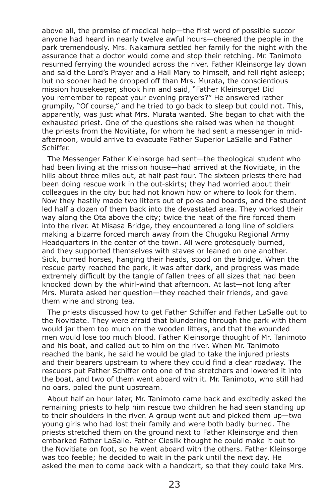above all, the promise of medical help—the first word of possible succor anyone had heard in nearly twelve awful hours—cheered the people in the park tremendously. Mrs. Nakamura settled her family for the night with the assurance that a doctor would come and stop their retching. Mr. Tanimoto resumed ferrying the wounded across the river. Father Kleinsorge lay down and said the Lord's Prayer and a Hail Mary to himself, and fell right asleep; but no sooner had he dropped off than Mrs. Murata, the conscientious mission housekeeper, shook him and said, "Father Kleinsorge! Did you remember to repeat your evening prayers?" He answered rather grumpily, "Of course," and he tried to go back to sleep but could not. This, apparently, was just what Mrs. Murata wanted. She began to chat with the exhausted priest. One of the questions she raised was when he thought the priests from the Novitiate, for whom he had sent a messenger in midafternoon, would arrive to evacuate Father Superior LaSalle and Father Schiffer.

The Messenger Father Kleinsorge had sent—the theological student who had been living at the mission house—had arrived at the Novitiate, in the hills about three miles out, at half past four. The sixteen priests there had been doing rescue work in the out-skirts; they had worried about their colleagues in the city but had not known how or where to look for them. Now they hastily made two litters out of poles and boards, and the student led half a dozen of them back into the devastated area. They worked their way along the Ota above the city; twice the heat of the fire forced them into the river. At Misasa Bridge, they encountered a long line of soldiers making a bizarre forced march away from the Chugoku Regional Army Headquarters in the center of the town. All were grotesquely burned, and they supported themselves with staves or leaned on one another. Sick, burned horses, hanging their heads, stood on the bridge. When the rescue party reached the park, it was after dark, and progress was made extremely difficult by the tangle of fallen trees of all sizes that had been knocked down by the whirl-wind that afternoon. At last—not long after Mrs. Murata asked her question—they reached their friends, and gave them wine and strong tea.

The priests discussed how to get Father Schiffer and Father LaSalle out to the Novitiate. They were afraid that blundering through the park with them would jar them too much on the wooden litters, and that the wounded men would lose too much blood. Father Kleinsorge thought of Mr. Tanimoto and his boat, and called out to him on the river. When Mr. Tanimoto reached the bank, he said he would be glad to take the injured priests and their bearers upstream to where they could find a clear roadway. The rescuers put Father Schiffer onto one of the stretchers and lowered it into the boat, and two of them went aboard with it. Mr. Tanimoto, who still had no oars, poled the punt upstream.

About half an hour later, Mr. Tanimoto came back and excitedly asked the remaining priests to help him rescue two children he had seen standing up to their shoulders in the river. A group went out and picked them up—two young girls who had lost their family and were both badly burned. The priests stretched them on the ground next to Father Kleinsorge and then embarked Father LaSalle. Father Cieslik thought he could make it out to the Novitiate on foot, so he went aboard with the others. Father Kleinsorge was too feeble; he decided to wait in the park until the next day. He asked the men to come back with a handcart, so that they could take Mrs.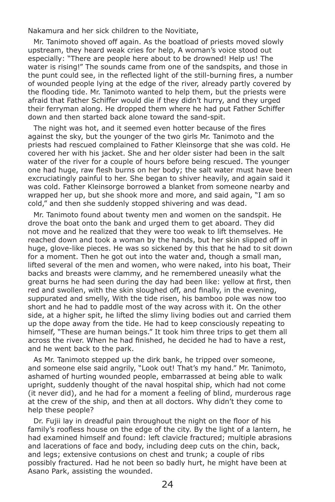Nakamura and her sick children to the Novitiate,

Mr. Tanimoto shoved off again. As the boatload of priests moved slowly upstream, they heard weak cries for help, A woman's voice stood out especially: "There are people here about to be drowned! Help us! The water is rising!" The sounds came from one of the sandspits, and those in the punt could see, in the reflected light of the still-burning fires, a number of wounded people lying at the edge of the river, already partly covered by the flooding tide. Mr. Tanimoto wanted to help them, but the priests were afraid that Father Schiffer would die if they didn't hurry, and they urged their ferryman along. He dropped them where he had put Father Schiffer down and then started back alone toward the sand-spit.

The night was hot, and it seemed even hotter because of the fires against the sky, but the younger of the two girls Mr. Tanimoto and the priests had rescued complained to Father Kleinsorge that she was cold. He covered her with his jacket. She and her older sister had been in the salt water of the river for a couple of hours before being rescued. The younger one had huge, raw flesh burns on her body; the salt water must have been excruciatingly painful to her. She began to shiver heavily, and again said it was cold. Father Kleinsorge borrowed a blanket from someone nearby and wrapped her up, but she shook more and more, and said again, "I am so cold," and then she suddenly stopped shivering and was dead.

Mr. Tanimoto found about twenty men and women on the sandspit. He drove the boat onto the bank and urged them to get aboard. They did not move and he realized that they were too weak to lift themselves. He reached down and took a woman by the hands, but her skin slipped off in huge, glove-like pieces. He was so sickened by this that he had to sit down for a moment. Then he got out into the water and, though a small man, lifted several of the men and women, who were naked, into his boat, Their backs and breasts were clammy, and he remembered uneasily what the great burns he had seen during the day had been like: yellow at first, then red and swollen, with the skin sloughed off, and finally, in the evening, suppurated and smelly, With the tide risen, his bamboo pole was now too short and he had to paddle most of the way across with it. On the other side, at a higher spit, he lifted the slimy living bodies out and carried them up the dope away from the tide. He had to keep consciously repeating to himself, "These are human beings." It took him three trips to get them all across the river. When he had finished, he decided he had to have a rest, and he went back to the park.

As Mr. Tanimoto stepped up the dirk bank, he tripped over someone, and someone else said angrily, "Look out! That's my hand." Mr. Tanimoto, ashamed of hurting wounded people, embarrassed at being able to walk upright, suddenly thought of the naval hospital ship, which had not come (it never did), and he had for a moment a feeling of blind, murderous rage at the crew of the ship, and then at all doctors. Why didn't they come to help these people?

Dr. Fujii lay in dreadful pain throughout the night on the floor of his family's roofless house on the edge of the city. By the light of a lantern, he had examined himself and found: left clavicle fractured; multiple abrasions and lacerations of face and body, including deep cuts on the chin, back, and legs; extensive contusions on chest and trunk; a couple of ribs possibly fractured. Had he not been so badly hurt, he might have been at Asano Park, assisting the wounded.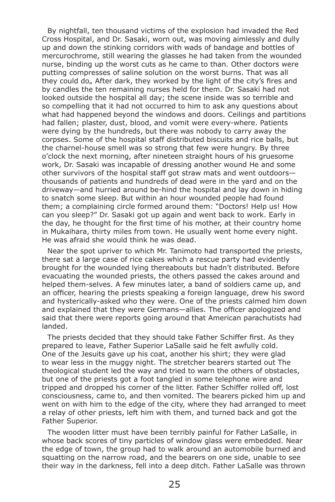By nightfall, ten thousand victims of the explosion had invaded the Red Cross Hospital, and Dr. Sasaki, worn out, was moving aimlessly and dully up and down the stinking corridors with wads of bandage and bottles of mercurochrome, still wearing the glasses he had taken from the wounded nurse, binding up the worst cuts as he came to than. Other doctors were putting compresses of saline solution on the worst burns. That was all they could do,, After dark, they worked by the light of the city's fires and by candles the ten remaining nurses held for them. Dr. Sasaki had not looked outside the hospital all day; the scene inside was so terrible and so compelling that it had not occurred to him to ask any questions about what had happened beyond the windows and doors. Ceilings and partitions had fallen; plaster, dust, blood, and vomit were every-where. Patients were dying by the hundreds, but there was nobody to carry away the corpses. Some of the hospital staff distributed biscuits and rice balls, but the charnel-house smell was so strong that few were hungry. By three o'clock the next morning, after nineteen straight hours of his gruesome work, Dr. Sasaki was incapable of dressing another wound He and some other survivors of the hospital staff got straw mats and went outdoors thousands of patients and hundreds of dead were in the yard and on the driveway—and hurried around be-hind the hospital and lay down in hiding to snatch some sleep. But within an hour wounded people had found them; a complaining circle formed around them: "Doctors! Help us! How can you sleep?" Dr. Sasaki got up again and went back to work. Early in the day, he thought for the first time of his mother, at their country home in Mukaihara, thirty miles from town. He usually went home every night. He was afraid she would think he was dead.

Near the spot upriver to which Mr. Tanimoto had transported the priests, there sat a large case of rice cakes which a rescue party had evidently brought for the wounded lying thereabouts but hadn't distributed. Before evacuating the wounded priests, the others passed the cakes around and helped them-selves. A few minutes later, a band of soldiers came up, and an officer, hearing the priests speaking a foreign language, drew his sword and hysterically-asked who they were. One of the priests calmed him down and explained that they were Germans—allies. The officer apologized and said that there were reports going around that American parachutists had landed.

The priests decided that they should take Father Schiffer first. As they prepared to leave, Father Superior LaSalle said he felt awfully cold. One of the Jesuits gave up his coat, another his shirt; they were glad to wear less in the muggy night. The stretcher bearers started out The theological student led the way and tried to warn the others of obstacles, but one of the priests got a foot tangled in some telephone wire and tripped and dropped his corner of the litter. Father Schiffer rolled off, lost consciousness, came to, and then vomited. The bearers picked him up and went on with him to the edge of the city, where they had arranged to meet a relay of other priests, left him with them, and turned back and got the Father Superior.

The wooden litter must have been terribly painful for Father LaSalle, in whose back scores of tiny particles of window glass were embedded. Near the edge of town, the group had to walk around an automobile burned and squatting on the narrow road, and the bearers on one side, unable to see their way in the darkness, fell into a deep ditch. Father LaSalle was thrown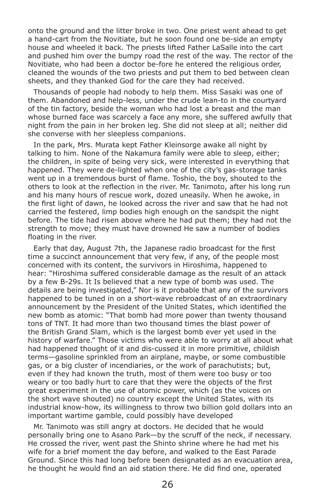onto the ground and the litter broke in two. One priest went ahead to get a hand-cart from the Novitiate, but he soon found one be-side an empty house and wheeled it back. The priests lifted Father LaSalle into the cart and pushed him over the bumpy road the rest of the way. The rector of the Novitiate, who had been a doctor be-fore he entered the religious order, cleaned the wounds of the two priests and put them to bed between clean sheets, and they thanked God for the care they had received.

Thousands of people had nobody to help them. Miss Sasaki was one of them. Abandoned and help-less, under the crude lean-to in the courtyard of the tin factory, beside the woman who had lost a breast and the man whose burned face was scarcely a face any more, she suffered awfully that night from the pain in her broken leg. She did not sleep at all; neither did she converse with her sleepless companions.

In the park, Mrs. Murata kept Father Kleinsorge awake all night by talking to him. None of the Nakamura family were able to sleep, either; the children, in spite of being very sick, were interested in everything that happened. They were de-lighted when one of the city's gas-storage tanks went up in a tremendous burst of flame. Toshio, the boy, shouted to the others to look at the reflection in the river. Mr. Tanimoto, after his long run and his many hours of rescue work, dozed uneasily. When he awoke, in the first light of dawn, he looked across the river and saw that he had not carried the festered, limp bodies high enough on the sandspit the night before. The tide had risen above where he had put them; they had not the strength to move; they must have drowned He saw a number of bodies floating in the river.

Early that day, August 7th, the Japanese radio broadcast for the first time a succinct announcement that very few, if any, of the people most concerned with its content, the survivors in Hiroshima, happened to hear: "Hiroshima suffered considerable damage as the result of an attack by a few B-29s. It Is believed that a new type of bomb was used. The details are being investigated," Nor is it probable that any of the survivors happened to be tuned in on a short-wave rebroadcast of an extraordinary announcement by the President of the United States, which identified the new bomb as atomic: "That bomb had more power than twenty thousand tons of TNT. It had more than two thousand times the blast power of the British Grand Slam, which is the largest bomb ever yet used in the history of warfare." Those victims who were able to worry at all about what had happened thought of it and dis-cussed it in more primitive, childish terms—gasoline sprinkled from an airplane, maybe, or some combustible gas, or a big cluster of incendiaries, or the work of parachutists; but, even if they had known the truth, most of them were too busy or too weary or too badly hurt to care that they were the objects of the first great experiment in the use of atomic power, which (as the voices on the short wave shouted) no country except the United States, with its industrial know-how, its willingness to throw two billion gold dollars into an important wartime gamble, could possibly have developed

Mr. Tanimoto was still angry at doctors. He decided that he would personally bring one to Asano Park—by the scruff of the neck, if necessary. He crossed the river, went past the Shinto shrine where he had met his wife for a brief moment the day before, and walked to the East Parade Ground. Since this had long before been designated as an evacuation area, he thought he would find an aid station there. He did find one, operated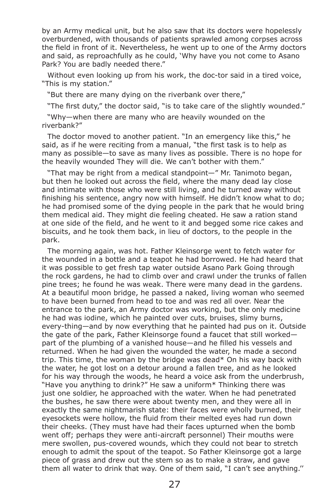by an Army medical unit, but he also saw that its doctors were hopelessly overburdened, with thousands of patients sprawled among corpses across the field in front of it. Nevertheless, he went up to one of the Army doctors and said, as reproachfully as he could, 'Why have you not come to Asano Park? You are badly needed there."

Without even looking up from his work, the doc-tor said in a tired voice, "This is my station."

"But there are many dying on the riverbank over there,"

"The first duty," the doctor said, "is to take care of the slightly wounded."

"Why—when there are many who are heavily wounded on the riverbank?"

The doctor moved to another patient. "In an emergency like this," he said, as if he were reciting from a manual, "the first task is to help as many as possible—to save as many lives as possible. There is no hope for the heavily wounded They will die. We can't bother with them."

"That may be right from a medical standpoint—" Mr. Tanimoto began, but then he looked out across the field, where the many dead lay close and intimate with those who were still living, and he turned away without finishing his sentence, angry now with himself. He didn't know what to do; he had promised some of the dying people in the park that he would bring them medical aid. They might die feeling cheated. He saw a ration stand at one side of the field, and he went to it and begged some rice cakes and biscuits, and he took them back, in lieu of doctors, to the people in the park.

The morning again, was hot. Father Kleinsorge went to fetch water for the wounded in a bottle and a teapot he had borrowed. He had heard that it was possible to get fresh tap water outside Asano Park Going through the rock gardens, he had to climb over and crawl under the trunks of fallen pine trees; he found he was weak. There were many dead in the gardens. At a beautiful moon bridge, he passed a naked, living woman who seemed to have been burned from head to toe and was red all over. Near the entrance to the park, an Army doctor was working, but the only medicine he had was iodine, which he painted over cuts, bruises, slimy burns, every-thing—and by now everything that he painted had pus on it. Outside the gate of the park, Father Kleinsorge found a faucet that still worked part of the plumbing of a vanished house—and he filled his vessels and returned. When he had given the wounded the water, he made a second trip. This time, the woman by the bridge was dead\* On his way back with the water, he got lost on a detour around a fallen tree, and as he looked for his way through the woods, he heard a voice ask from the underbrush, "Have you anything to drink?" He saw a uniform\* Thinking there was just one soldier, he approached with the water. When he had penetrated the bushes, he saw there were about twenty men, and they were all in exactly the same nightmarish state: their faces were wholly burned, their eyesockets were hollow, the fluid from their melted eyes had run down their cheeks. (They must have had their faces upturned when the bomb went off; perhaps they were anti-aircraft personnel) Their mouths were mere swollen, pus-covered wounds, which they could not bear to stretch enough to admit the spout of the teapot. So Father Kleinsorge got a large piece of grass and drew out the stem so as to make a straw, and gave them all water to drink that way. One of them said, "I can't see anything.''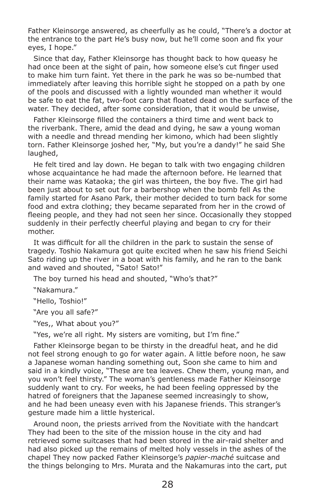Father Kleinsorge answered, as cheerfully as he could, "There's a doctor at the entrance to the part He's busy now, but he'll come soon and fix your eyes, I hope."

Since that day, Father Kleinsorge has thought back to how queasy he had once been at the sight of pain, how someone else's cut finger used to make him turn faint. Yet there in the park he was so be-numbed that immediately after leaving this horrible sight he stopped on a path by one of the pools and discussed with a lightly wounded man whether it would be safe to eat the fat, two-foot carp that floated dead on the surface of the water. They decided, after some consideration, that it would be unwise,

Father Kleinsorge filled the containers a third time and went back to the riverbank. There, amid the dead and dying, he saw a young woman with a needle and thread mending her kimono, which had been slightly torn. Father Kleinsorge joshed her, "My, but you're a dandy!" he said She laughed,

He felt tired and lay down. He began to talk with two engaging children whose acquaintance he had made the afternoon before. He learned that their name was Kataoka; the girl was thirteen, the boy five. The girl had been just about to set out for a barbershop when the bomb fell As the family started for Asano Park, their mother decided to turn back for some food and extra clothing; they became separated from her in the crowd of fleeing people, and they had not seen her since. Occasionally they stopped suddenly in their perfectly cheerful playing and began to cry for their mother.

It was difficult for all the children in the park to sustain the sense of tragedy. Toshio Nakamura got quite excited when he saw his friend Seichi Sato riding up the river in a boat with his family, and he ran to the bank and waved and shouted, "Sato! Sato!"

The boy turned his head and shouted, "Who's that?"

"Nakamura."

"Hello, Toshio!"

"Are you all safe?"

"Yes,, What about you?"

"Yes, we're all right. My sisters are vomiting, but I'm fine."

Father Kleinsorge began to be thirsty in the dreadful heat, and he did not feel strong enough to go for water again. A little before noon, he saw a Japanese woman handing something out, Soon she came to him and said in a kindly voice, "These are tea leaves. Chew them, young man, and you won't feel thirsty." The woman's gentleness made Father Kleinsorge suddenly want to cry. For weeks, he had been feeling oppressed by the hatred of foreigners that the Japanese seemed increasingly to show, and he had been uneasy even with his Japanese friends. This stranger's gesture made him a little hysterical.

Around noon, the priests arrived from the Novitiate with the handcart They had been to the site of the mission house in the city and had retrieved some suitcases that had been stored in the air-raid shelter and had also picked up the remains of melted holy vessels in the ashes of the chapel They now packed Father Kleinsorge's *papier-maché* suitcase and the things belonging to Mrs. Murata and the Nakamuras into the cart, put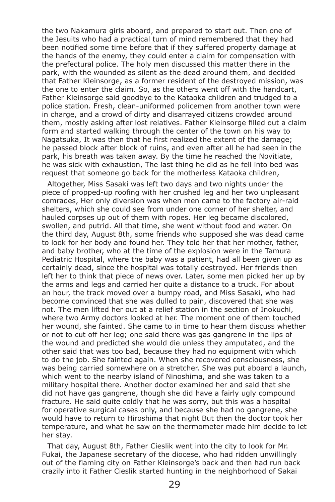the two Nakamura girls aboard, and prepared to start out. Then one of the Jesuits who had a practical turn of mind remembered that they had been notified some time before that if they suffered property damage at the hands of the enemy, they could enter a claim for compensation with the prefectural police. The holy men discussed this matter there in the park, with the wounded as silent as the dead around them, and decided that Father Kleinsorge, as a former resident of the destroyed mission, was the one to enter the claim. So, as the others went off with the handcart, Father Kleinsorge said goodbye to the Kataoka children and trudged to a police station. Fresh, clean-uniformed policemen from another town were in charge, and a crowd of dirty and disarrayed citizens crowded around them, mostly asking after lost relatives. Father Kleinsorge filled out a claim form and started walking through the center of the town on his way to Nagatsuka, It was then that he first realized the extent of the damage; he passed block after block of ruins, and even after all he had seen in the park, his breath was taken away. By the time he reached the Novitiate, he was sick with exhaustion, The last thing he did as he fell into bed was request that someone go back for the motherless Kataoka children,

Altogether, Miss Sasaki was left two days and two nights under the piece of propped-up roofing with her crushed leg and her two unpleasant comrades, Her only diversion was when men came to the factory air-raid shelters, which she could see from under one corner of her shelter, and hauled corpses up out of them with ropes. Her leg became discolored, swollen, and putrid. All that time, she went without food and water. On the third day, August 8th, some friends who supposed she was dead came to look for her body and found her. They told her that her mother, father, and baby brother, who at the time of the explosion were in the Tamura Pediatric Hospital, where the baby was a patient, had all been given up as certainly dead, since the hospital was totally destroyed. Her friends then left her to think that piece of news over. Later, some men picked her up by the arms and legs and carried her quite a distance to a truck. For about an hour, the track moved over a bumpy road, and Miss Sasaki, who had become convinced that she was dulled to pain, discovered that she was not. The men lifted her out at a relief station in the section of Inokuchi, where two Army doctors looked at her. The moment one of them touched her wound, she fainted. She came to in time to hear them discuss whether or not to cut off her leg; one said there was gas gangrene in the lips of the wound and predicted she would die unless they amputated, and the other said that was too bad, because they had no equipment with which to do the job. She fainted again. When she recovered consciousness, she was being carried somewhere on a stretcher. She was put aboard a launch, which went to the nearby island of Ninoshima, and she was taken to a military hospital there. Another doctor examined her and said that she did not have gas gangrene, though she did have a fairly ugly compound fracture. He said quite coldly that he was sorry, but this was a hospital for operative surgical cases only, and because she had no gangrene, she would have to return to Hiroshima that night But then the doctor took her temperature, and what he saw on the thermometer made him decide to let her stay.

That day, August 8th, Father Cieslik went into the city to look for Mr. Fukai, the Japanese secretary of the diocese, who had ridden unwillingly out of the flaming city on Father Kleinsorge's back and then had run back crazily into it Father Cieslik started hunting in the neighborhood of Sakai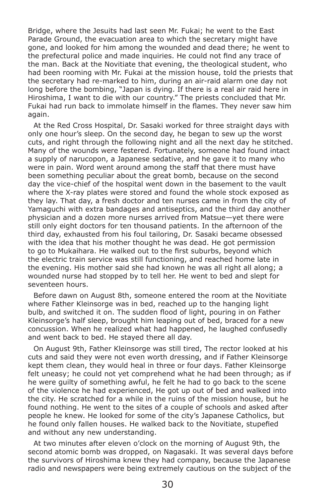Bridge, where the Jesuits had last seen Mr. Fukai; he went to the East Parade Ground, the evacuation area to which the secretary might have gone, and looked for him among the wounded and dead there; he went to the prefectural police and made inquiries. He could not find any trace of the man. Back at the Novitiate that evening, the theological student, who had been rooming with Mr. Fukai at the mission house, told the priests that the secretary had re-marked to him, during an air-raid alarm one day not long before the bombing, "Japan is dying. If there is a real air raid here in Hiroshima, I want to die with our country." The priests concluded that Mr. Fukai had run back to immolate himself in the flames. They never saw him again.

At the Red Cross Hospital, Dr. Sasaki worked for three straight days with only one hour's sleep. On the second day, he began to sew up the worst cuts, and right through the following night and all the next day he stitched. Many of the wounds were festered. Fortunately, someone had found intact a supply of narucopon, a Japanese sedative, and he gave it to many who were in pain. Word went around among the staff that there must have been something peculiar about the great bomb, because on the second day the vice-chief of the hospital went down in the basement to the vault where the X-ray plates were stored and found the whole stock exposed as they lay. That day, a fresh doctor and ten nurses came in from the city of Yamaguchi with extra bandages and antiseptics, and the third day another physician and a dozen more nurses arrived from Matsue—yet there were still only eight doctors for ten thousand patients. In the afternoon of the third day, exhausted from his foul tailoring, Dr. Sasaki became obsessed with the idea that his mother thought he was dead. He got permission to go to Mukaihara. He walked out to the first suburbs, beyond which the electric train service was still functioning, and reached home late in the evening. His mother said she had known he was all right all along; a wounded nurse had stopped by to tell her. He went to bed and slept for seventeen hours.

Before dawn on August 8th, someone entered the room at the Novitiate where Father Kleinsorge was in bed, reached up to the hanging light bulb, and switched it on. The sudden flood of light, pouring in on Father Kleinsorge's half sleep, brought him leaping out of bed, braced for a new concussion. When he realized what had happened, he laughed confusedly and went back to bed. He stayed there all day.

On August 9th, Father Kleinsorge was still tired, The rector looked at his cuts and said they were not even worth dressing, and if Father Kleinsorge kept them clean, they would heal in three or four days. Father Kleinsorge felt uneasy; he could not yet comprehend what he had been through; as if he were guilty of something awful, he felt he had to go back to the scene of the violence he had experienced, He got up out of bed and walked into the city. He scratched for a while in the ruins of the mission house, but he found nothing. He went to the sites of a couple of schools and asked after people he knew. He looked for some of the city's Japanese Catholics, but he found only fallen houses. He walked back to the Novitiate, stupefied and without any new understanding.

At two minutes after eleven o'clock on the morning of August 9th, the second atomic bomb was dropped, on Nagasaki. It was several days before the survivors of Hiroshima knew they had company, because the Japanese radio and newspapers were being extremely cautious on the subject of the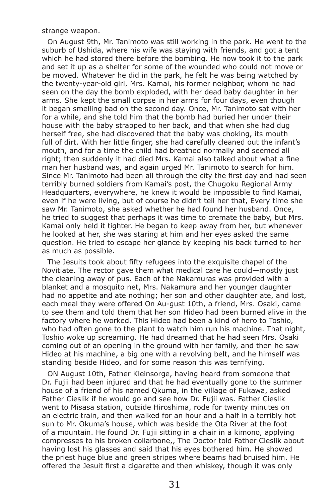strange weapon.

On August 9th, Mr. Tanimoto was still working in the park. He went to the suburb of Ushida, where his wife was staying with friends, and got a tent which he had stored there before the bombing. He now took it to the park and set it up as a shelter for some of the wounded who could not move or be moved. Whatever he did in the park, he felt he was being watched by the twenty-year-old girl, Mrs. Kamai, his former neighbor, whom he had seen on the day the bomb exploded, with her dead baby daughter in her arms. She kept the small corpse in her arms for four days, even though it began smelling bad on the second day. Once, Mr. Tanimoto sat with her for a while, and she told him that the bomb had buried her under their house with the baby strapped to her back, and that when she had dug herself free, she had discovered that the baby was choking, its mouth full of dirt. With her little finger, she had carefully cleaned out the infant's mouth, and for a time the child had breathed normally and seemed all right; then suddenly it had died Mrs. Kamai also talked about what a fine man her husband was, and again urged Mr. Tanimoto to search for him. Since Mr. Tanimoto had been all through the city the first day and had seen terribly burned soldiers from Kamai's post, the Chugoku Regional Army Headquarters, everywhere, he knew it would be impossible to find Kamai, even if he were living, but of course he didn't tell her that, Every time she saw Mr. Tanimoto, she asked whether he had found her husband. Once, he tried to suggest that perhaps it was time to cremate the baby, but Mrs. Kamai only held it tighter. He began to keep away from her, but whenever he looked at her, she was staring at him and her eyes asked the same question. He tried to escape her glance by keeping his back turned to her as much as possible.

The Jesuits took about fifty refugees into the exquisite chapel of the Novitiate. The rector gave them what medical care he could—mostly just the cleaning away of pus. Each of the Nakamuras was provided with a blanket and a mosquito net, Mrs. Nakamura and her younger daughter had no appetite and ate nothing; her son and other daughter ate, and lost, each meal they were offered On Au-gust 10th, a friend, Mrs. Osaki, came to see them and told them that her son Hideo had been burned alive in the factory where he worked. This Hideo had been a kind of hero to Toshio, who had often gone to the plant to watch him run his machine. That night, Toshio woke up screaming. He had dreamed that he had seen Mrs. Osaki coming out of an opening in the ground with her family, and then he saw Hideo at his machine, a big one with a revolving belt, and he himself was standing beside Hideo, and for some reason this was terrifying.

ON August 10th, Father Kleinsorge, having heard from someone that Dr. Fujii had been injured and that he had eventually gone to the summer house of a friend of his named Qkuma, in the village of Fukawa, asked Father Cieslik if he would go and see how Dr. Fujii was. Father Cieslik went to Misasa station, outside Hiroshima, rode for twenty minutes on an electric train, and then walked for an hour and a half in a terribly hot sun to Mr. Okuma's house, which was beside the Ota River at the foot of a mountain. He found Dr. Fujii sitting in a chair in a kimono, applying compresses to his broken collarbone,, The Doctor told Father Cieslik about having lost his glasses and said that his eyes bothered him. He showed the priest huge blue and green stripes where beams had bruised him. He offered the Jesuit first a cigarette and then whiskey, though it was only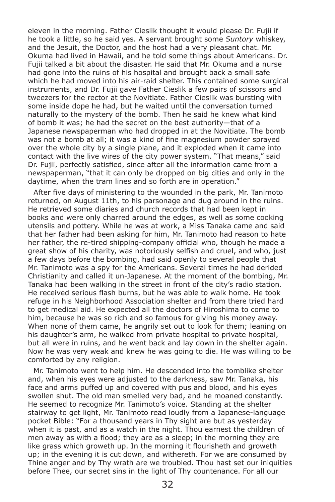eleven in the morning. Father Cieslik thought it would please Dr. Fujii if he took a little, so he said yes. A servant brought some *Suntory* whiskey, and the Jesuit, the Doctor, and the host had a very pleasant chat. Mr. Okuma had lived in Hawaii, and he told some things about Americans. Dr. Fujii talked a bit about the disaster. He said that Mr. Okuma and a nurse had gone into the ruins of his hospital and brought back a small safe which he had moved into his air-raid shelter. This contained some surgical instruments, and Dr. Fujii gave Father Cieslik a few pairs of scissors and tweezers for the rector at the Novitiate. Father Cieslik was bursting with some inside dope he had, but he waited until the conversation turned naturally to the mystery of the bomb. Then he said he knew what kind of bomb it was; he had the secret on the best authority—that of a Japanese newspaperman who had dropped in at the Novitiate. The bomb was not a bomb at all; it was a kind of fine magnesium powder sprayed over the whole city by a single plane, and it exploded when it came into contact with the live wires of the city power system. "That means," said Dr. Fujii, perfectly satisfied, since after all the information came from a newspaperman, "that it can only be dropped on big cities and only in the daytime, when the tram lines and so forth are in operation."

After five days of ministering to the wounded in the park, Mr. Tanimoto returned, on August 11th, to his parsonage and dug around in the ruins. He retrieved some diaries and church records that had been kept in books and were only charred around the edges, as well as some cooking utensils and pottery. While he was at work, a Miss Tanaka came and said that her father had been asking for him, Mr. Tanimoto had reason to hate her father, the re-tired shipping-company official who, though he made a great show of his charity, was notoriously selfish and cruel, and who, just a few days before the bombing, had said openly to several people that Mr. Tanimoto was a spy for the Americans. Several times he had derided Christianity and called it un-Japanese. At the moment of the bombing, Mr. Tanaka had been walking in the street in front of the city's radio station. He received serious flash burns, but he was able to walk home. He took refuge in his Neighborhood Association shelter and from there tried hard to get medical aid. He expected all the doctors of Hiroshima to come to him, because he was so rich and so famous for giving his money away. When none of them came, he angrily set out to look for them; leaning on his daughter's arm, he walked from private hospital to private hospital, but all were in ruins, and he went back and lay down in the shelter again. Now he was very weak and knew he was going to die. He was willing to be comforted by any religion.

Mr. Tanimoto went to help him. He descended into the tomblike shelter and, when his eyes were adjusted to the darkness, saw Mr. Tanaka, his face and arms puffed up and covered with pus and blood, and his eyes swollen shut. The old man smelled very bad, and he moaned constantly. He seemed to recognize Mr. Tanimoto's voice. Standing at the shelter stairway to get light, Mr. Tanimoto read loudly from a Japanese-language pocket Bible: "For a thousand years in Thy sight are but as yesterday when it is past, and as a watch in the night. Thou earnest the children of men away as with a flood; they are as a sleep; in the morning they are like grass which groweth up. In the morning it flourisheth and groweth up; in the evening it is cut down, and withereth. For we are consumed by Thine anger and by Thy wrath are we troubled. Thou hast set our iniquities before Thee, our secret sins in the light of Thy countenance. For all our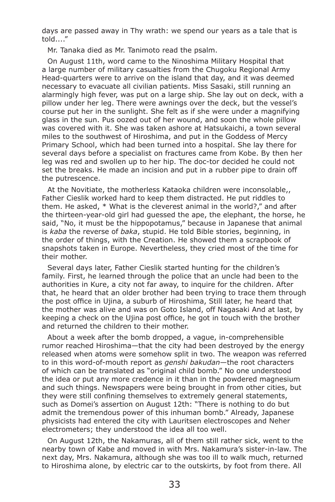days are passed away in Thy wrath: we spend our years as a tale that is told...."

Mr. Tanaka died as Mr. Tanimoto read the psalm.

On August 11th, word came to the Ninoshima Military Hospital that a large number of military casualties from the Chugoku Regional Army Head-quarters were to arrive on the island that day, and it was deemed necessary to evacuate all civilian patients. Miss Sasaki, still running an alarmingly high fever, was put on a large ship. She lay out on deck, with a pillow under her leg. There were awnings over the deck, but the vessel's course put her in the sunlight. She felt as if she were under a magnifying glass in the sun. Pus oozed out of her wound, and soon the whole pillow was covered with it. She was taken ashore at Hatsukaichi, a town several miles to the southwest of Hiroshima, and put in the Goddess of Mercy Primary School, which had been turned into a hospital. She lay there for several days before a specialist on fractures came from Kobe. By then her leg was red and swollen up to her hip. The doc-tor decided he could not set the breaks. He made an incision and put in a rubber pipe to drain off the putrescence.

At the Novitiate, the motherless Kataoka children were inconsolable,, Father Cieslik worked hard to keep them distracted. He put riddles to them. He asked, \* What is the cleverest animal in the world?," and after the thirteen-year-old girl had guessed the ape, the elephant, the horse, he said, "No, it must be the hippopotamus," because in Japanese that animal is *kaba* the reverse of *baka*, stupid. He told Bible stories, beginning, in the order of things, with the Creation. He showed them a scrapbook of snapshots taken in Europe. Nevertheless, they cried most of the time for their mother.

Several days later, Father Cieslik started hunting for the children's family. First, he learned through the police that an uncle had been to the authorities in Kure, a city not far away, to inquire for the children. After that, he heard that an older brother had been trying to trace them through the post office in Ujina, a suburb of Hiroshima, Still later, he heard that the mother was alive and was on Goto Island, off Nagasaki And at last, by keeping a check on the Ujina post office, he got in touch with the brother and returned the children to their mother.

About a week after the bomb dropped, a vague, in-comprehensible rumor reached Hiroshima—that the city had been destroyed by the energy released when atoms were somehow split in two. The weapon was referred to in this word-of-mouth report as *genshi bakudan*—the root characters of which can be translated as "original child bomb." No one understood the idea or put any more credence in it than in the powdered magnesium and such things. Newspapers were being brought in from other cities, but they were still confining themselves to extremely general statements, such as Domei's assertion on August 12th: "There is nothing to do but admit the tremendous power of this inhuman bomb." Already, Japanese physicists had entered the city with Lauritsen electroscopes and Neher electrometers; they understood the idea all too well.

On August 12th, the Nakamuras, all of them still rather sick, went to the nearby town of Kabe and moved in with Mrs. Nakamura's sister-in-law. The next day, Mrs. Nakamura, although she was too ill to walk much, returned to Hiroshima alone, by electric car to the outskirts, by foot from there. All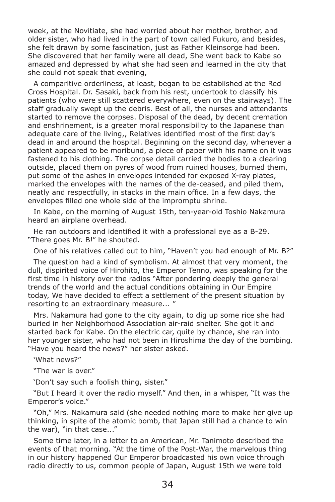week, at the Novitiate, she had worried about her mother, brother, and older sister, who had lived in the part of town called Fukuro, and besides, she felt drawn by some fascination, just as Father Kleinsorge had been. She discovered that her family were all dead, She went back to Kabe so amazed and depressed by what she had seen and learned in the city that she could not speak that evening,

A comparitive orderliness, at least, began to be established at the Red Cross Hospital. Dr. Sasaki, back from his rest, undertook to classify his patients (who were still scattered everywhere, even on the stairways). The staff gradually swept up the debris. Best of all, the nurses and attendants started to remove the corpses. Disposal of the dead, by decent cremation and enshrinement, is a greater moral responsibility to the Japanese than adequate care of the living,, Relatives identified most of the first day's dead in and around the hospital. Beginning on the second day, whenever a patient appeared to be moribund, a piece of paper with his name on it was fastened to his clothing. The corpse detail carried the bodies to a clearing outside, placed them on pyres of wood from ruined houses, burned them, put some of the ashes in envelopes intended for exposed X-ray plates, marked the envelopes with the names of the de-ceased, and piled them, neatly and respectfully, in stacks in the main office. In a few days, the envelopes filled one whole side of the impromptu shrine.

In Kabe, on the morning of August 15th, ten-year-old Toshio Nakamura heard an airplane overhead.

He ran outdoors and identified it with a professional eye as a B-29. "There goes Mr. B!" he shouted.

One of his relatives called out to him, "Haven't you had enough of Mr. B?"

The question had a kind of symbolism. At almost that very moment, the dull, dispirited voice of Hirohito, the Emperor Tenno, was speaking for the first time in history over the radios "After pondering deeply the general trends of the world and the actual conditions obtaining in Our Empire today, We have decided to effect a settlement of the present situation by resorting to an extraordinary measure... "

Mrs. Nakamura had gone to the city again, to dig up some rice she had buried in her Neighborhood Association air-raid shelter. She got it and started back for Kabe. On the electric car, quite by chance, she ran into her younger sister, who had not been in Hiroshima the day of the bombing. "Have you heard the news?" her sister asked.

'What news?"

"The war is over."

'Don't say such a foolish thing, sister."

"But I heard it over the radio myself." And then, in a whisper, "It was the Emperor's voice."

"Oh," Mrs. Nakamura said (she needed nothing more to make her give up thinking, in spite of the atomic bomb, that Japan still had a chance to win the war), "in that case..."

Some time later, in a letter to an American, Mr. Tanimoto described the events of that morning. "At the time of the Post-War, the marvelous thing in our history happened Our Emperor broadcasted his own voice through radio directly to us, common people of Japan, August 15th we were told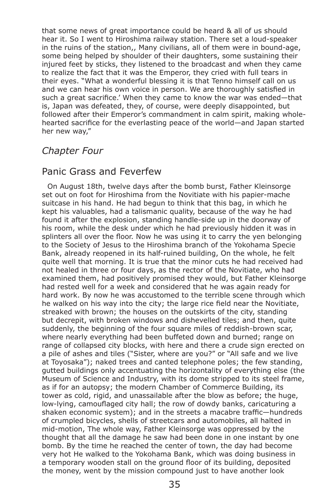that some news of great importance could be heard & all of us should hear it. So I went to Hiroshima railway station. There set a loud-speaker in the ruins of the station,, Many civilians, all of them were in bound-age, some being helped by shoulder of their daughters, some sustaining their injured feet by sticks, they listened to the broadcast and when they came to realize the fact that it was the Emperor, they cried with full tears in their eyes. "What a wonderful blessing it is that Tenno himself call on us and we can hear his own voice in person. We are thoroughly satisfied in such a great sacrifice.' When they came to know the war was ended—that is, Japan was defeated, they, of course, were deeply disappointed, but followed after their Emperor's commandment in calm spirit, making wholehearted sacrifice for the everlasting peace of the world—and Japan started her new way,"

# *Chapter Four*

## Panic Grass and Feverfew

On August 18th, twelve days after the bomb burst, Father Kleinsorge set out on foot for Hiroshima from the Novitiate with his papier-mache suitcase in his hand. He had begun to think that this bag, in which he kept his valuables, had a talismanic quality, because of the way he had found it after the explosion, standing handle-side up in the doorway of his room, while the desk under which he had previously hidden it was in splinters all over the floor. Now he was using it to carry the yen belonging to the Society of Jesus to the Hiroshima branch of the Yokohama Specie Bank, already reopened in its half-ruined building, On the whole, he felt quite well that morning. It is true that the minor cuts he had received had not healed in three or four days, as the rector of the Novitiate, who had examined them, had positively promised they would, but Father Kleinsorge had rested well for a week and considered that he was again ready for hard work. By now he was accustomed to the terrible scene through which he walked on his way into the city; the large rice field near the Novitiate, streaked with brown; the houses on the outskirts of the city, standing but decrepit, with broken windows and dishevelled tiles; and then, quite suddenly, the beginning of the four square miles of reddish-brown scar, where nearly everything had been buffeted down and burned; range on range of collapsed city blocks, with here and there a crude sign erected on a pile of ashes and tiles ("Sister, where are you?" or "All safe and we live at Toyosaka"); naked trees and canted telephone poles; the few standing, gutted buildings only accentuating the horizontality of everything else (the Museum of Science and Industry, with its dome stripped to its steel frame, as if for an autopsy; the modern Chamber of Commerce Building, its tower as cold, rigid, and unassailable after the blow as before; the huge, low-lying, camouflaged city hall; the row of dowdy banks, caricaturing a shaken economic system); and in the streets a macabre traffic—hundreds of crumpled bicycles, shells of streetcars and automobiles, all halted in mid-motion, The whole way, Father Kleinsorge was oppressed by the thought that all the damage he saw had been done in one instant by one bomb. By the time he reached the center of town, the day had become very hot He walked to the Yokohama Bank, which was doing business in a temporary wooden stall on the ground floor of its building, deposited the money, went by the mission compound just to have another look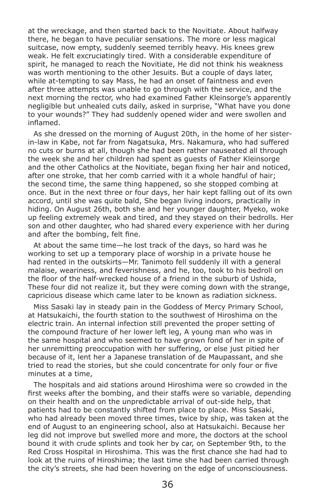at the wreckage, and then started back to the Novitiate. About halfway there, he began to have peculiar sensations. The more or less magical suitcase, now empty, suddenly seemed terribly heavy. His knees grew weak. He felt excruciatingly tired. With a considerable expenditure of spirit, he managed to reach the Novitiate, He did not think his weakness was worth mentioning to the other Jesuits. But a couple of days later, while at-tempting to say Mass, he had an onset of faintness and even after three attempts was unable to go through with the service, and the next morning the rector, who had examined Father Kleinsorge's apparently negligible but unhealed cuts daily, asked in surprise, "What have you done to your wounds?" They had suddenly opened wider and were swollen and inflamed.

As she dressed on the morning of August 20th, in the home of her sisterin-law in Kabe, not far from Nagatsuka, Mrs. Nakamura, who had suffered no cuts or burns at all, though she had been rather nauseated all through the week she and her children had spent as guests of Father Kleinsorge and the other Catholics at the Novitiate, began fixing her hair and noticed, after one stroke, that her comb carried with it a whole handful of hair; the second time, the same thing happened, so she stopped combing at once. But in the next three or four days, her hair kept falling out of its own accord, until she was quite bald, She began living indoors, practically in hiding. On August 26th, both she and her younger daughter, Myeko, woke up feeling extremely weak and tired, and they stayed on their bedrolls. Her son and other daughter, who had shared every experience with her during and after the bombing, felt fine.

At about the same time—he lost track of the days, so hard was he working to set up a temporary place of worship in a private house he had rented in the outskirts—Mr. Tanimoto fell suddenly ill with a general malaise, weariness, and feverishness, and he, too, took to his bedroll on the floor of the half-wrecked house of a friend in the suburb of Ushida, These four did not realize it, but they were coming down with the strange, capricious disease which came later to be known as radiation sickness.

Miss Sasaki lay in steady pain in the Goddess of Mercy Primary School, at Hatsukaichi, the fourth station to the southwest of Hiroshima on the electric train. An internal infection still prevented the proper setting of the compound fracture of her lower left leg, A young man who was in the same hospital and who seemed to have grown fond of her in spite of her unremitting preoccupation with her suffering, or else just pitied her because of it, lent her a Japanese translation of de Maupassant, and she tried to read the stories, but she could concentrate for only four or five minutes at a time,

The hospitals and aid stations around Hiroshima were so crowded in the first weeks after the bombing, and their staffs were so variable, depending on their health and on the unpredictable arrival of out-side help, that patients had to be constantly shifted from place to place. Miss Sasaki, who had already been moved three times, twice by ship, was taken at the end of August to an engineering school, also at Hatsukaichi. Because her leg did not improve but swelled more and more, the doctors at the school bound it with crude splints and took her by car, on September 9th, to the Red Cross Hospital in Hiroshima. This was the first chance she had had to look at the ruins of Hiroshima; the last time she had been carried through the city's streets, she had been hovering on the edge of unconsciousness.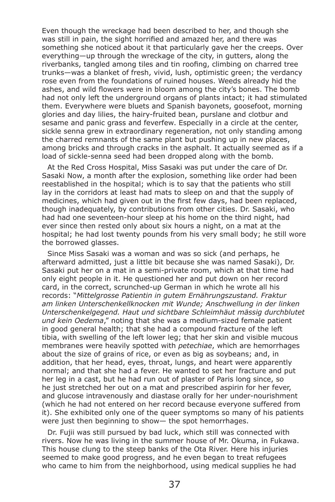Even though the wreckage had been described to her, and though she was still in pain, the sight horrified and amazed her, and there was something she noticed about it that particularly gave her the creeps. Over everything—up through the wreckage of the city, in gutters, along the riverbanks, tangled among tiles and tin roofing, climbing on charred tree trunks—was a blanket of fresh, vivid, lush, optimistic green; the verdancy rose even from the foundations of ruined houses. Weeds already hid the ashes, and wild flowers were in bloom among the city's bones. The bomb had not only left the underground organs of plants intact; it had stimulated them. Everywhere were bluets and Spanish bayonets, goosefoot, morning glories and day lilies, the hairy-fruited bean, purslane and clotbur and sesame and panic grass and feverfew. Especially in a circle at the center, sickle senna grew in extraordinary regeneration, not only standing among the charred remnants of the same plant but pushing up in new places, among bricks and through cracks in the asphalt. It actually seemed as if a load of sickle-senna seed had been dropped along with the bomb.

At the Red Cross Hospital, Miss Sasaki was put under the care of Dr. Sasaki Now, a month after the explosion, something like order had been reestablished in the hospital; which is to say that the patients who still lay in the corridors at least had mats to sleep on and that the supply of medicines, which had given out in the first few days, had been replaced, though inadequately, by contributions from other cities. Dr. Sasaki, who had had one seventeen-hour sleep at his home on the third night, had ever since then rested only about six hours a night, on a mat at the hospital; he had lost twenty pounds from his very small body; he still wore the borrowed glasses.

Since Miss Sasaki was a woman and was so sick (and perhaps, he afterward admitted, just a little bit because she was named Sasaki), Dr. Sasaki put her on a mat in a semi-private room, which at that time had only eight people in it. He questioned her and put down on her record card, in the correct, scrunched-up German in which he wrote all his records: "*Mittelgrosse Patientin in gutem Ernährungszustand. Fraktur am linken Unterschenkellknocken mit Wunde; Anschwellung in der linken Unterschenkelgegend. Haut und sichtbare Schleimhäut mässig durchblutet und kein Oedema*," noting that she was a medium-sized female patient in good general health; that she had a compound fracture of the left tibia, with swelling of the left lower leg; that her skin and visible mucous membranes were heavily spotted with *petechiae*, which are hemorrhages about the size of grains of rice, or even as big as soybeans; and, in addition, that her head, eyes, throat, lungs, and heart were apparently normal; and that she had a fever. He wanted to set her fracture and put her leg in a cast, but he had run out of plaster of Paris long since, so he just stretched her out on a mat and prescribed aspirin for her fever, and glucose intravenously and diastase orally for her under-nourishment (which he had not entered on her record because everyone suffered from it). She exhibited only one of the queer symptoms so many of his patients were just then beginning to show— the spot hemorrhages.

Dr. Fujii was still pursued by bad luck, which still was connected with rivers. Now he was living in the summer house of Mr. Okuma, in Fukawa. This house clung to the steep banks of the Ota River. Here his injuries seemed to make good progress, and he even began to treat refugees who came to him from the neighborhood, using medical supplies he had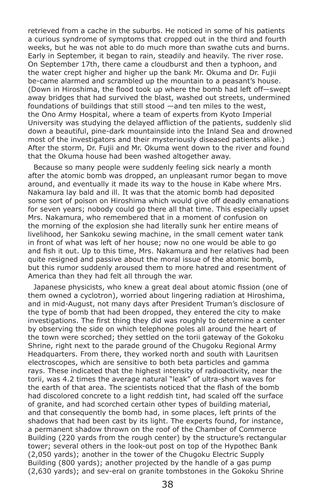retrieved from a cache in the suburbs. He noticed in some of his patients a curious syndrome of symptoms that cropped out in the third and fourth weeks, but he was not able to do much more than swathe cuts and burns. Early in September, it began to rain, steadily and heavily. The river rose. On September 17th, there came a cloudburst and then a typhoon, and the water crept higher and higher up the bank Mr. Okuma and Dr. Fujii be-came alarmed and scrambled up the mountain to a peasant's house. (Down in Hiroshima, the flood took up where the bomb had left off—swept away bridges that had survived the blast, washed out streets, undermined foundations of buildings that still stood —and ten miles to the west, the Ono Army Hospital, where a team of experts from Kyoto Imperial University was studying the delayed affliction of the patients, suddenly slid down a beautiful, pine-dark mountainside into the Inland Sea and drowned most of the investigators and their mysteriously diseased patients alike.) After the storm, Dr. Fujii and Mr. Okuma went down to the river and found that the Okuma house had been washed altogether away.

Because so many people were suddenly feeling sick nearly a month after the atomic bomb was dropped, an unpleasant rumor began to move around, and eventually it made its way to the house in Kabe where Mrs. Nakamura lay bald and ill. It was that the atomic bomb had deposited some sort of poison on Hiroshima which would give off deadly emanations for seven years; nobody could go there all that time. This especially upset Mrs. Nakamura, who remembered that in a moment of confusion on the morning of the explosion she had literally sunk her entire means of livelihood, her Sankoku sewing machine, in the small cement water tank in front of what was left of her house; now no one would be able to go and fish it out. Up to this time, Mrs. Nakamura and her relatives had been quite resigned and passive about the moral issue of the atomic bomb, but this rumor suddenly aroused them to more hatred and resentment of America than they had felt all through the war.

Japanese physicists, who knew a great deal about atomic fission (one of them owned a cyclotron), worried about lingering radiation at Hiroshima, and in mid-August, not many days after President Truman's disclosure of the type of bomb that had been dropped, they entered the city to make investigations. The first thing they did was roughly to determine a center by observing the side on which telephone poles all around the heart of the town were scorched; they settled on the torii gateway of the Gokoku Shrine, right next to the parade ground of the Chugoku Regional Army Headquarters. From there, they worked north and south with Lauritsen electroscopes, which are sensitive to both beta particles and gamma rays. These indicated that the highest intensity of radioactivity, near the torii, was 4.2 times the average natural "leak" of ultra-short waves for the earth of that area. The scientists noticed that the flash of the bomb had discolored concrete to a light reddish tint, had scaled off the surface of granite, and had scorched certain other types of building material, and that consequently the bomb had, in some places, left prints of the shadows that had been cast by its light. The experts found, for instance, a permanent shadow thrown on the roof of the Chamber of Commerce Building (220 yards from the rough center) by the structure's rectangular tower; several others in the look-out post on top of the Hypothec Bank (2,050 yards); another in the tower of the Chugoku Electric Supply Building (800 yards); another projected by the handle of a gas pump (2,630 yards); and sev-eral on granite tombstones in the Gokoku Shrine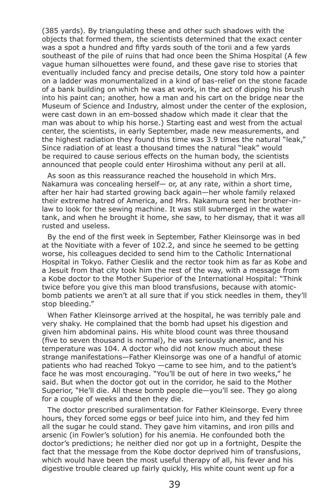(385 yards). By triangulating these and other such shadows with the objects that formed them, the scientists determined that the exact center was a spot a hundred and fifty yards south of the torii and a few yards southeast of the pile of ruins that had once been the Shima Hospital (A few vague human silhouettes were found, and these gave rise to stories that eventually included fancy and precise details, One story told how a painter on a ladder was monumentalized in a kind of bas-relief on the stone facade of a bank building on which he was at work, in the act of dipping his brush into his paint can; another, how a man and his cart on the bridge near the Museum of Science and Industry, almost under the center of the explosion, were cast down in an em-bossed shadow which made it clear that the man was about to whip his horse.) Starting east and west from the actual center, the scientists, in early September, made new measurements, and the highest radiation they found this time was 3.9 times the natural "leak," Since radiation of at least a thousand times the natural "leak" would be required to cause serious effects on the human body, the scientists announced that people could enter Hiroshima without any peril at all.

As soon as this reassurance reached the household in which Mrs. Nakamura was concealing herself— or, at any rate, within a short time, after her hair had started growing back again—her whole family relaxed their extreme hatred of America, and Mrs. Nakamura sent her brother-inlaw to look for the sewing machine. It was still submerged in the water tank, and when he brought it home, she saw, to her dismay, that it was all rusted and useless.

By the end of the first week in September, Father Kleinsorge was in bed at the Novitiate with a fever of 102.2, and since he seemed to be getting worse, his colleagues decided to send him to the Catholic International Hospital in Tokyo. Father Cieslik and the rector took him as far as Kobe and a Jesuit from that city took him the rest of the way, with a message from a Kobe doctor to the Mother Superior of the International Hospital: "Think twice before you give this man blood transfusions, because with atomicbomb patients we aren't at all sure that if you stick needles in them, they'll stop bleeding."

When Father Kleinsorge arrived at the hospital, he was terribly pale and very shaky. He complained that the bomb had upset his digestion and given him abdominal pains. His white blood count was three thousand (five to seven thousand is normal), he was seriously anemic, and his temperature was 104. A doctor who did not know much about these strange manifestations—Father Kleinsorge was one of a handful of atomic patients who had reached Tokyo —came to see him, and to the patient's face he was most encouraging. "You'll be out of here in two weeks," he said. But when the doctor got out in the corridor, he said to the Mother Superior, "He'll die. All these bomb people die—you'll see. They go along for a couple of weeks and then they die.

The doctor prescribed suralimentation for Father Kleinsorge. Every three hours, they forced some eggs or beef juice into him, and they fed him all the sugar he could stand. They gave him vitamins, and iron pills and arsenic (in Fowler's solution) for his anemia. He confounded both the doctor's predictions; he neither died nor got up in a fortnight, Despite the fact that the message from the Kobe doctor deprived him of transfusions, which would have been the most useful therapy of all, his fever and his digestive trouble cleared up fairly quickly, His white count went up for a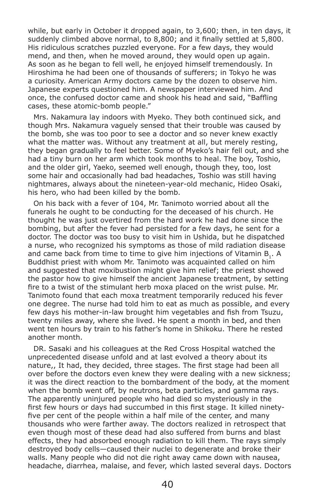while, but early in October it dropped again, to 3,600; then, in ten days, it suddenly climbed above normal, to 8,800; and it finally settled at 5,800. His ridiculous scratches puzzled everyone. For a few days, they would mend, and then, when he moved around, they would open up again. As soon as he began to fell well, he enjoyed himself tremendously. In Hiroshima he had been one of thousands of sufferers; in Tokyo he was a curiosity. American Army doctors came by the dozen to observe him. Japanese experts questioned him. A newspaper interviewed him. And once, the confused doctor came and shook his head and said, "Baffling cases, these atomic-bomb people."

Mrs. Nakamura lay indoors with Myeko. They both continued sick, and though Mrs. Nakamura vaguely sensed that their trouble was caused by the bomb, she was too poor to see a doctor and so never knew exactly what the matter was. Without any treatment at all, but merely resting, they began gradually to feel better. Some of Myeko's hair fell out, and she had a tiny burn on her arm which took months to heal. The boy, Toshio, and the older girl, Yaeko, seemed well enough, though they, too, lost some hair and occasionally had bad headaches, Toshio was still having nightmares, always about the nineteen-year-old mechanic, Hideo Osaki, his hero, who had been killed by the bomb.

On his back with a fever of 104, Mr. Tanimoto worried about all the funerals he ought to be conducting for the deceased of his church. He thought he was just overtired from the hard work he had done since the bombing, but after the fever had persisted for a few days, he sent for a doctor. The doctor was too busy to visit him in Ushida, but he dispatched a nurse, who recognized his symptoms as those of mild radiation disease and came back from time to time to give him injections of Vitamin B<sub>1</sub>. A Buddhist priest with whom Mr. Tanimoto was acquainted called on him and suggested that moxibustion might give him relief; the priest showed the pastor how to give himself the ancient Japanese treatment, by setting fire to a twist of the stimulant herb moxa placed on the wrist pulse. Mr. Tanimoto found that each moxa treatment temporarily reduced his fever one degree. The nurse had told him to eat as much as possible, and every few days his mother-in-law brought him vegetables and fish from Tsuzu, twenty miles away, where she lived. He spent a month in bed, and then went ten hours by train to his father's home in Shikoku. There he rested another month.

DR. Sasaki and his colleagues at the Red Cross Hospital watched the unprecedented disease unfold and at last evolved a theory about its nature,, It had, they decided, three stages. The first stage had been all over before the doctors even knew they were dealing with a new sickness; it was the direct reaction to the bombardment of the body, at the moment when the bomb went off, by neutrons, beta particles, and gamma rays. The apparently uninjured people who had died so mysteriously in the first few hours or days had succumbed in this first stage. It killed ninetyfive per cent of the people within a half mile of the center, and many thousands who were farther away. The doctors realized in retrospect that even though most of these dead had also suffered from burns and blast effects, they had absorbed enough radiation to kill them. The rays simply destroyed body cells—caused their nuclei to degenerate and broke their walls. Many people who did not die right away came down with nausea, headache, diarrhea, malaise, and fever, which lasted several days. Doctors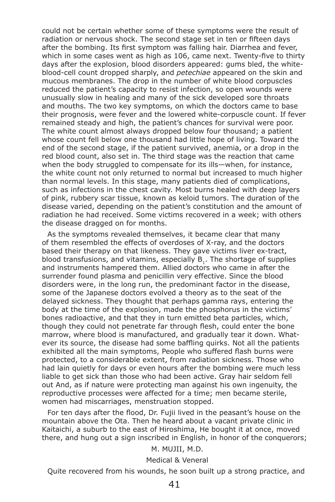could not be certain whether some of these symptoms were the result of radiation or nervous shock. The second stage set in ten or fifteen days after the bombing. Its first symptom was falling hair. Diarrhea and fever, which in some cases went as high as 106, came next. Twenty-five to thirty days after the explosion, blood disorders appeared: gums bled, the whiteblood-cell count dropped sharply, and *petechiae* appeared on the skin and mucous membranes. The drop in the number of white blood corpuscles reduced the patient's capacity to resist infection, so open wounds were unusually slow in healing and many of the sick developed sore throats and mouths. The two key symptoms, on which the doctors came to base their prognosis, were fever and the lowered white-corpuscle count. If fever remained steady and high, the patient's chances for survival were poor. The white count almost always dropped below four thousand; a patient whose count fell below one thousand had little hope of living. Toward the end of the second stage, if the patient survived, anemia, or a drop in the red blood count, also set in. The third stage was the reaction that came when the body struggled to compensate for its ills—when, for instance, the white count not only returned to normal but increased to much higher than normal levels. In this stage, many patients died of complications, such as infections in the chest cavity. Most burns healed with deep layers of pink, rubbery scar tissue, known as keloid tumors. The duration of the disease varied, depending on the patient's constitution and the amount of radiation he had received. Some victims recovered in a week; with others the disease dragged on for months.

As the symptoms revealed themselves, it became clear that many of them resembled the effects of overdoses of X-ray, and the doctors based their therapy on that likeness. They gave victims liver ex-tract, blood transfusions, and vitamins, especially B<sub>1</sub>. The shortage of supplies and instruments hampered them. Allied doctors who came in after the surrender found plasma and penicillin very effective. Since the blood disorders were, in the long run, the predominant factor in the disease, some of the Japanese doctors evolved a theory as to the seat of the delayed sickness. They thought that perhaps gamma rays, entering the body at the time of the explosion, made the phosphorus in the victims' bones radioactive, and that they in turn emitted beta particles, which, though they could not penetrate far through flesh, could enter the bone marrow, where blood is manufactured, and gradually tear it down. Whatever its source, the disease had some baffling quirks. Not all the patients exhibited all the main symptoms, People who suffered flash burns were protected, to a considerable extent, from radiation sickness. Those who had lain quietly for days or even hours after the bombing were much less liable to get sick than those who had been active. Gray hair seldom fell out And, as if nature were protecting man against his own ingenuity, the reproductive processes were affected for a time; men became sterile, women had miscarriages, menstruation stopped.

For ten days after the flood, Dr. Fujii lived in the peasant's house on the mountain above the Ota. Then he heard about a vacant private clinic in Kaitaichi, a suburb to the east of Hiroshima, He bought it at once, moved there, and hung out a sign inscribed in English, in honor of the conquerors;

#### M. MUJII, M.D.

#### Medical & Veneral

Quite recovered from his wounds, he soon built up a strong practice, and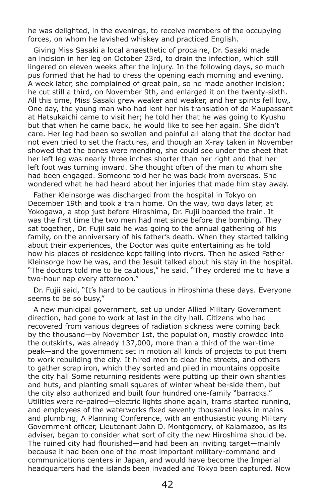he was delighted, in the evenings, to receive members of the occupying forces, on whom he lavished whiskey and practiced English.

Giving Miss Sasaki a local anaesthetic of procaine, Dr. Sasaki made an incision in her leg on October 23rd, to drain the infection, which still lingered on eleven weeks after the injury. In the following days, so much pus formed that he had to dress the opening each morning and evening. A week later, she complained of great pain, so he made another incision; he cut still a third, on November 9th, and enlarged it on the twenty-sixth. All this time, Miss Sasaki grew weaker and weaker, and her spirits fell low, One day, the young man who had lent her his translation of de Maupassant at Hatsukaichi came to visit her; he told her that he was going to Kyushu but that when he came back, he would like to see her again. She didn't care. Her leg had been so swollen and painful all along that the doctor had not even tried to set the fractures, and though an X-ray taken in November showed that the bones were mending, she could see under the sheet that her left leg was nearly three inches shorter than her right and that her left foot was turning inward. She thought often of the man to whom she had been engaged. Someone told her he was back from overseas. She wondered what he had heard about her injuries that made him stay away.

Father Kleinsorge was discharged from the hospital in Tokyo on December 19th and took a train home. On the way, two days later, at Yokogawa, a stop just before Hiroshima, Dr. Fujii boarded the train. It was the first time the two men had met since before the bombing. They sat together,, Dr. Fujii said he was going to the annual gathering of his family, on the anniversary of his father's death. When they started talking about their experiences, the Doctor was quite entertaining as he told how his places of residence kept falling into rivers. Then he asked Father Kleinsorge how he was, and the Jesuit talked about his stay in the hospital. "The doctors told me to be cautious," he said. "They ordered me to have a two-hour nap every afternoon."

Dr. Fujii said, "It's hard to be cautious in Hiroshima these days. Everyone seems to be so busy,"

A new municipal government, set up under Allied Military Government direction, had gone to work at last in the city hall. Citizens who had recovered from various degrees of radiation sickness were coming back by the thousand—by November 1st, the population, mostly crowded into the outskirts, was already 137,000, more than a third of the war-time peak—and the government set in motion all kinds of projects to put them to work rebuilding the city. It hired men to clear the streets, and others to gather scrap iron, which they sorted and piled in mountains opposite the city hall Some returning residents were putting up their own shanties and huts, and planting small squares of winter wheat be-side them, but the city also authorized and built four hundred one-family "barracks." Utilities were re-paired—electric lights shone again, trams started running, and employees of the waterworks fixed seventy thousand leaks in mains and plumbing, A Planning Conference, with an enthusiastic young Military Government officer, Lieutenant John D. Montgomery, of Kalamazoo, as its adviser, began to consider what sort of city the new Hiroshima should be. The ruined city had flourished—and had been an inviting target—mainly because it had been one of the most important military-command and communications centers in Japan, and would have become the Imperial headquarters had the islands been invaded and Tokyo been captured. Now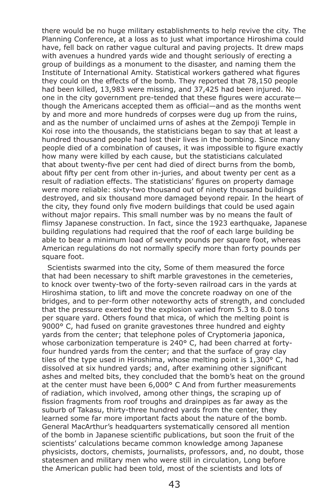there would be no huge military establishments to help revive the city. The Planning Conference, at a loss as to just what importance Hiroshima could have, fell back on rather vague cultural and paving projects. It drew maps with avenues a hundred yards wide and thought seriously of erecting a group of buildings as a monument to the disaster, and naming them the Institute of International Amity. Statistical workers gathered what figures they could on the effects of the bomb. They reported that 78,150 people had been killed, 13,983 were missing, and 37,425 had been injured. No one in the city government pre-tended that these figures were accurate though the Americans accepted them as official—and as the months went by and more and more hundreds of corpses were dug up from the ruins, and as the number of unclaimed urns of ashes at the Zempoji Temple in Koi rose into the thousands, the statisticians began to say that at least a hundred thousand people had lost their lives in the bombing. Since many people died of a combination of causes, it was impossible to figure exactly how many were killed by each cause, but the statisticians calculated that about twenty-five per cent had died of direct burns from the bomb, about fifty per cent from other in-juries, and about twenty per cent as a result of radiation effects. The statisticians' figures on property damage were more reliable: sixty-two thousand out of ninety thousand buildings destroyed, and six thousand more damaged beyond repair. In the heart of the city, they found only five modern buildings that could be used again without major repairs. This small number was by no means the fault of flimsy Japanese construction. In fact, since the 1923 earthquake, Japanese building regulations had required that the roof of each large building be able to bear a minimum load of seventy pounds per square foot, whereas American regulations do not normally specify more than forty pounds per square foot.

Scientists swarmed into the city, Some of them measured the force that had been necessary to shift marble gravestones in the cemeteries, to knock over twenty-two of the forty-seven railroad cars in the yards at Hiroshima station, to lift and move the concrete roadway on one of the bridges, and to per-form other noteworthy acts of strength, and concluded that the pressure exerted by the explosion varied from 5.3 to 8.0 tons per square yard. Others found that mica, of which the melting point is 9000° C, had fused on granite gravestones three hundred and eighty yards from the center; that telephone poles of Cryptomeria japonica, whose carbonization temperature is 240° C, had been charred at fortyfour hundred yards from the center; and that the surface of gray clay tiles of the type used in Hiroshima, whose melting point is  $1,300^{\circ}$  C, had dissolved at six hundred yards; and, after examining other significant ashes and melted bits, they concluded that the bomb's heat on the ground at the center must have been 6,000° C And from further measurements of radiation, which involved, among other things, the scraping up of fission fragments from roof troughs and drainpipes as far away as the suburb of Takasu, thirty-three hundred yards from the center, they learned some far more important facts about the nature of the bomb. General MacArthur's headquarters systematically censored all mention of the bomb in Japanese scientific publications, but soon the fruit of the scientists' calculations became common knowledge among Japanese physicists, doctors, chemists, journalists, professors, and, no doubt, those statesmen and military men who were still in circulation, Long before the American public had been told, most of the scientists and lots of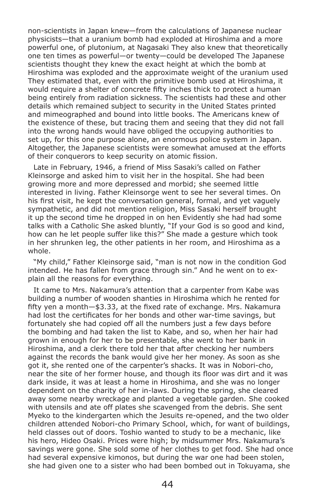non-scientists in Japan knew—from the calculations of Japanese nuclear physicists—that a uranium bomb had exploded at Hiroshima and a more powerful one, of plutonium, at Nagasaki They also knew that theoretically one ten times as powerful—or twenty—could be developed The Japanese scientists thought they knew the exact height at which the bomb at Hiroshima was exploded and the approximate weight of the uranium used They estimated that, even with the primitive bomb used at Hiroshima, it would require a shelter of concrete fifty inches thick to protect a human being entirely from radiation sickness. The scientists had these and other details which remained subject to security in the United States printed and mimeographed and bound into little books. The Americans knew of the existence of these, but tracing them and seeing that they did not fall into the wrong hands would have obliged the occupying authorities to set up, for this one purpose alone, an enormous police system in Japan. Altogether, the Japanese scientists were somewhat amused at the efforts of their conquerors to keep security on atomic fission.

Late in February, 1946, a friend of Miss Sasaki's called on Father Kleinsorge and asked him to visit her in the hospital. She had been growing more and more depressed and morbid; she seemed little interested in living. Father Kleinsorge went to see her several times. On his first visit, he kept the conversation general, formal, and yet vaguely sympathetic, and did not mention religion, Miss Sasaki herself brought it up the second time he dropped in on hen Evidently she had had some talks with a Catholic She asked bluntly, "If your God is so good and kind, how can he let people suffer like this?" She made a gesture which took in her shrunken leg, the other patients in her room, and Hiroshima as a whole.

"My child," Father Kleinsorge said, "man is not now in the condition God intended. He has fallen from grace through sin." And he went on to explain all the reasons for everything.

It came to Mrs. Nakamura's attention that a carpenter from Kabe was building a number of wooden shanties in Hiroshima which he rented for fifty yen a month—\$3.33, at the fixed rate of exchange. Mrs. Nakamura had lost the certificates for her bonds and other war-time savings, but fortunately she had copied off all the numbers just a few days before the bombing and had taken the list to Kabe, and so, when her hair had grown in enough for her to be presentable, she went to her bank in Hiroshima, and a clerk there told her that after checking her numbers against the records the bank would give her her money. As soon as she got it, she rented one of the carpenter's shacks. It was in Nobori-cho, near the site of her former house, and though its floor was dirt and it was dark inside, it was at least a home in Hiroshima, and she was no longer dependent on the charity of her in-laws. During the spring, she cleared away some nearby wreckage and planted a vegetable garden. She cooked with utensils and ate off plates she scavenged from the debris. She sent Myeko to the kindergarten which the Jesuits re-opened, and the two older children attended Nobori-cho Primary School, which, for want of buildings, held classes out of doors. Toshio wanted to study to be a mechanic, like his hero, Hideo Osaki. Prices were high; by midsummer Mrs. Nakamura's savings were gone. She sold some of her clothes to get food. She had once had several expensive kimonos, but during the war one had been stolen, she had given one to a sister who had been bombed out in Tokuyama, she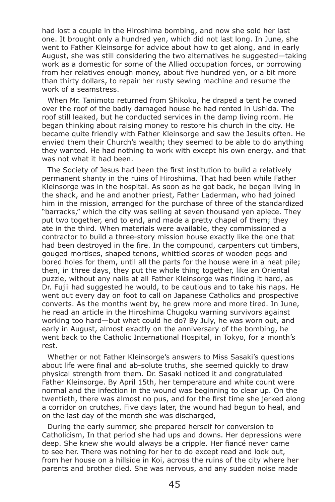had lost a couple in the Hiroshima bombing, and now she sold her last one. It brought only a hundred yen, which did not last long. In June, she went to Father Kleinsorge for advice about how to get along, and in early August, she was still considering the two alternatives he suggested—taking work as a domestic for some of the Allied occupation forces, or borrowing from her relatives enough money, about five hundred yen, or a bit more than thirty dollars, to repair her rusty sewing machine and resume the work of a seamstress.

When Mr. Tanimoto returned from Shikoku, he draped a tent he owned over the roof of the badly damaged house he had rented in Ushida. The roof still leaked, but he conducted services in the damp living room. He began thinking about raising money to restore his church in the city. He became quite friendly with Father Kleinsorge and saw the Jesuits often. He envied them their Church's wealth; they seemed to be able to do anything they wanted. He had nothing to work with except his own energy, and that was not what it had been.

The Society of Jesus had been the first institution to build a relatively permanent shanty in the ruins of Hiroshima. That had been while Father Kleinsorge was in the hospital. As soon as he got back, he began living in the shack, and he and another priest, Father Laderman, who had joined him in the mission, arranged for the purchase of three of the standardized "barracks," which the city was selling at seven thousand yen apiece. They put two together, end to end, and made a pretty chapel of them; they ate in the third. When materials were available, they commissioned a contractor to build a three-story mission house exactly like the one that had been destroyed in the fire. In the compound, carpenters cut timbers, gouged mortises, shaped tenons, whittled scores of wooden pegs and bored holes for them, until all the parts for the house were in a neat pile; then, in three days, they put the whole thing together, like an Oriental puzzle, without any nails at all Father Kleinsorge was finding it hard, as Dr. Fujii had suggested he would, to be cautious and to take his naps. He went out every day on foot to call on Japanese Catholics and prospective converts. As the months went by, he grew more and more tired. In June, he read an article in the Hiroshima Chugoku warning survivors against working too hard—but what could he do? By July, he was worn out, and early in August, almost exactly on the anniversary of the bombing, he went back to the Catholic International Hospital, in Tokyo, for a month's rest.

Whether or not Father Kleinsorge's answers to Miss Sasaki's questions about life were final and ab-solute truths, she seemed quickly to draw physical strength from them. Dr. Sasaki noticed it and congratulated Father Kleinsorge. By April 15th, her temperature and white count were normal and the infection in the wound was beginning to clear up. On the twentieth, there was almost no pus, and for the first time she jerked along a corridor on crutches, Five days later, the wound had begun to heal, and on the last day of the month she was discharged,

During the early summer, she prepared herself for conversion to Catholicism, In that period she had ups and downs. Her depressions were deep. She knew she would always be a cripple. Her fiancé never came to see her. There was nothing for her to do except read and look out, from her house on a hillside in Koi, across the ruins of the city where her parents and brother died. She was nervous, and any sudden noise made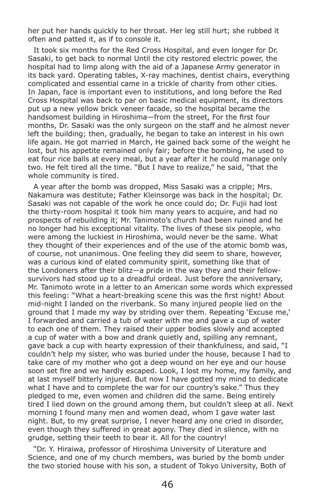her put her hands quickly to her throat. Her leg still hurt; she rubbed it often and patted it, as if to console it.

It took six months for the Red Cross Hospital, and even longer for Dr. Sasaki, to get back to normal Until the city restored electric power, the hospital had to limp along with the aid of a Japanese Army generator in its back yard. Operating tables, X-ray machines, dentist chairs, everything complicated and essential came in a trickle of charity from other cities. In Japan, face is important even to institutions, and long before the Red Cross Hospital was back to par on basic medical equipment, its directors put up a new yellow brick veneer facade, so the hospital became the handsomest building in Hiroshima—from the street, For the first four months, Dr. Sasaki was the only surgeon on the staff and he almost never left the building; then, gradually, he began to take an interest in his own life again. He got married in March, He gained back some of the weight he lost, but his appetite remained only fair; before the bombing, he used to eat four rice balls at every meal, but a year after it he could manage only two. He felt tired all the time. "But I have to realize," he said, "that the whole community is tired.

A year after the bomb was dropped, Miss Sasaki was a cripple; Mrs. Nakamura was destitute; Father Kleinsorge was back in the hospital; Dr. Sasaki was not capable of the work he once could do; Dr. Fujii had lost the thirty-room hospital it took him many years to acquire, and had no prospects of rebuilding it; Mr. Tanimoto's church had been ruined and he no longer had his exceptional vitality. The lives of these six people, who were among the luckiest in Hiroshima, would never be the same. What they thought of their experiences and of the use of the atomic bomb was, of course, not unanimous. One feeling they did seem to share, however, was a curious kind of elated community spirit, something like that of the Londoners after their blitz—a pride in the way they and their fellowsurvivors had stood up to a dreadful ordeal. Just before the anniversary, Mr. Tanimoto wrote in a letter to an American some words which expressed this feeling: "What a heart-breaking scene this was the first night! About mid-night I landed on the riverbank. So many injured people lied on the ground that I made my way by striding over them. Repeating 'Excuse me,' I forwarded and carried a tub of water with me and gave a cup of water to each one of them. They raised their upper bodies slowly and accepted a cup of water with a bow and drank quietly and, spilling any remnant, gave back a cup with hearty expression of their thankfulness, and said, "I couldn't help my sister, who was buried under the house, because I had to take care of my mother who got a deep wound on her eye and our house soon set fire and we hardly escaped. Look, I lost my home, my family, and at last myself bitterly injured. But now I have gotted my mind to dedicate what I have and to complete the war for our country's sake." Thus they pledged to me, even women and children did the same. Being entirely tired I lied down on the ground among them, but couldn't sleep at all. Next morning I found many men and women dead, whom I gave water last night. But, to my great surprise, I never heard any one cried in disorder, even though they suffered in great agony. They died in silence, with no grudge, setting their teeth to bear it. All for the country!

"Dr. Y. Hiraiwa, professor of Hiroshima University of Literature and Science, and one of my church members, was buried by the bomb under the two storied house with his son, a student of Tokyo University, Both of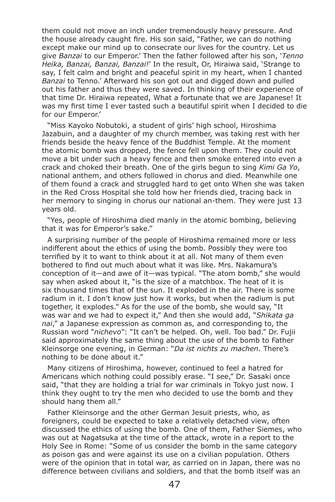them could not move an inch under tremendously heavy pressure. And the house already caught fire. His son said, "Father, we can do nothing except make our mind up to consecrate our lives for the country. Let us give *Banzai* to our Emperor.' Then the father followed after his son, '*Tenno Heika, Banzai, Banzai, Banzai!*' In the result, Or, Hiraiwa said, 'Strange to say, I felt calm and bright and peaceful spirit in my heart, when I chanted *Banzai* to Tenno.' Afterward his son got out and digged down and pulled out his father and thus they were saved. In thinking of their experience of that time Dr. Hiraiwa repeated, What a fortunate that we are Japanese! It was my first time I ever tasted such a beautiful spirit when I decided to die for our Emperor.'

"Miss Kayoko Nobutoki, a student of girls' high school, Hiroshima Jazabuin, and a daughter of my church member, was taking rest with her friends beside the heavy fence of the Buddhist Temple. At the moment the atomic bomb was dropped, the fence fell upon them. They could not move a bit under such a heavy fence and then smoke entered into even a crack and choked their breath. One of the girls begun to sing *Kimi Ga Yo*, national anthem, and others followed in chorus and died. Meanwhile one of them found a crack and struggled hard to get onto When she was taken in the Red Cross Hospital she told how her friends died, tracing back in her memory to singing in chorus our national an-them. They were just 13 years old.

"Yes, people of Hiroshima died manly in the atomic bombing, believing that it was for Emperor's sake."

A surprising number of the people of Hiroshima remained more or less indifferent about the ethics of using the bomb. Possibly they were too terrified by it to want to think about it at all. Not many of them even bothered to find out much about what it was like. Mrs. Nakamura's conception of it—and awe of it—was typical. "The atom bomb," she would say when asked about it, "is the size of a matchbox. The heat of it is six thousand times that of the sun. It exploded in the air. There is some radium in it. I don't know just how it works, but when the radium is put together, it explodes." As for the use of the bomb, she would say, "It was war and we had to expect it," And then she would add, "*Shikata ga nai*," a Japanese expression as common as, and corresponding to, the Russian word "*nichevo*": "It can't be helped. Oh, well. Too bad." Dr. Fujii said approximately the same thing about the use of the bomb to Father Kleinsorge one evening, in German: "*Da ist nichts zu machen*. There's nothing to be done about it."

Many citizens of Hiroshima, however, continued to feel a hatred for Americans which nothing could possibly erase. "I see," Dr. Sasaki once said, "that they are holding a trial for war criminals in Tokyo just now. I think they ought to try the men who decided to use the bomb and they should hang them all."

Father Kleinsorge and the other German Jesuit priests, who, as foreigners, could be expected to take a relatively detached view, often discussed the ethics of using the bomb. One of them, Father Siemes, who was out at Nagatsuka at the time of the attack, wrote in a report to the Holy See in Rome: "Some of us consider the bomb in the same category as poison gas and were against its use on a civilian population. Others were of the opinion that in total war, as carried on in Japan, there was no difference between civilians and soldiers, and that the bomb itself was an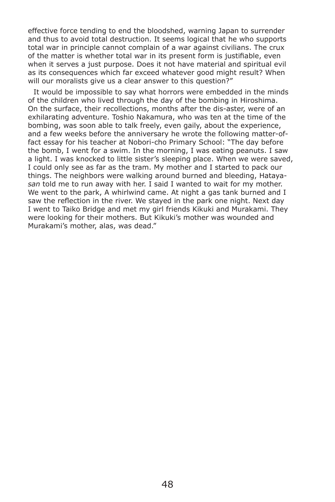effective force tending to end the bloodshed, warning Japan to surrender and thus to avoid total destruction. It seems logical that he who supports total war in principle cannot complain of a war against civilians. The crux of the matter is whether total war in its present form is justifiable, even when it serves a just purpose. Does it not have material and spiritual evil as its consequences which far exceed whatever good might result? When will our moralists give us a clear answer to this question?"

It would be impossible to say what horrors were embedded in the minds of the children who lived through the day of the bombing in Hiroshima. On the surface, their recollections, months after the dis-aster, were of an exhilarating adventure. Toshio Nakamura, who was ten at the time of the bombing, was soon able to talk freely, even gaily, about the experience, and a few weeks before the anniversary he wrote the following matter-offact essay for his teacher at Nobori-cho Primary School: "The day before the bomb, I went for a swim. In the morning, I was eating peanuts. I saw a light. I was knocked to little sister's sleeping place. When we were saved, I could only see as far as the tram. My mother and I started to pack our things. The neighbors were walking around burned and bleeding, Hataya*san* told me to run away with her. I said I wanted to wait for my mother. We went to the park, A whirlwind came. At night a gas tank burned and I saw the reflection in the river. We stayed in the park one night. Next day I went to Taiko Bridge and met my girl friends Kikuki and Murakami. They were looking for their mothers. But Kikuki's mother was wounded and Murakami's mother, alas, was dead."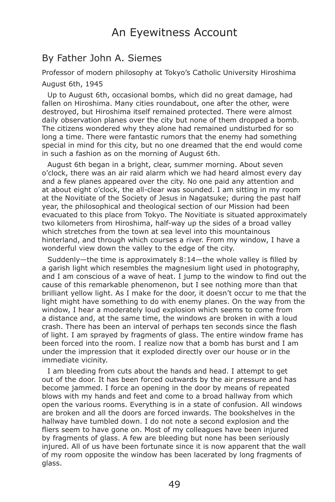# An Eyewitness Account

## By Father John A. Siemes

Professor of modern philosophy at Tokyo's Catholic University Hiroshima

#### August 6th, 1945

Up to August 6th, occasional bombs, which did no great damage, had fallen on Hiroshima. Many cities roundabout, one after the other, were destroyed, but Hiroshima itself remained protected. There were almost daily observation planes over the city but none of them dropped a bomb. The citizens wondered why they alone had remained undisturbed for so long a time. There were fantastic rumors that the enemy had something special in mind for this city, but no one dreamed that the end would come in such a fashion as on the morning of August 6th.

August 6th began in a bright, clear, summer morning. About seven o'clock, there was an air raid alarm which we had heard almost every day and a few planes appeared over the city. No one paid any attention and at about eight o'clock, the all-clear was sounded. I am sitting in my room at the Novitiate of the Society of Jesus in Nagatsuke; during the past half year, the philosophical and theological section of our Mission had been evacuated to this place from Tokyo. The Novitiate is situated approximately two kilometers from Hiroshima, half-way up the sides of a broad valley which stretches from the town at sea level into this mountainous hinterland, and through which courses a river. From my window, I have a wonderful view down the valley to the edge of the city.

Suddenly—the time is approximately 8:14—the whole valley is filled by a garish light which resembles the magnesium light used in photography, and I am conscious of a wave of heat. I jump to the window to find out the cause of this remarkable phenomenon, but I see nothing more than that brilliant yellow light. As I make for the door, it doesn't occur to me that the light might have something to do with enemy planes. On the way from the window, I hear a moderately loud explosion which seems to come from a distance and, at the same time, the windows are broken in with a loud crash. There has been an interval of perhaps ten seconds since the flash of light. I am sprayed by fragments of glass. The entire window frame has been forced into the room. I realize now that a bomb has burst and I am under the impression that it exploded directly over our house or in the immediate vicinity.

I am bleeding from cuts about the hands and head. I attempt to get out of the door. It has been forced outwards by the air pressure and has become jammed. I force an opening in the door by means of repeated blows with my hands and feet and come to a broad hallway from which open the various rooms. Everything is in a state of confusion. All windows are broken and all the doors are forced inwards. The bookshelves in the hallway have tumbled down. I do not note a second explosion and the fliers seem to have gone on. Most of my colleagues have been injured by fragments of glass. A few are bleeding but none has been seriously injured. All of us have been fortunate since it is now apparent that the wall of my room opposite the window has been lacerated by long fragments of glass.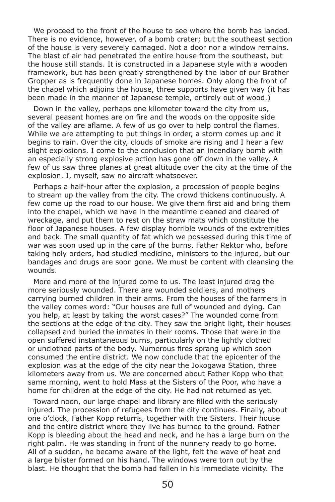We proceed to the front of the house to see where the bomb has landed. There is no evidence, however, of a bomb crater; but the southeast section of the house is very severely damaged. Not a door nor a window remains. The blast of air had penetrated the entire house from the southeast, but the house still stands. It is constructed in a Japanese style with a wooden framework, but has been greatly strengthened by the labor of our Brother Gropper as is frequently done in Japanese homes. Only along the front of the chapel which adjoins the house, three supports have given way (it has been made in the manner of Japanese temple, entirely out of wood.)

Down in the valley, perhaps one kilometer toward the city from us, several peasant homes are on fire and the woods on the opposite side of the valley are aflame. A few of us go over to help control the flames. While we are attempting to put things in order, a storm comes up and it begins to rain. Over the city, clouds of smoke are rising and I hear a few slight explosions. I come to the conclusion that an incendiary bomb with an especially strong explosive action has gone off down in the valley. A few of us saw three planes at great altitude over the city at the time of the explosion. I, myself, saw no aircraft whatsoever.

Perhaps a half-hour after the explosion, a procession of people begins to stream up the valley from the city. The crowd thickens continuously. A few come up the road to our house. We give them first aid and bring them into the chapel, which we have in the meantime cleaned and cleared of wreckage, and put them to rest on the straw mats which constitute the floor of Japanese houses. A few display horrible wounds of the extremities and back. The small quantity of fat which we possessed during this time of war was soon used up in the care of the burns. Father Rektor who, before taking holy orders, had studied medicine, ministers to the injured, but our bandages and drugs are soon gone. We must be content with cleansing the wounds.

More and more of the injured come to us. The least injured drag the more seriously wounded. There are wounded soldiers, and mothers carrying burned children in their arms. From the houses of the farmers in the valley comes word: "Our houses are full of wounded and dying. Can you help, at least by taking the worst cases?" The wounded come from the sections at the edge of the city. They saw the bright light, their houses collapsed and buried the inmates in their rooms. Those that were in the open suffered instantaneous burns, particularly on the lightly clothed or unclothed parts of the body. Numerous fires sprang up which soon consumed the entire district. We now conclude that the epicenter of the explosion was at the edge of the city near the Jokogawa Station, three kilometers away from us. We are concerned about Father Kopp who that same morning, went to hold Mass at the Sisters of the Poor, who have a home for children at the edge of the city. He had not returned as yet.

Toward noon, our large chapel and library are filled with the seriously injured. The procession of refugees from the city continues. Finally, about one o'clock, Father Kopp returns, together with the Sisters. Their house and the entire district where they live has burned to the ground. Father Kopp is bleeding about the head and neck, and he has a large burn on the right palm. He was standing in front of the nunnery ready to go home. All of a sudden, he became aware of the light, felt the wave of heat and a large blister formed on his hand. The windows were torn out by the blast. He thought that the bomb had fallen in his immediate vicinity. The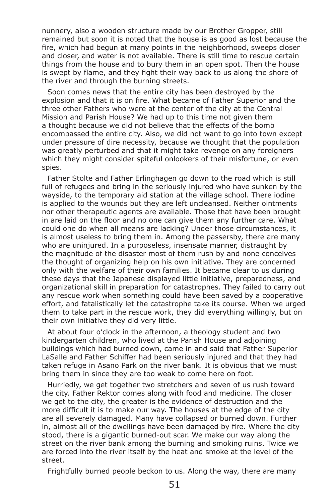nunnery, also a wooden structure made by our Brother Gropper, still remained but soon it is noted that the house is as good as lost because the fire, which had begun at many points in the neighborhood, sweeps closer and closer, and water is not available. There is still time to rescue certain things from the house and to bury them in an open spot. Then the house is swept by flame, and they fight their way back to us along the shore of the river and through the burning streets.

Soon comes news that the entire city has been destroyed by the explosion and that it is on fire. What became of Father Superior and the three other Fathers who were at the center of the city at the Central Mission and Parish House? We had up to this time not given them a thought because we did not believe that the effects of the bomb encompassed the entire city. Also, we did not want to go into town except under pressure of dire necessity, because we thought that the population was greatly perturbed and that it might take revenge on any foreigners which they might consider spiteful onlookers of their misfortune, or even spies.

Father Stolte and Father Erlinghagen go down to the road which is still full of refugees and bring in the seriously injured who have sunken by the wayside, to the temporary aid station at the village school. There iodine is applied to the wounds but they are left uncleansed. Neither ointments nor other therapeutic agents are available. Those that have been brought in are laid on the floor and no one can give them any further care. What could one do when all means are lacking? Under those circumstances, it is almost useless to bring them in. Among the passersby, there are many who are uninjured. In a purposeless, insensate manner, distraught by the magnitude of the disaster most of them rush by and none conceives the thought of organizing help on his own initiative. They are concerned only with the welfare of their own families. It became clear to us during these days that the Japanese displayed little initiative, preparedness, and organizational skill in preparation for catastrophes. They failed to carry out any rescue work when something could have been saved by a cooperative effort, and fatalistically let the catastrophe take its course. When we urged them to take part in the rescue work, they did everything willingly, but on their own initiative they did very little.

At about four o'clock in the afternoon, a theology student and two kindergarten children, who lived at the Parish House and adjoining buildings which had burned down, came in and said that Father Superior LaSalle and Father Schiffer had been seriously injured and that they had taken refuge in Asano Park on the river bank. It is obvious that we must bring them in since they are too weak to come here on foot.

Hurriedly, we get together two stretchers and seven of us rush toward the city. Father Rektor comes along with food and medicine. The closer we get to the city, the greater is the evidence of destruction and the more difficult it is to make our way. The houses at the edge of the city are all severely damaged. Many have collapsed or burned down. Further in, almost all of the dwellings have been damaged by fire. Where the city stood, there is a gigantic burned-out scar. We make our way along the street on the river bank among the burning and smoking ruins. Twice we are forced into the river itself by the heat and smoke at the level of the street.

Frightfully burned people beckon to us. Along the way, there are many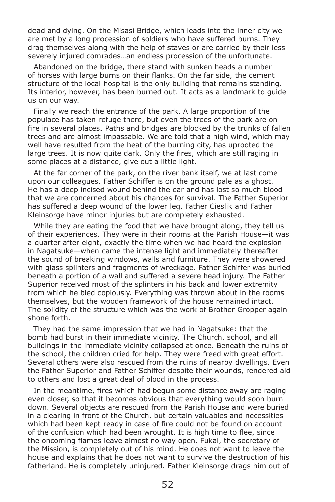dead and dying. On the Misasi Bridge, which leads into the inner city we are met by a long procession of soldiers who have suffered burns. They drag themselves along with the help of staves or are carried by their less severely injured comrades…an endless procession of the unfortunate.

Abandoned on the bridge, there stand with sunken heads a number of horses with large burns on their flanks. On the far side, the cement structure of the local hospital is the only building that remains standing. Its interior, however, has been burned out. It acts as a landmark to guide us on our way.

Finally we reach the entrance of the park. A large proportion of the populace has taken refuge there, but even the trees of the park are on fire in several places. Paths and bridges are blocked by the trunks of fallen trees and are almost impassable. We are told that a high wind, which may well have resulted from the heat of the burning city, has uprooted the large trees. It is now quite dark. Only the fires, which are still raging in some places at a distance, give out a little light.

At the far corner of the park, on the river bank itself, we at last come upon our colleagues. Father Schiffer is on the ground pale as a ghost. He has a deep incised wound behind the ear and has lost so much blood that we are concerned about his chances for survival. The Father Superior has suffered a deep wound of the lower leg. Father Cieslik and Father Kleinsorge have minor injuries but are completely exhausted.

While they are eating the food that we have brought along, they tell us of their experiences. They were in their rooms at the Parish House—it was a quarter after eight, exactly the time when we had heard the explosion in Nagatsuke—when came the intense light and immediately thereafter the sound of breaking windows, walls and furniture. They were showered with glass splinters and fragments of wreckage. Father Schiffer was buried beneath a portion of a wall and suffered a severe head injury. The Father Superior received most of the splinters in his back and lower extremity from which he bled copiously. Everything was thrown about in the rooms themselves, but the wooden framework of the house remained intact. The solidity of the structure which was the work of Brother Gropper again shone forth.

They had the same impression that we had in Nagatsuke: that the bomb had burst in their immediate vicinity. The Church, school, and all buildings in the immediate vicinity collapsed at once. Beneath the ruins of the school, the children cried for help. They were freed with great effort. Several others were also rescued from the ruins of nearby dwellings. Even the Father Superior and Father Schiffer despite their wounds, rendered aid to others and lost a great deal of blood in the process.

In the meantime, fires which had begun some distance away are raging even closer, so that it becomes obvious that everything would soon burn down. Several objects are rescued from the Parish House and were buried in a clearing in front of the Church, but certain valuables and necessities which had been kept ready in case of fire could not be found on account of the confusion which had been wrought. It is high time to flee, since the oncoming flames leave almost no way open. Fukai, the secretary of the Mission, is completely out of his mind. He does not want to leave the house and explains that he does not want to survive the destruction of his fatherland. He is completely uninjured. Father Kleinsorge drags him out of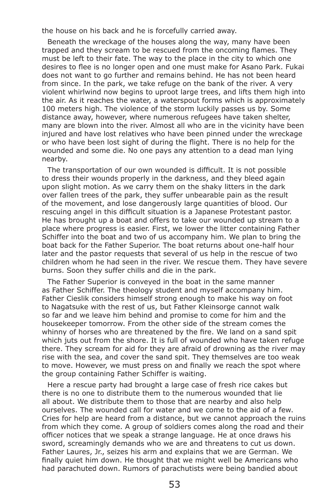the house on his back and he is forcefully carried away.

Beneath the wreckage of the houses along the way, many have been trapped and they scream to be rescued from the oncoming flames. They must be left to their fate. The way to the place in the city to which one desires to flee is no longer open and one must make for Asano Park. Fukai does not want to go further and remains behind. He has not been heard from since. In the park, we take refuge on the bank of the river. A very violent whirlwind now begins to uproot large trees, and lifts them high into the air. As it reaches the water, a waterspout forms which is approximately 100 meters high. The violence of the storm luckily passes us by. Some distance away, however, where numerous refugees have taken shelter, many are blown into the river. Almost all who are in the vicinity have been injured and have lost relatives who have been pinned under the wreckage or who have been lost sight of during the flight. There is no help for the wounded and some die. No one pays any attention to a dead man lying nearby.

The transportation of our own wounded is difficult. It is not possible to dress their wounds properly in the darkness, and they bleed again upon slight motion. As we carry them on the shaky litters in the dark over fallen trees of the park, they suffer unbearable pain as the result of the movement, and lose dangerously large quantities of blood. Our rescuing angel in this difficult situation is a Japanese Protestant pastor. He has brought up a boat and offers to take our wounded up stream to a place where progress is easier. First, we lower the litter containing Father Schiffer into the boat and two of us accompany him. We plan to bring the boat back for the Father Superior. The boat returns about one-half hour later and the pastor requests that several of us help in the rescue of two children whom he had seen in the river. We rescue them. They have severe burns. Soon they suffer chills and die in the park.

The Father Superior is conveyed in the boat in the same manner as Father Schiffer. The theology student and myself accompany him. Father Cieslik considers himself strong enough to make his way on foot to Nagatsuke with the rest of us, but Father Kleinsorge cannot walk so far and we leave him behind and promise to come for him and the housekeeper tomorrow. From the other side of the stream comes the whinny of horses who are threatened by the fire. We land on a sand spit which juts out from the shore. It is full of wounded who have taken refuge there. They scream for aid for they are afraid of drowning as the river may rise with the sea, and cover the sand spit. They themselves are too weak to move. However, we must press on and finally we reach the spot where the group containing Father Schiffer is waiting.

Here a rescue party had brought a large case of fresh rice cakes but there is no one to distribute them to the numerous wounded that lie all about. We distribute them to those that are nearby and also help ourselves. The wounded call for water and we come to the aid of a few. Cries for help are heard from a distance, but we cannot approach the ruins from which they come. A group of soldiers comes along the road and their officer notices that we speak a strange language. He at once draws his sword, screamingly demands who we are and threatens to cut us down. Father Laures, Jr., seizes his arm and explains that we are German. We finally quiet him down. He thought that we might well be Americans who had parachuted down. Rumors of parachutists were being bandied about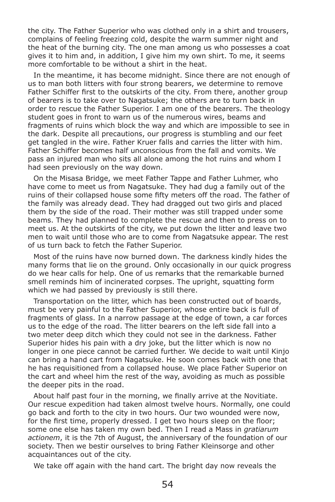the city. The Father Superior who was clothed only in a shirt and trousers, complains of feeling freezing cold, despite the warm summer night and the heat of the burning city. The one man among us who possesses a coat gives it to him and, in addition, I give him my own shirt. To me, it seems more comfortable to be without a shirt in the heat.

In the meantime, it has become midnight. Since there are not enough of us to man both litters with four strong bearers, we determine to remove Father Schiffer first to the outskirts of the city. From there, another group of bearers is to take over to Nagatsuke; the others are to turn back in order to rescue the Father Superior. I am one of the bearers. The theology student goes in front to warn us of the numerous wires, beams and fragments of ruins which block the way and which are impossible to see in the dark. Despite all precautions, our progress is stumbling and our feet get tangled in the wire. Father Kruer falls and carries the litter with him. Father Schiffer becomes half unconscious from the fall and vomits. We pass an injured man who sits all alone among the hot ruins and whom I had seen previously on the way down.

On the Misasa Bridge, we meet Father Tappe and Father Luhmer, who have come to meet us from Nagatsuke. They had dug a family out of the ruins of their collapsed house some fifty meters off the road. The father of the family was already dead. They had dragged out two girls and placed them by the side of the road. Their mother was still trapped under some beams. They had planned to complete the rescue and then to press on to meet us. At the outskirts of the city, we put down the litter and leave two men to wait until those who are to come from Nagatsuke appear. The rest of us turn back to fetch the Father Superior.

Most of the ruins have now burned down. The darkness kindly hides the many forms that lie on the ground. Only occasionally in our quick progress do we hear calls for help. One of us remarks that the remarkable burned smell reminds him of incinerated corpses. The upright, squatting form which we had passed by previously is still there.

Transportation on the litter, which has been constructed out of boards, must be very painful to the Father Superior, whose entire back is full of fragments of glass. In a narrow passage at the edge of town, a car forces us to the edge of the road. The litter bearers on the left side fall into a two meter deep ditch which they could not see in the darkness. Father Superior hides his pain with a dry joke, but the litter which is now no longer in one piece cannot be carried further. We decide to wait until Kinjo can bring a hand cart from Nagatsuke. He soon comes back with one that he has requisitioned from a collapsed house. We place Father Superior on the cart and wheel him the rest of the way, avoiding as much as possible the deeper pits in the road.

About half past four in the morning, we finally arrive at the Novitiate. Our rescue expedition had taken almost twelve hours. Normally, one could go back and forth to the city in two hours. Our two wounded were now, for the first time, properly dressed. I get two hours sleep on the floor; some one else has taken my own bed. Then I read a Mass in *gratiarum actionem*, it is the 7th of August, the anniversary of the foundation of our society. Then we bestir ourselves to bring Father Kleinsorge and other acquaintances out of the city.

We take off again with the hand cart. The bright day now reveals the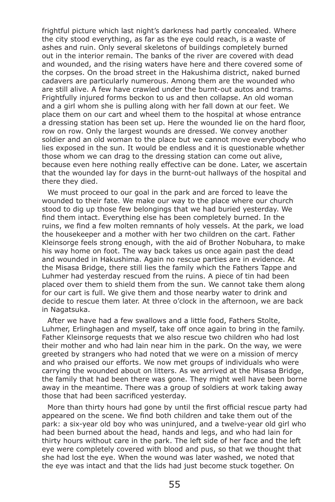frightful picture which last night's darkness had partly concealed. Where the city stood everything, as far as the eye could reach, is a waste of ashes and ruin. Only several skeletons of buildings completely burned out in the interior remain. The banks of the river are covered with dead and wounded, and the rising waters have here and there covered some of the corpses. On the broad street in the Hakushima district, naked burned cadavers are particularly numerous. Among them are the wounded who are still alive. A few have crawled under the burnt-out autos and trams. Frightfully injured forms beckon to us and then collapse. An old woman and a girl whom she is pulling along with her fall down at our feet. We place them on our cart and wheel them to the hospital at whose entrance a dressing station has been set up. Here the wounded lie on the hard floor, row on row. Only the largest wounds are dressed. We convey another soldier and an old woman to the place but we cannot move everybody who lies exposed in the sun. It would be endless and it is questionable whether those whom we can drag to the dressing station can come out alive, because even here nothing really effective can be done. Later, we ascertain that the wounded lay for days in the burnt-out hallways of the hospital and there they died.

We must proceed to our goal in the park and are forced to leave the wounded to their fate. We make our way to the place where our church stood to dig up those few belongings that we had buried yesterday. We find them intact. Everything else has been completely burned. In the ruins, we find a few molten remnants of holy vessels. At the park, we load the housekeeper and a mother with her two children on the cart. Father Kleinsorge feels strong enough, with the aid of Brother Nobuhara, to make his way home on foot. The way back takes us once again past the dead and wounded in Hakushima. Again no rescue parties are in evidence. At the Misasa Bridge, there still lies the family which the Fathers Tappe and Luhmer had yesterday rescued from the ruins. A piece of tin had been placed over them to shield them from the sun. We cannot take them along for our cart is full. We give them and those nearby water to drink and decide to rescue them later. At three o'clock in the afternoon, we are back in Nagatsuka.

After we have had a few swallows and a little food, Fathers Stolte, Luhmer, Erlinghagen and myself, take off once again to bring in the family. Father Kleinsorge requests that we also rescue two children who had lost their mother and who had lain near him in the park. On the way, we were greeted by strangers who had noted that we were on a mission of mercy and who praised our efforts. We now met groups of individuals who were carrying the wounded about on litters. As we arrived at the Misasa Bridge, the family that had been there was gone. They might well have been borne away in the meantime. There was a group of soldiers at work taking away those that had been sacrificed yesterday.

More than thirty hours had gone by until the first official rescue party had appeared on the scene. We find both children and take them out of the park: a six-year old boy who was uninjured, and a twelve-year old girl who had been burned about the head, hands and legs, and who had lain for thirty hours without care in the park. The left side of her face and the left eye were completely covered with blood and pus, so that we thought that she had lost the eye. When the wound was later washed, we noted that the eye was intact and that the lids had just become stuck together. On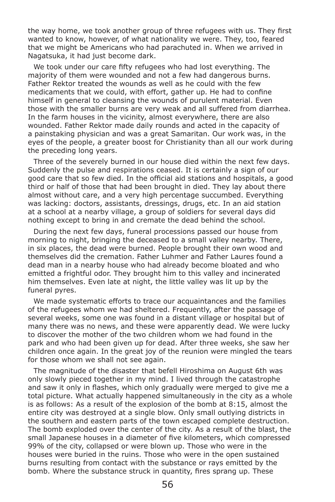the way home, we took another group of three refugees with us. They first wanted to know, however, of what nationality we were. They, too, feared that we might be Americans who had parachuted in. When we arrived in Nagatsuka, it had just become dark.

We took under our care fifty refugees who had lost everything. The majority of them were wounded and not a few had dangerous burns. Father Rektor treated the wounds as well as he could with the few medicaments that we could, with effort, gather up. He had to confine himself in general to cleansing the wounds of purulent material. Even those with the smaller burns are very weak and all suffered from diarrhea. In the farm houses in the vicinity, almost everywhere, there are also wounded. Father Rektor made daily rounds and acted in the capacity of a painstaking physician and was a great Samaritan. Our work was, in the eyes of the people, a greater boost for Christianity than all our work during the preceding long years.

Three of the severely burned in our house died within the next few days. Suddenly the pulse and respirations ceased. It is certainly a sign of our good care that so few died. In the official aid stations and hospitals, a good third or half of those that had been brought in died. They lay about there almost without care, and a very high percentage succumbed. Everything was lacking: doctors, assistants, dressings, drugs, etc. In an aid station at a school at a nearby village, a group of soldiers for several days did nothing except to bring in and cremate the dead behind the school.

During the next few days, funeral processions passed our house from morning to night, bringing the deceased to a small valley nearby. There, in six places, the dead were burned. People brought their own wood and themselves did the cremation. Father Luhmer and Father Laures found a dead man in a nearby house who had already become bloated and who emitted a frightful odor. They brought him to this valley and incinerated him themselves. Even late at night, the little valley was lit up by the funeral pyres.

We made systematic efforts to trace our acquaintances and the families of the refugees whom we had sheltered. Frequently, after the passage of several weeks, some one was found in a distant village or hospital but of many there was no news, and these were apparently dead. We were lucky to discover the mother of the two children whom we had found in the park and who had been given up for dead. After three weeks, she saw her children once again. In the great joy of the reunion were mingled the tears for those whom we shall not see again.

The magnitude of the disaster that befell Hiroshima on August 6th was only slowly pieced together in my mind. I lived through the catastrophe and saw it only in flashes, which only gradually were merged to give me a total picture. What actually happened simultaneously in the city as a whole is as follows: As a result of the explosion of the bomb at 8:15, almost the entire city was destroyed at a single blow. Only small outlying districts in the southern and eastern parts of the town escaped complete destruction. The bomb exploded over the center of the city. As a result of the blast, the small Japanese houses in a diameter of five kilometers, which compressed 99% of the city, collapsed or were blown up. Those who were in the houses were buried in the ruins. Those who were in the open sustained burns resulting from contact with the substance or rays emitted by the bomb. Where the substance struck in quantity, fires sprang up. These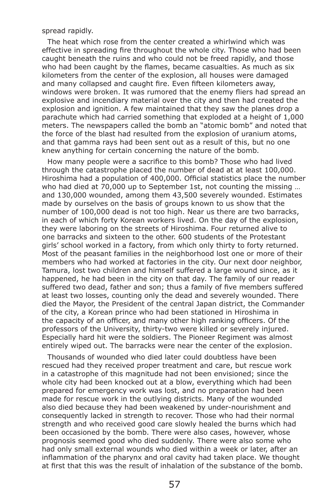spread rapidly.

The heat which rose from the center created a whirlwind which was effective in spreading fire throughout the whole city. Those who had been caught beneath the ruins and who could not be freed rapidly, and those who had been caught by the flames, became casualties. As much as six kilometers from the center of the explosion, all houses were damaged and many collapsed and caught fire. Even fifteen kilometers away, windows were broken. It was rumored that the enemy fliers had spread an explosive and incendiary material over the city and then had created the explosion and ignition. A few maintained that they saw the planes drop a parachute which had carried something that exploded at a height of 1,000 meters. The newspapers called the bomb an "atomic bomb" and noted that the force of the blast had resulted from the explosion of uranium atoms, and that gamma rays had been sent out as a result of this, but no one knew anything for certain concerning the nature of the bomb.

How many people were a sacrifice to this bomb? Those who had lived through the catastrophe placed the number of dead at at least 100,000. Hiroshima had a population of 400,000. Official statistics place the number who had died at 70,000 up to September 1st, not counting the missing … and 130,000 wounded, among them 43,500 severely wounded. Estimates made by ourselves on the basis of groups known to us show that the number of 100,000 dead is not too high. Near us there are two barracks, in each of which forty Korean workers lived. On the day of the explosion, they were laboring on the streets of Hiroshima. Four returned alive to one barracks and sixteen to the other. 600 students of the Protestant girls' school worked in a factory, from which only thirty to forty returned. Most of the peasant families in the neighborhood lost one or more of their members who had worked at factories in the city. Our next door neighbor, Tamura, lost two children and himself suffered a large wound since, as it happened, he had been in the city on that day. The family of our reader suffered two dead, father and son; thus a family of five members suffered at least two losses, counting only the dead and severely wounded. There died the Mayor, the President of the central Japan district, the Commander of the city, a Korean prince who had been stationed in Hiroshima in the capacity of an officer, and many other high ranking officers. Of the professors of the University, thirty-two were killed or severely injured. Especially hard hit were the soldiers. The Pioneer Regiment was almost entirely wiped out. The barracks were near the center of the explosion.

Thousands of wounded who died later could doubtless have been rescued had they received proper treatment and care, but rescue work in a catastrophe of this magnitude had not been envisioned; since the whole city had been knocked out at a blow, everything which had been prepared for emergency work was lost, and no preparation had been made for rescue work in the outlying districts. Many of the wounded also died because they had been weakened by under-nourishment and consequently lacked in strength to recover. Those who had their normal strength and who received good care slowly healed the burns which had been occasioned by the bomb. There were also cases, however, whose prognosis seemed good who died suddenly. There were also some who had only small external wounds who died within a week or later, after an inflammation of the pharynx and oral cavity had taken place. We thought at first that this was the result of inhalation of the substance of the bomb.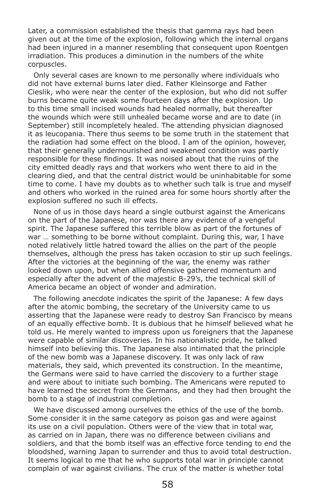Later, a commission established the thesis that gamma rays had been given out at the time of the explosion, following which the internal organs had been injured in a manner resembling that consequent upon Roentgen irradiation. This produces a diminution in the numbers of the white corpuscles.

Only several cases are known to me personally where individuals who did not have external burns later died. Father Kleinsorge and Father Cieslik, who were near the center of the explosion, but who did not suffer burns became quite weak some fourteen days after the explosion. Up to this time small incised wounds had healed normally, but thereafter the wounds which were still unhealed became worse and are to date (in September) still incompletely healed. The attending physician diagnosed it as leucopania. There thus seems to be some truth in the statement that the radiation had some effect on the blood. I am of the opinion, however, that their generally undernourished and weakened condition was partly responsible for these findings. It was noised about that the ruins of the city emitted deadly rays and that workers who went there to aid in the clearing died, and that the central district would be uninhabitable for some time to come. I have my doubts as to whether such talk is true and myself and others who worked in the ruined area for some hours shortly after the explosion suffered no such ill effects.

None of us in those days heard a single outburst against the Americans on the part of the Japanese, nor was there any evidence of a vengeful spirit. The Japanese suffered this terrible blow as part of the fortunes of war … something to be borne without complaint. During this, war, I have noted relatively little hatred toward the allies on the part of the people themselves, although the press has taken occasion to stir up such feelings. After the victories at the beginning of the war, the enemy was rather looked down upon, but when allied offensive gathered momentum and especially after the advent of the majestic B-29's, the technical skill of America became an object of wonder and admiration.

The following anecdote indicates the spirit of the Japanese: A few days after the atomic bombing, the secretary of the University came to us asserting that the Japanese were ready to destroy San Francisco by means of an equally effective bomb. It is dubious that he himself believed what he told us. He merely wanted to impress upon us foreigners that the Japanese were capable of similar discoveries. In his nationalistic pride, he talked himself into believing this. The Japanese also intimated that the principle of the new bomb was a Japanese discovery. It was only lack of raw materials, they said, which prevented its construction. In the meantime, the Germans were said to have carried the discovery to a further stage and were about to initiate such bombing. The Americans were reputed to have learned the secret from the Germans, and they had then brought the bomb to a stage of industrial completion.

We have discussed among ourselves the ethics of the use of the bomb. Some consider it in the same category as poison gas and were against its use on a civil population. Others were of the view that in total war, as carried on in Japan, there was no difference between civilians and soldiers, and that the bomb itself was an effective force tending to end the bloodshed, warning Japan to surrender and thus to avoid total destruction. It seems logical to me that he who supports total war in principle cannot complain of war against civilians. The crux of the matter is whether total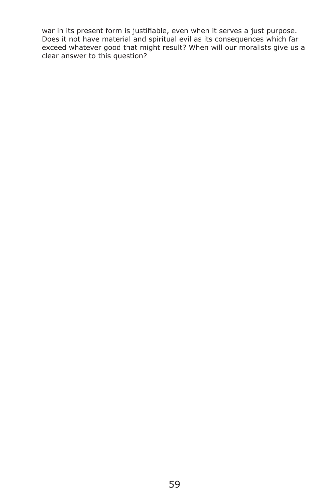war in its present form is justifiable, even when it serves a just purpose. Does it not have material and spiritual evil as its consequences which far exceed whatever good that might result? When will our moralists give us a clear answer to this question?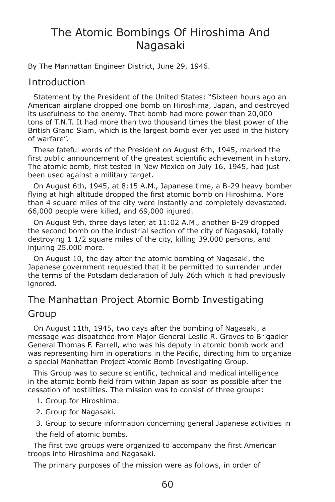# The Atomic Bombings Of Hiroshima And Nagasaki

By The Manhattan Engineer District, June 29, 1946.

### **Introduction**

Statement by the President of the United States: "Sixteen hours ago an American airplane dropped one bomb on Hiroshima, Japan, and destroyed its usefulness to the enemy. That bomb had more power than 20,000 tons of T.N.T. It had more than two thousand times the blast power of the British Grand Slam, which is the largest bomb ever yet used in the history of warfare".

These fateful words of the President on August 6th, 1945, marked the first public announcement of the greatest scientific achievement in history. The atomic bomb, first tested in New Mexico on July 16, 1945, had just been used against a military target.

On August 6th, 1945, at 8:15 A.M., Japanese time, a B-29 heavy bomber flying at high altitude dropped the first atomic bomb on Hiroshima. More than 4 square miles of the city were instantly and completely devastated. 66,000 people were killed, and 69,000 injured.

On August 9th, three days later, at 11:02 A.M., another B-29 dropped the second bomb on the industrial section of the city of Nagasaki, totally destroying 1 1/2 square miles of the city, killing 39,000 persons, and injuring 25,000 more.

On August 10, the day after the atomic bombing of Nagasaki, the Japanese government requested that it be permitted to surrender under the terms of the Potsdam declaration of July 26th which it had previously ignored.

# The Manhattan Project Atomic Bomb Investigating

### Group

On August 11th, 1945, two days after the bombing of Nagasaki, a message was dispatched from Major General Leslie R. Groves to Brigadier General Thomas F. Farrell, who was his deputy in atomic bomb work and was representing him in operations in the Pacific, directing him to organize a special Manhattan Project Atomic Bomb Investigating Group.

This Group was to secure scientific, technical and medical intelligence in the atomic bomb field from within Japan as soon as possible after the cessation of hostilities. The mission was to consist of three groups:

1. Group for Hiroshima.

2. Group for Nagasaki.

 3. Group to secure information concerning general Japanese activities in the field of atomic bombs.

The first two groups were organized to accompany the first American troops into Hiroshima and Nagasaki.

The primary purposes of the mission were as follows, in order of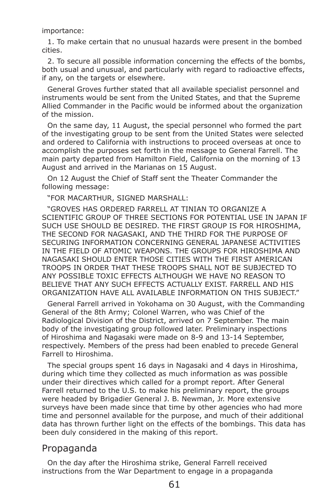importance:

1. To make certain that no unusual hazards were present in the bombed cities.

2. To secure all possible information concerning the effects of the bombs, both usual and unusual, and particularly with regard to radioactive effects, if any, on the targets or elsewhere.

General Groves further stated that all available specialist personnel and instruments would be sent from the United States, and that the Supreme Allied Commander in the Pacific would be informed about the organization of the mission.

On the same day, 11 August, the special personnel who formed the part of the investigating group to be sent from the United States were selected and ordered to California with instructions to proceed overseas at once to accomplish the purposes set forth in the message to General Farrell. The main party departed from Hamilton Field, California on the morning of 13 August and arrived in the Marianas on 15 August.

On 12 August the Chief of Staff sent the Theater Commander the following message:

"FOR MACARTHUR, SIGNED MARSHALL:

"GROVES HAS ORDERED FARRELL AT TINIAN TO ORGANIZE A SCIENTIFIC GROUP OF THREE SECTIONS FOR POTENTIAL USE IN JAPAN IF SUCH USE SHOULD BE DESIRED. THE FIRST GROUP IS FOR HIROSHIMA, THE SECOND FOR NAGASAKI, AND THE THIRD FOR THE PURPOSE OF SECURING INFORMATION CONCERNING GENERAL JAPANESE ACTIVITIES IN THE FIELD OF ATOMIC WEAPONS. THE GROUPS FOR HIROSHIMA AND NAGASAKI SHOULD ENTER THOSE CITIES WITH THE FIRST AMERICAN TROOPS IN ORDER THAT THESE TROOPS SHALL NOT BE SUBJECTED TO ANY POSSIBLE TOXIC EFFECTS ALTHOUGH WE HAVE NO REASON TO BELIEVE THAT ANY SUCH EFFECTS ACTUALLY EXIST. FARRELL AND HIS ORGANIZATION HAVE ALL AVAILABLE INFORMATION ON THIS SUBJECT."

General Farrell arrived in Yokohama on 30 August, with the Commanding General of the 8th Army; Colonel Warren, who was Chief of the Radiological Division of the District, arrived on 7 September. The main body of the investigating group followed later. Preliminary inspections of Hiroshima and Nagasaki were made on 8-9 and 13-14 September, respectively. Members of the press had been enabled to precede General Farrell to Hiroshima.

The special groups spent 16 days in Nagasaki and 4 days in Hiroshima, during which time they collected as much information as was possible under their directives which called for a prompt report. After General Farrell returned to the U.S. to make his preliminary report, the groups were headed by Brigadier General J. B. Newman, Jr. More extensive surveys have been made since that time by other agencies who had more time and personnel available for the purpose, and much of their additional data has thrown further light on the effects of the bombings. This data has been duly considered in the making of this report.

## Propaganda

On the day after the Hiroshima strike, General Farrell received instructions from the War Department to engage in a propaganda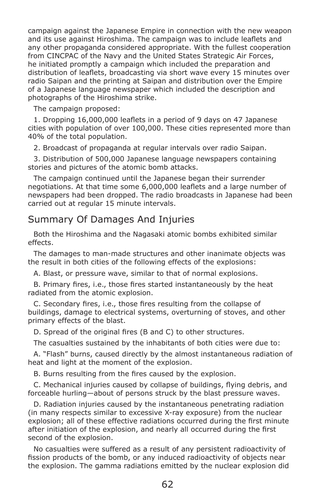campaign against the Japanese Empire in connection with the new weapon and its use against Hiroshima. The campaign was to include leaflets and any other propaganda considered appropriate. With the fullest cooperation from CINCPAC of the Navy and the United States Strategic Air Forces, he initiated promptly a campaign which included the preparation and distribution of leaflets, broadcasting via short wave every 15 minutes over radio Saipan and the printing at Saipan and distribution over the Empire of a Japanese language newspaper which included the description and photographs of the Hiroshima strike.

The campaign proposed:

1. Dropping 16,000,000 leaflets in a period of 9 days on 47 Japanese cities with population of over 100,000. These cities represented more than 40% of the total population.

2. Broadcast of propaganda at regular intervals over radio Saipan.

3. Distribution of 500,000 Japanese language newspapers containing stories and pictures of the atomic bomb attacks.

The campaign continued until the Japanese began their surrender negotiations. At that time some 6,000,000 leaflets and a large number of newspapers had been dropped. The radio broadcasts in Japanese had been carried out at regular 15 minute intervals.

## Summary Of Damages And Injuries

Both the Hiroshima and the Nagasaki atomic bombs exhibited similar effects.

The damages to man-made structures and other inanimate objects was the result in both cities of the following effects of the explosions:

A. Blast, or pressure wave, similar to that of normal explosions.

B. Primary fires, i.e., those fires started instantaneously by the heat radiated from the atomic explosion.

C. Secondary fires, i.e., those fires resulting from the collapse of buildings, damage to electrical systems, overturning of stoves, and other primary effects of the blast.

D. Spread of the original fires (B and C) to other structures.

The casualties sustained by the inhabitants of both cities were due to:

A. "Flash" burns, caused directly by the almost instantaneous radiation of heat and light at the moment of the explosion.

B. Burns resulting from the fires caused by the explosion.

C. Mechanical injuries caused by collapse of buildings, flying debris, and forceable hurling—about of persons struck by the blast pressure waves.

D. Radiation injuries caused by the instantaneous penetrating radiation (in many respects similar to excessive X-ray exposure) from the nuclear explosion; all of these effective radiations occurred during the first minute after initiation of the explosion, and nearly all occurred during the first second of the explosion.

No casualties were suffered as a result of any persistent radioactivity of fission products of the bomb, or any induced radioactivity of objects near the explosion. The gamma radiations emitted by the nuclear explosion did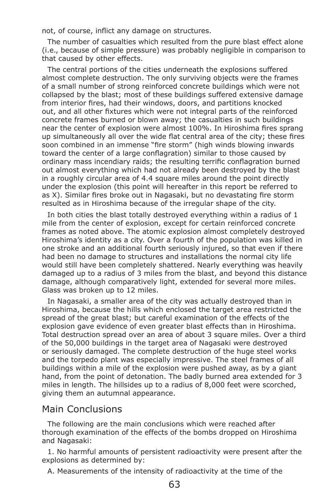not, of course, inflict any damage on structures.

The number of casualties which resulted from the pure blast effect alone (i.e., because of simple pressure) was probably negligible in comparison to that caused by other effects.

The central portions of the cities underneath the explosions suffered almost complete destruction. The only surviving objects were the frames of a small number of strong reinforced concrete buildings which were not collapsed by the blast; most of these buildings suffered extensive damage from interior fires, had their windows, doors, and partitions knocked out, and all other fixtures which were not integral parts of the reinforced concrete frames burned or blown away; the casualties in such buildings near the center of explosion were almost 100%. In Hiroshima fires sprang up simultaneously all over the wide flat central area of the city; these fires soon combined in an immense "fire storm" (high winds blowing inwards toward the center of a large conflagration) similar to those caused by ordinary mass incendiary raids; the resulting terrific conflagration burned out almost everything which had not already been destroyed by the blast in a roughly circular area of 4.4 square miles around the point directly under the explosion (this point will hereafter in this report be referred to as X). Similar fires broke out in Nagasaki, but no devastating fire storm resulted as in Hiroshima because of the irregular shape of the city.

In both cities the blast totally destroyed everything within a radius of 1 mile from the center of explosion, except for certain reinforced concrete frames as noted above. The atomic explosion almost completely destroyed Hiroshima's identity as a city. Over a fourth of the population was killed in one stroke and an additional fourth seriously injured, so that even if there had been no damage to structures and installations the normal city life would still have been completely shattered. Nearly everything was heavily damaged up to a radius of 3 miles from the blast, and beyond this distance damage, although comparatively light, extended for several more miles. Glass was broken up to 12 miles.

In Nagasaki, a smaller area of the city was actually destroyed than in Hiroshima, because the hills which enclosed the target area restricted the spread of the great blast; but careful examination of the effects of the explosion gave evidence of even greater blast effects than in Hiroshima. Total destruction spread over an area of about 3 square miles. Over a third of the 50,000 buildings in the target area of Nagasaki were destroyed or seriously damaged. The complete destruction of the huge steel works and the torpedo plant was especially impressive. The steel frames of all buildings within a mile of the explosion were pushed away, as by a giant hand, from the point of detonation. The badly burned area extended for 3 miles in length. The hillsides up to a radius of 8,000 feet were scorched, giving them an autumnal appearance.

### Main Conclusions

The following are the main conclusions which were reached after thorough examination of the effects of the bombs dropped on Hiroshima and Nagasaki:

1. No harmful amounts of persistent radioactivity were present after the explosions as determined by:

A. Measurements of the intensity of radioactivity at the time of the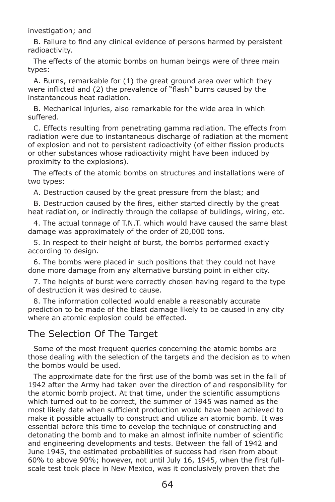investigation; and

B. Failure to find any clinical evidence of persons harmed by persistent radioactivity.

The effects of the atomic bombs on human beings were of three main types:

A. Burns, remarkable for (1) the great ground area over which they were inflicted and (2) the prevalence of "flash" burns caused by the instantaneous heat radiation.

B. Mechanical injuries, also remarkable for the wide area in which suffered.

C. Effects resulting from penetrating gamma radiation. The effects from radiation were due to instantaneous discharge of radiation at the moment of explosion and not to persistent radioactivity (of either fission products or other substances whose radioactivity might have been induced by proximity to the explosions).

The effects of the atomic bombs on structures and installations were of two types:

A. Destruction caused by the great pressure from the blast; and

B. Destruction caused by the fires, either started directly by the great heat radiation, or indirectly through the collapse of buildings, wiring, etc.

4. The actual tonnage of T.N.T. which would have caused the same blast damage was approximately of the order of 20,000 tons.

5. In respect to their height of burst, the bombs performed exactly according to design.

6. The bombs were placed in such positions that they could not have done more damage from any alternative bursting point in either city.

7. The heights of burst were correctly chosen having regard to the type of destruction it was desired to cause.

8. The information collected would enable a reasonably accurate prediction to be made of the blast damage likely to be caused in any city where an atomic explosion could be effected.

### The Selection Of The Target

Some of the most frequent queries concerning the atomic bombs are those dealing with the selection of the targets and the decision as to when the bombs would be used.

The approximate date for the first use of the bomb was set in the fall of 1942 after the Army had taken over the direction of and responsibility for the atomic bomb project. At that time, under the scientific assumptions which turned out to be correct, the summer of 1945 was named as the most likely date when sufficient production would have been achieved to make it possible actually to construct and utilize an atomic bomb. It was essential before this time to develop the technique of constructing and detonating the bomb and to make an almost infinite number of scientific and engineering developments and tests. Between the fall of 1942 and June 1945, the estimated probabilities of success had risen from about 60% to above 90%; however, not until July 16, 1945, when the first fullscale test took place in New Mexico, was it conclusively proven that the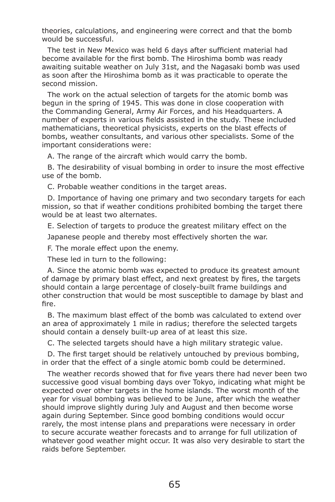theories, calculations, and engineering were correct and that the bomb would be successful.

The test in New Mexico was held 6 days after sufficient material had become available for the first bomb. The Hiroshima bomb was ready awaiting suitable weather on July 31st, and the Nagasaki bomb was used as soon after the Hiroshima bomb as it was practicable to operate the second mission.

The work on the actual selection of targets for the atomic bomb was begun in the spring of 1945. This was done in close cooperation with the Commanding General, Army Air Forces, and his Headquarters. A number of experts in various fields assisted in the study. These included mathematicians, theoretical physicists, experts on the blast effects of bombs, weather consultants, and various other specialists. Some of the important considerations were:

A. The range of the aircraft which would carry the bomb.

B. The desirability of visual bombing in order to insure the most effective use of the bomb.

C. Probable weather conditions in the target areas.

D. Importance of having one primary and two secondary targets for each mission, so that if weather conditions prohibited bombing the target there would be at least two alternates.

E. Selection of targets to produce the greatest military effect on the

Japanese people and thereby most effectively shorten the war.

F. The morale effect upon the enemy.

These led in turn to the following:

A. Since the atomic bomb was expected to produce its greatest amount of damage by primary blast effect, and next greatest by fires, the targets should contain a large percentage of closely-built frame buildings and other construction that would be most susceptible to damage by blast and fire.

B. The maximum blast effect of the bomb was calculated to extend over an area of approximately 1 mile in radius; therefore the selected targets should contain a densely built-up area of at least this size.

C. The selected targets should have a high military strategic value.

D. The first target should be relatively untouched by previous bombing, in order that the effect of a single atomic bomb could be determined.

The weather records showed that for five years there had never been two successive good visual bombing days over Tokyo, indicating what might be expected over other targets in the home islands. The worst month of the year for visual bombing was believed to be June, after which the weather should improve slightly during July and August and then become worse again during September. Since good bombing conditions would occur rarely, the most intense plans and preparations were necessary in order to secure accurate weather forecasts and to arrange for full utilization of whatever good weather might occur. It was also very desirable to start the raids before September.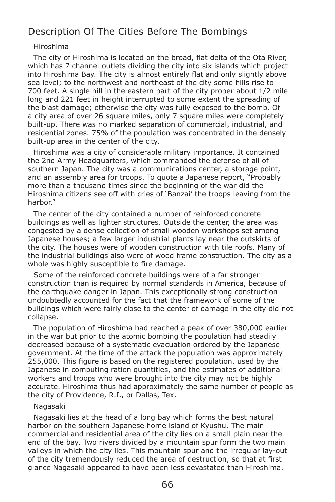# Description Of The Cities Before The Bombings

#### Hiroshima

The city of Hiroshima is located on the broad, flat delta of the Ota River, which has 7 channel outlets dividing the city into six islands which project into Hiroshima Bay. The city is almost entirely flat and only slightly above sea level; to the northwest and northeast of the city some hills rise to 700 feet. A single hill in the eastern part of the city proper about 1/2 mile long and 221 feet in height interrupted to some extent the spreading of the blast damage; otherwise the city was fully exposed to the bomb. Of a city area of over 26 square miles, only 7 square miles were completely built-up. There was no marked separation of commercial, industrial, and residential zones. 75% of the population was concentrated in the densely built-up area in the center of the city.

Hiroshima was a city of considerable military importance. It contained the 2nd Army Headquarters, which commanded the defense of all of southern Japan. The city was a communications center, a storage point, and an assembly area for troops. To quote a Japanese report, "Probably more than a thousand times since the beginning of the war did the Hiroshima citizens see off with cries of 'Banzai' the troops leaving from the harbor."

The center of the city contained a number of reinforced concrete buildings as well as lighter structures. Outside the center, the area was congested by a dense collection of small wooden workshops set among Japanese houses; a few larger industrial plants lay near the outskirts of the city. The houses were of wooden construction with tile roofs. Many of the industrial buildings also were of wood frame construction. The city as a whole was highly susceptible to fire damage.

Some of the reinforced concrete buildings were of a far stronger construction than is required by normal standards in America, because of the earthquake danger in Japan. This exceptionally strong construction undoubtedly accounted for the fact that the framework of some of the buildings which were fairly close to the center of damage in the city did not collapse.

The population of Hiroshima had reached a peak of over 380,000 earlier in the war but prior to the atomic bombing the population had steadily decreased because of a systematic evacuation ordered by the Japanese government. At the time of the attack the population was approximately 255,000. This figure is based on the registered population, used by the Japanese in computing ration quantities, and the estimates of additional workers and troops who were brought into the city may not be highly accurate. Hiroshima thus had approximately the same number of people as the city of Providence, R.I., or Dallas, Tex.

#### Nagasaki

Nagasaki lies at the head of a long bay which forms the best natural harbor on the southern Japanese home island of Kyushu. The main commercial and residential area of the city lies on a small plain near the end of the bay. Two rivers divided by a mountain spur form the two main valleys in which the city lies. This mountain spur and the irregular lay-out of the city tremendously reduced the area of destruction, so that at first glance Nagasaki appeared to have been less devastated than Hiroshima.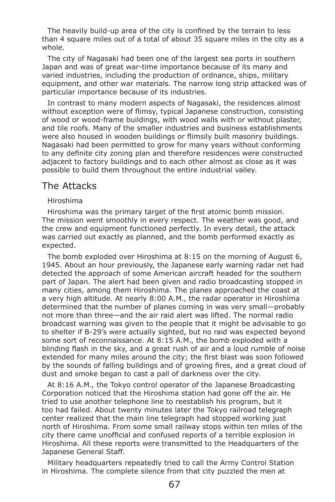The heavily build-up area of the city is confined by the terrain to less than 4 square miles out of a total of about 35 square miles in the city as a whole.

The city of Nagasaki had been one of the largest sea ports in southern Japan and was of great war-time importance because of its many and varied industries, including the production of ordnance, ships, military equipment, and other war materials. The narrow long strip attacked was of particular importance because of its industries.

In contrast to many modern aspects of Nagasaki, the residences almost without exception were of flimsy, typical Japanese construction, consisting of wood or wood-frame buildings, with wood walls with or without plaster, and tile roofs. Many of the smaller industries and business establishments were also housed in wooden buildings or flimsily built masonry buildings. Nagasaki had been permitted to grow for many years without conforming to any definite city zoning plan and therefore residences were constructed adjacent to factory buildings and to each other almost as close as it was possible to build them throughout the entire industrial valley.

### The Attacks

#### Hiroshima

Hiroshima was the primary target of the first atomic bomb mission. The mission went smoothly in every respect. The weather was good, and the crew and equipment functioned perfectly. In every detail, the attack was carried out exactly as planned, and the bomb performed exactly as expected.

The bomb exploded over Hiroshima at 8:15 on the morning of August 6, 1945. About an hour previously, the Japanese early warning radar net had detected the approach of some American aircraft headed for the southern part of Japan. The alert had been given and radio broadcasting stopped in many cities, among them Hiroshima. The planes approached the coast at a very high altitude. At nearly 8:00 A.M., the radar operator in Hiroshima determined that the number of planes coming in was very small—probably not more than three—and the air raid alert was lifted. The normal radio broadcast warning was given to the people that it might be advisable to go to shelter if B-29's were actually sighted, but no raid was expected beyond some sort of reconnaissance. At 8:15 A.M., the bomb exploded with a blinding flash in the sky, and a great rush of air and a loud rumble of noise extended for many miles around the city; the first blast was soon followed by the sounds of falling buildings and of growing fires, and a great cloud of dust and smoke began to cast a pall of darkness over the city.

At 8:16 A.M., the Tokyo control operator of the Japanese Broadcasting Corporation noticed that the Hiroshima station had gone off the air. He tried to use another telephone line to reestablish his program, but it too had failed. About twenty minutes later the Tokyo railroad telegraph center realized that the main line telegraph had stopped working just north of Hiroshima. From some small railway stops within ten miles of the city there came unofficial and confused reports of a terrible explosion in Hiroshima. All these reports were transmitted to the Headquarters of the Japanese General Staff.

Military headquarters repeatedly tried to call the Army Control Station in Hiroshima. The complete silence from that city puzzled the men at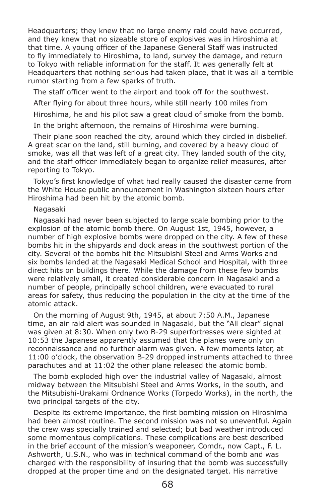Headquarters; they knew that no large enemy raid could have occurred, and they knew that no sizeable store of explosives was in Hiroshima at that time. A young officer of the Japanese General Staff was instructed to fly immediately to Hiroshima, to land, survey the damage, and return to Tokyo with reliable information for the staff. It was generally felt at Headquarters that nothing serious had taken place, that it was all a terrible rumor starting from a few sparks of truth.

The staff officer went to the airport and took off for the southwest.

After flying for about three hours, while still nearly 100 miles from

Hiroshima, he and his pilot saw a great cloud of smoke from the bomb.

In the bright afternoon, the remains of Hiroshima were burning.

Their plane soon reached the city, around which they circled in disbelief. A great scar on the land, still burning, and covered by a heavy cloud of smoke, was all that was left of a great city. They landed south of the city, and the staff officer immediately began to organize relief measures, after reporting to Tokyo.

Tokyo's first knowledge of what had really caused the disaster came from the White House public announcement in Washington sixteen hours after Hiroshima had been hit by the atomic bomb.

#### Nagasaki

Nagasaki had never been subjected to large scale bombing prior to the explosion of the atomic bomb there. On August 1st, 1945, however, a number of high explosive bombs were dropped on the city. A few of these bombs hit in the shipyards and dock areas in the southwest portion of the city. Several of the bombs hit the Mitsubishi Steel and Arms Works and six bombs landed at the Nagasaki Medical School and Hospital, with three direct hits on buildings there. While the damage from these few bombs were relatively small, it created considerable concern in Nagasaki and a number of people, principally school children, were evacuated to rural areas for safety, thus reducing the population in the city at the time of the atomic attack.

On the morning of August 9th, 1945, at about 7:50 A.M., Japanese time, an air raid alert was sounded in Nagasaki, but the "All clear" signal was given at 8:30. When only two B-29 superfortresses were sighted at 10:53 the Japanese apparently assumed that the planes were only on reconnaissance and no further alarm was given. A few moments later, at 11:00 o'clock, the observation B-29 dropped instruments attached to three parachutes and at 11:02 the other plane released the atomic bomb.

The bomb exploded high over the industrial valley of Nagasaki, almost midway between the Mitsubishi Steel and Arms Works, in the south, and the Mitsubishi-Urakami Ordnance Works (Torpedo Works), in the north, the two principal targets of the city.

Despite its extreme importance, the first bombing mission on Hiroshima had been almost routine. The second mission was not so uneventful. Again the crew was specially trained and selected; but bad weather introduced some momentous complications. These complications are best described in the brief account of the mission's weaponeer, Comdr., now Capt., F. L. Ashworth, U.S.N., who was in technical command of the bomb and was charged with the responsibility of insuring that the bomb was successfully dropped at the proper time and on the designated target. His narrative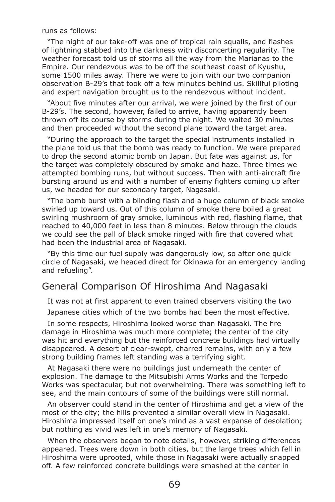runs as follows:

"The night of our take-off was one of tropical rain squalls, and flashes of lightning stabbed into the darkness with disconcerting regularity. The weather forecast told us of storms all the way from the Marianas to the Empire. Our rendezvous was to be off the southeast coast of Kyushu, some 1500 miles away. There we were to join with our two companion observation B-29's that took off a few minutes behind us. Skillful piloting and expert navigation brought us to the rendezvous without incident.

"About five minutes after our arrival, we were joined by the first of our B-29's. The second, however, failed to arrive, having apparently been thrown off its course by storms during the night. We waited 30 minutes and then proceeded without the second plane toward the target area.

"During the approach to the target the special instruments installed in the plane told us that the bomb was ready to function. We were prepared to drop the second atomic bomb on Japan. But fate was against us, for the target was completely obscured by smoke and haze. Three times we attempted bombing runs, but without success. Then with anti-aircraft fire bursting around us and with a number of enemy fighters coming up after us, we headed for our secondary target, Nagasaki.

"The bomb burst with a blinding flash and a huge column of black smoke swirled up toward us. Out of this column of smoke there boiled a great swirling mushroom of gray smoke, luminous with red, flashing flame, that reached to 40,000 feet in less than 8 minutes. Below through the clouds we could see the pall of black smoke ringed with fire that covered what had been the industrial area of Nagasaki.

"By this time our fuel supply was dangerously low, so after one quick circle of Nagasaki, we headed direct for Okinawa for an emergency landing and refueling".

#### General Comparison Of Hiroshima And Nagasaki

It was not at first apparent to even trained observers visiting the two

Japanese cities which of the two bombs had been the most effective.

In some respects, Hiroshima looked worse than Nagasaki. The fire damage in Hiroshima was much more complete; the center of the city was hit and everything but the reinforced concrete buildings had virtually disappeared. A desert of clear-swept, charred remains, with only a few strong building frames left standing was a terrifying sight.

At Nagasaki there were no buildings just underneath the center of explosion. The damage to the Mitsubishi Arms Works and the Torpedo Works was spectacular, but not overwhelming. There was something left to see, and the main contours of some of the buildings were still normal.

An observer could stand in the center of Hiroshima and get a view of the most of the city; the hills prevented a similar overall view in Nagasaki. Hiroshima impressed itself on one's mind as a vast expanse of desolation; but nothing as vivid was left in one's memory of Nagasaki.

When the observers began to note details, however, striking differences appeared. Trees were down in both cities, but the large trees which fell in Hiroshima were uprooted, while those in Nagasaki were actually snapped off. A few reinforced concrete buildings were smashed at the center in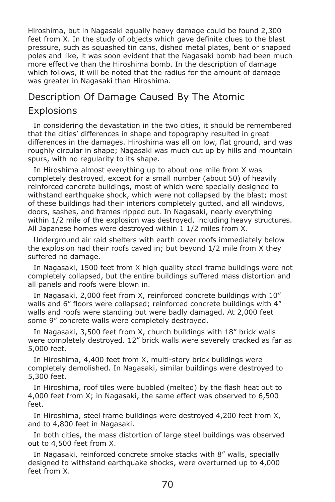Hiroshima, but in Nagasaki equally heavy damage could be found 2,300 feet from X. In the study of objects which gave definite clues to the blast pressure, such as squashed tin cans, dished metal plates, bent or snapped poles and like, it was soon evident that the Nagasaki bomb had been much more effective than the Hiroshima bomb. In the description of damage which follows, it will be noted that the radius for the amount of damage was greater in Nagasaki than Hiroshima.

# Description Of Damage Caused By The Atomic

# Explosions

In considering the devastation in the two cities, it should be remembered that the cities' differences in shape and topography resulted in great differences in the damages. Hiroshima was all on low, flat ground, and was roughly circular in shape; Nagasaki was much cut up by hills and mountain spurs, with no regularity to its shape.

In Hiroshima almost everything up to about one mile from X was completely destroyed, except for a small number (about 50) of heavily reinforced concrete buildings, most of which were specially designed to withstand earthquake shock, which were not collapsed by the blast; most of these buildings had their interiors completely gutted, and all windows, doors, sashes, and frames ripped out. In Nagasaki, nearly everything within 1/2 mile of the explosion was destroyed, including heavy structures. All Japanese homes were destroyed within 1 1/2 miles from X.

Underground air raid shelters with earth cover roofs immediately below the explosion had their roofs caved in; but beyond 1/2 mile from X they suffered no damage.

In Nagasaki, 1500 feet from X high quality steel frame buildings were not completely collapsed, but the entire buildings suffered mass distortion and all panels and roofs were blown in.

In Nagasaki, 2,000 feet from X, reinforced concrete buildings with 10" walls and 6" floors were collapsed; reinforced concrete buildings with 4" walls and roofs were standing but were badly damaged. At 2,000 feet some 9" concrete walls were completely destroyed.

In Nagasaki, 3,500 feet from X, church buildings with 18" brick walls were completely destroyed. 12" brick walls were severely cracked as far as 5,000 feet.

In Hiroshima, 4,400 feet from X, multi-story brick buildings were completely demolished. In Nagasaki, similar buildings were destroyed to 5,300 feet.

In Hiroshima, roof tiles were bubbled (melted) by the flash heat out to 4,000 feet from X; in Nagasaki, the same effect was observed to 6,500 feet.

In Hiroshima, steel frame buildings were destroyed 4,200 feet from X, and to 4,800 feet in Nagasaki.

In both cities, the mass distortion of large steel buildings was observed out to 4,500 feet from X.

In Nagasaki, reinforced concrete smoke stacks with 8" walls, specially designed to withstand earthquake shocks, were overturned up to 4,000 feet from X.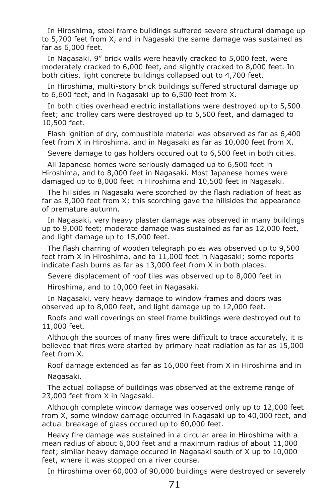In Hiroshima, steel frame buildings suffered severe structural damage up to 5,700 feet from X, and in Nagasaki the same damage was sustained as far as 6,000 feet.

In Nagasaki, 9" brick walls were heavily cracked to 5,000 feet, were moderately cracked to 6,000 feet, and slightly cracked to 8,000 feet. In both cities, light concrete buildings collapsed out to 4,700 feet.

In Hiroshima, multi-story brick buildings suffered structural damage up to 6,600 feet, and in Nagasaki up to 6,500 feet from X.

In both cities overhead electric installations were destroyed up to 5,500 feet; and trolley cars were destroyed up to 5,500 feet, and damaged to 10,500 feet.

Flash ignition of dry, combustible material was observed as far as 6,400 feet from X in Hiroshima, and in Nagasaki as far as 10,000 feet from X.

Severe damage to gas holders occured out to 6,500 feet in both cities.

All Japanese homes were seriously damaged up to 6,500 feet in Hiroshima, and to 8,000 feet in Nagasaki. Most Japanese homes were damaged up to 8,000 feet in Hiroshima and 10,500 feet in Nagasaki.

The hillsides in Nagasaki were scorched by the flash radiation of heat as far as 8,000 feet from X; this scorching gave the hillsides the appearance of premature autumn.

In Nagasaki, very heavy plaster damage was observed in many buildings up to 9,000 feet; moderate damage was sustained as far as 12,000 feet, and light damage up to 15,000 feet.

The flash charring of wooden telegraph poles was observed up to 9,500 feet from X in Hiroshima, and to 11,000 feet in Nagasaki; some reports indicate flash burns as far as 13,000 feet from X in both places.

Severe displacement of roof tiles was observed up to 8,000 feet in

Hiroshima, and to 10,000 feet in Nagasaki.

In Nagasaki, very heavy damage to window frames and doors was observed up to 8,000 feet, and light damage up to 12,000 feet.

Roofs and wall coverings on steel frame buildings were destroyed out to 11,000 feet.

Although the sources of many fires were difficult to trace accurately, it is believed that fires were started by primary heat radiation as far as 15,000 feet from X.

Roof damage extended as far as 16,000 feet from X in Hiroshima and in Nagasaki.

The actual collapse of buildings was observed at the extreme range of 23,000 feet from X in Nagasaki.

Although complete window damage was observed only up to 12,000 feet from X, some window damage occurred in Nagasaki up to 40,000 feet, and actual breakage of glass occured up to 60,000 feet.

Heavy fire damage was sustained in a circular area in Hiroshima with a mean radius of about 6,000 feet and a maximum radius of about 11,000 feet; similar heavy damage occured in Nagasaki south of X up to 10,000 feet, where it was stopped on a river course.

In Hiroshima over 60,000 of 90,000 buildings were destroyed or severely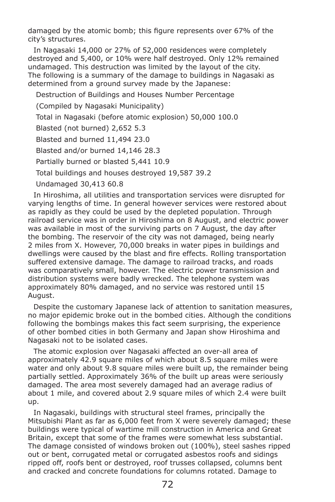damaged by the atomic bomb; this figure represents over 67% of the city's structures.

In Nagasaki 14,000 or 27% of 52,000 residences were completely destroyed and 5,400, or 10% were half destroyed. Only 12% remained undamaged. This destruction was limited by the layout of the city. The following is a summary of the damage to buildings in Nagasaki as determined from a ground survey made by the Japanese:

 Destruction of Buildings and Houses Number Percentage (Compiled by Nagasaki Municipality) Total in Nagasaki (before atomic explosion) 50,000 100.0 Blasted (not burned) 2,652 5.3 Blasted and burned 11,494 23.0 Blasted and/or burned 14,146 28.3 Partially burned or blasted 5,441 10.9 Total buildings and houses destroyed 19,587 39.2 Undamaged 30,413 60.8

In Hiroshima, all utilities and transportation services were disrupted for varying lengths of time. In general however services were restored about as rapidly as they could be used by the depleted population. Through railroad service was in order in Hiroshima on 8 August, and electric power was available in most of the surviving parts on 7 August, the day after the bombing. The reservoir of the city was not damaged, being nearly 2 miles from X. However, 70,000 breaks in water pipes in buildings and dwellings were caused by the blast and fire effects. Rolling transportation suffered extensive damage. The damage to railroad tracks, and roads was comparatively small, however. The electric power transmission and distribution systems were badly wrecked. The telephone system was approximately 80% damaged, and no service was restored until 15 August.

Despite the customary Japanese lack of attention to sanitation measures, no major epidemic broke out in the bombed cities. Although the conditions following the bombings makes this fact seem surprising, the experience of other bombed cities in both Germany and Japan show Hiroshima and Nagasaki not to be isolated cases.

The atomic explosion over Nagasaki affected an over-all area of approximately 42.9 square miles of which about 8.5 square miles were water and only about 9.8 square miles were built up, the remainder being partially settled. Approximately 36% of the built up areas were seriously damaged. The area most severely damaged had an average radius of about 1 mile, and covered about 2.9 square miles of which 2.4 were built up.

In Nagasaki, buildings with structural steel frames, principally the Mitsubishi Plant as far as 6,000 feet from X were severely damaged; these buildings were typical of wartime mill construction in America and Great Britain, except that some of the frames were somewhat less substantial. The damage consisted of windows broken out (100%), steel sashes ripped out or bent, corrugated metal or corrugated asbestos roofs and sidings ripped off, roofs bent or destroyed, roof trusses collapsed, columns bent and cracked and concrete foundations for columns rotated. Damage to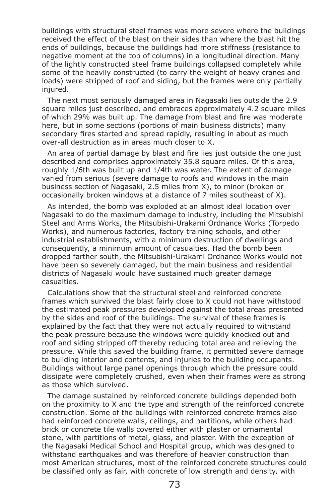buildings with structural steel frames was more severe where the buildings received the effect of the blast on their sides than where the blast hit the ends of buildings, because the buildings had more stiffness (resistance to negative moment at the top of columns) in a longitudinal direction. Many of the lightly constructed steel frame buildings collapsed completely while some of the heavily constructed (to carry the weight of heavy cranes and loads) were stripped of roof and siding, but the frames were only partially injured.

The next most seriously damaged area in Nagasaki lies outside the 2.9 square miles just described, and embraces approximately 4.2 square miles of which 29% was built up. The damage from blast and fire was moderate here, but in some sections (portions of main business districts) many secondary fires started and spread rapidly, resulting in about as much over-all destruction as in areas much closer to X.

An area of partial damage by blast and fire lies just outside the one just described and comprises approximately 35.8 square miles. Of this area, roughly 1/6th was built up and 1/4th was water. The extent of damage varied from serious (severe damage to roofs and windows in the main business section of Nagasaki, 2.5 miles from X), to minor (broken or occasionally broken windows at a distance of 7 miles southeast of X).

As intended, the bomb was exploded at an almost ideal location over Nagasaki to do the maximum damage to industry, including the Mitsubishi Steel and Arms Works, the Mitsubishi-Urakami Ordnance Works (Torpedo Works), and numerous factories, factory training schools, and other industrial establishments, with a minimum destruction of dwellings and consequently, a minimum amount of casualties. Had the bomb been dropped farther south, the Mitsubishi-Urakami Ordnance Works would not have been so severely damaged, but the main business and residential districts of Nagasaki would have sustained much greater damage casualties.

Calculations show that the structural steel and reinforced concrete frames which survived the blast fairly close to X could not have withstood the estimated peak pressures developed against the total areas presented by the sides and roof of the buildings. The survival of these frames is explained by the fact that they were not actually required to withstand the peak pressure because the windows were quickly knocked out and roof and siding stripped off thereby reducing total area and relieving the pressure. While this saved the building frame, it permitted severe damage to building interior and contents, and injuries to the building occupants. Buildings without large panel openings through which the pressure could dissipate were completely crushed, even when their frames were as strong as those which survived.

The damage sustained by reinforced concrete buildings depended both on the proximity to X and the type and strength of the reinforced concrete construction. Some of the buildings with reinforced concrete frames also had reinforced concrete walls, ceilings, and partitions, while others had brick or concrete tile walls covered either with plaster or ornamental stone, with partitions of metal, glass, and plaster. With the exception of the Nagasaki Medical School and Hospital group, which was designed to withstand earthquakes and was therefore of heavier construction than most American structures, most of the reinforced concrete structures could be classified only as fair, with concrete of low strength and density, with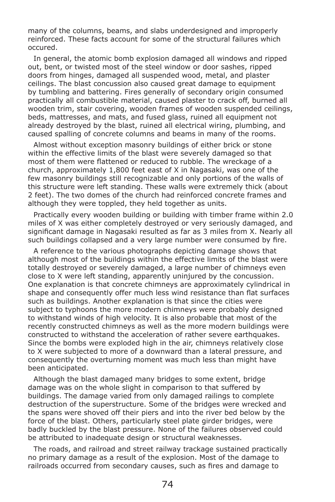many of the columns, beams, and slabs underdesigned and improperly reinforced. These facts account for some of the structural failures which occured.

In general, the atomic bomb explosion damaged all windows and ripped out, bent, or twisted most of the steel window or door sashes, ripped doors from hinges, damaged all suspended wood, metal, and plaster ceilings. The blast concussion also caused great damage to equipment by tumbling and battering. Fires generally of secondary origin consumed practically all combustible material, caused plaster to crack off, burned all wooden trim, stair covering, wooden frames of wooden suspended ceilings, beds, mattresses, and mats, and fused glass, ruined all equipment not already destroyed by the blast, ruined all electrical wiring, plumbing, and caused spalling of concrete columns and beams in many of the rooms.

Almost without exception masonry buildings of either brick or stone within the effective limits of the blast were severely damaged so that most of them were flattened or reduced to rubble. The wreckage of a church, approximately 1,800 feet east of X in Nagasaki, was one of the few masonry buildings still recognizable and only portions of the walls of this structure were left standing. These walls were extremely thick (about 2 feet). The two domes of the church had reinforced concrete frames and although they were toppled, they held together as units.

Practically every wooden building or building with timber frame within 2.0 miles of X was either completely destroyed or very seriously damaged, and significant damage in Nagasaki resulted as far as 3 miles from X. Nearly all such buildings collapsed and a very large number were consumed by fire.

A reference to the various photographs depicting damage shows that although most of the buildings within the effective limits of the blast were totally destroyed or severely damaged, a large number of chimneys even close to X were left standing, apparently uninjured by the concussion. One explanation is that concrete chimneys are approximately cylindrical in shape and consequently offer much less wind resistance than flat surfaces such as buildings. Another explanation is that since the cities were subject to typhoons the more modern chimneys were probably designed to withstand winds of high velocity. It is also probable that most of the recently constructed chimneys as well as the more modern buildings were constructed to withstand the acceleration of rather severe earthquakes. Since the bombs were exploded high in the air, chimneys relatively close to X were subjected to more of a downward than a lateral pressure, and consequently the overturning moment was much less than might have been anticipated.

Although the blast damaged many bridges to some extent, bridge damage was on the whole slight in comparison to that suffered by buildings. The damage varied from only damaged railings to complete destruction of the superstructure. Some of the bridges were wrecked and the spans were shoved off their piers and into the river bed below by the force of the blast. Others, particularly steel plate girder bridges, were badly buckled by the blast pressure. None of the failures observed could be attributed to inadequate design or structural weaknesses.

The roads, and railroad and street railway trackage sustained practically no primary damage as a result of the explosion. Most of the damage to railroads occurred from secondary causes, such as fires and damage to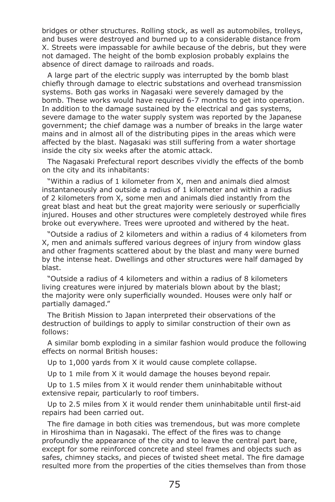bridges or other structures. Rolling stock, as well as automobiles, trolleys, and buses were destroyed and burned up to a considerable distance from X. Streets were impassable for awhile because of the debris, but they were not damaged. The height of the bomb explosion probably explains the absence of direct damage to railroads and roads.

A large part of the electric supply was interrupted by the bomb blast chiefly through damage to electric substations and overhead transmission systems. Both gas works in Nagasaki were severely damaged by the bomb. These works would have required 6-7 months to get into operation. In addition to the damage sustained by the electrical and gas systems, severe damage to the water supply system was reported by the Japanese government; the chief damage was a number of breaks in the large water mains and in almost all of the distributing pipes in the areas which were affected by the blast. Nagasaki was still suffering from a water shortage inside the city six weeks after the atomic attack.

The Nagasaki Prefectural report describes vividly the effects of the bomb on the city and its inhabitants:

"Within a radius of 1 kilometer from X, men and animals died almost instantaneously and outside a radius of 1 kilometer and within a radius of 2 kilometers from X, some men and animals died instantly from the great blast and heat but the great majority were seriously or superficially injured. Houses and other structures were completely destroyed while fires broke out everywhere. Trees were uprooted and withered by the heat.

"Outside a radius of 2 kilometers and within a radius of 4 kilometers from X, men and animals suffered various degrees of injury from window glass and other fragments scattered about by the blast and many were burned by the intense heat. Dwellings and other structures were half damaged by blast.

"Outside a radius of 4 kilometers and within a radius of 8 kilometers living creatures were injured by materials blown about by the blast; the majority were only superficially wounded. Houses were only half or partially damaged."

The British Mission to Japan interpreted their observations of the destruction of buildings to apply to similar construction of their own as follows:

A similar bomb exploding in a similar fashion would produce the following effects on normal British houses:

Up to 1,000 yards from X it would cause complete collapse.

Up to 1 mile from X it would damage the houses beyond repair.

Up to 1.5 miles from X it would render them uninhabitable without extensive repair, particularly to roof timbers.

Up to 2.5 miles from X it would render them uninhabitable until first-aid repairs had been carried out.

The fire damage in both cities was tremendous, but was more complete in Hiroshima than in Nagasaki. The effect of the fires was to change profoundly the appearance of the city and to leave the central part bare, except for some reinforced concrete and steel frames and objects such as safes, chimney stacks, and pieces of twisted sheet metal. The fire damage resulted more from the properties of the cities themselves than from those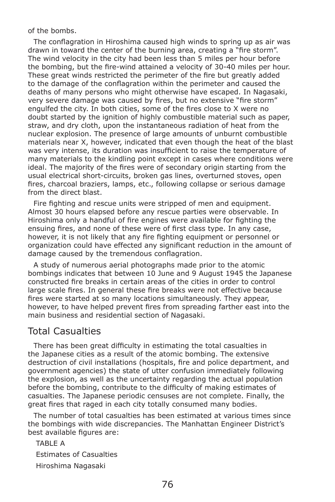of the bombs.

The conflagration in Hiroshima caused high winds to spring up as air was drawn in toward the center of the burning area, creating a "fire storm". The wind velocity in the city had been less than 5 miles per hour before the bombing, but the fire-wind attained a velocity of 30-40 miles per hour. These great winds restricted the perimeter of the fire but greatly added to the damage of the conflagration within the perimeter and caused the deaths of many persons who might otherwise have escaped. In Nagasaki, very severe damage was caused by fires, but no extensive "fire storm" engulfed the city. In both cities, some of the fires close to X were no doubt started by the ignition of highly combustible material such as paper, straw, and dry cloth, upon the instantaneous radiation of heat from the nuclear explosion. The presence of large amounts of unburnt combustible materials near X, however, indicated that even though the heat of the blast was very intense, its duration was insufficient to raise the temperature of many materials to the kindling point except in cases where conditions were ideal. The majority of the fires were of secondary origin starting from the usual electrical short-circuits, broken gas lines, overturned stoves, open fires, charcoal braziers, lamps, etc., following collapse or serious damage from the direct blast.

Fire fighting and rescue units were stripped of men and equipment. Almost 30 hours elapsed before any rescue parties were observable. In Hiroshima only a handful of fire engines were available for fighting the ensuing fires, and none of these were of first class type. In any case, however, it is not likely that any fire fighting equipment or personnel or organization could have effected any significant reduction in the amount of damage caused by the tremendous conflagration.

A study of numerous aerial photographs made prior to the atomic bombings indicates that between 10 June and 9 August 1945 the Japanese constructed fire breaks in certain areas of the cities in order to control large scale fires. In general these fire breaks were not effective because fires were started at so many locations simultaneously. They appear, however, to have helped prevent fires from spreading farther east into the main business and residential section of Nagasaki.

#### Total Casualties

There has been great difficulty in estimating the total casualties in the Japanese cities as a result of the atomic bombing. The extensive destruction of civil installations (hospitals, fire and police department, and government agencies) the state of utter confusion immediately following the explosion, as well as the uncertainty regarding the actual population before the bombing, contribute to the difficulty of making estimates of casualties. The Japanese periodic censuses are not complete. Finally, the great fires that raged in each city totally consumed many bodies.

The number of total casualties has been estimated at various times since the bombings with wide discrepancies. The Manhattan Engineer District's best available figures are:

 TABLE A Estimates of Casualties Hiroshima Nagasaki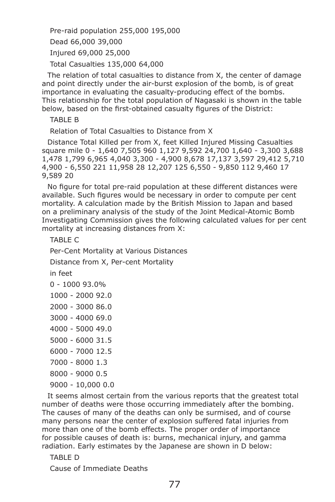Pre-raid population 255,000 195,000 Dead 66,000 39,000

Injured 69,000 25,000

Total Casualties 135,000 64,000

The relation of total casualties to distance from X, the center of damage and point directly under the air-burst explosion of the bomb, is of great importance in evaluating the casualty-producing effect of the bombs. This relationship for the total population of Nagasaki is shown in the table below, based on the first-obtained casualty figures of the District:

TABLE B

Relation of Total Casualties to Distance from X

Distance Total Killed per from X, feet Killed Injured Missing Casualties square mile 0 - 1,640 7,505 960 1,127 9,592 24,700 1,640 - 3,300 3,688 1,478 1,799 6,965 4,040 3,300 - 4,900 8,678 17,137 3,597 29,412 5,710 4,900 - 6,550 221 11,958 28 12,207 125 6,550 - 9,850 112 9,460 17 9,589 20

No figure for total pre-raid population at these different distances were available. Such figures would be necessary in order to compute per cent mortality. A calculation made by the British Mission to Japan and based on a preliminary analysis of the study of the Joint Medical-Atomic Bomb Investigating Commission gives the following calculated values for per cent mortality at increasing distances from X:

TABLE C

Per-Cent Mortality at Various Distances

Distance from X, Per-cent Mortality

in feet

```
 0 - 1000 93.0%
```
- 1000 2000 92.0
- 2000 3000 86.0
- 3000 4000 69.0
- 4000 5000 49.0
- 5000 6000 31.5
- 6000 7000 12.5
- 7000 8000 1.3
- 8000 9000 0.5
- 9000 10,000 0.0

It seems almost certain from the various reports that the greatest total number of deaths were those occurring immediately after the bombing. The causes of many of the deaths can only be surmised, and of course many persons near the center of explosion suffered fatal injuries from more than one of the bomb effects. The proper order of importance for possible causes of death is: burns, mechanical injury, and gamma radiation. Early estimates by the Japanese are shown in D below:

#### TABLE D

Cause of Immediate Deaths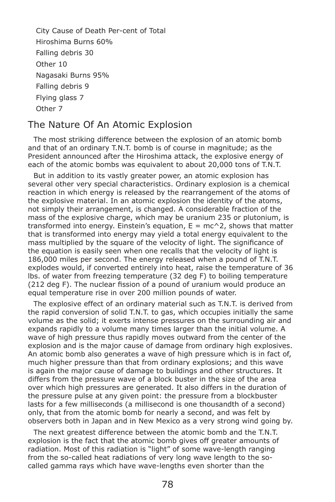City Cause of Death Per-cent of Total Hiroshima Burns 60% Falling debris 30 Other 10 Nagasaki Burns 95% Falling debris 9 Flying glass 7 Other 7

#### The Nature Of An Atomic Explosion

The most striking difference between the explosion of an atomic bomb and that of an ordinary T.N.T. bomb is of course in magnitude; as the President announced after the Hiroshima attack, the explosive energy of each of the atomic bombs was equivalent to about 20,000 tons of T.N.T.

But in addition to its vastly greater power, an atomic explosion has several other very special characteristics. Ordinary explosion is a chemical reaction in which energy is released by the rearrangement of the atoms of the explosive material. In an atomic explosion the identity of the atoms, not simply their arrangement, is changed. A considerable fraction of the mass of the explosive charge, which may be uranium 235 or plutonium, is transformed into energy. Einstein's equation,  $E = mc^2$ , shows that matter that is transformed into energy may yield a total energy equivalent to the mass multiplied by the square of the velocity of light. The significance of the equation is easily seen when one recalls that the velocity of light is 186,000 miles per second. The energy released when a pound of T.N.T. explodes would, if converted entirely into heat, raise the temperature of 36 lbs. of water from freezing temperature (32 deg F) to boiling temperature (212 deg F). The nuclear fission of a pound of uranium would produce an equal temperature rise in over 200 million pounds of water.

The explosive effect of an ordinary material such as T.N.T. is derived from the rapid conversion of solid T.N.T. to gas, which occupies initially the same volume as the solid; it exerts intense pressures on the surrounding air and expands rapidly to a volume many times larger than the initial volume. A wave of high pressure thus rapidly moves outward from the center of the explosion and is the major cause of damage from ordinary high explosives. An atomic bomb also generates a wave of high pressure which is in fact of, much higher pressure than that from ordinary explosions; and this wave is again the major cause of damage to buildings and other structures. It differs from the pressure wave of a block buster in the size of the area over which high pressures are generated. It also differs in the duration of the pressure pulse at any given point: the pressure from a blockbuster lasts for a few milliseconds (a millisecond is one thousandth of a second) only, that from the atomic bomb for nearly a second, and was felt by observers both in Japan and in New Mexico as a very strong wind going by.

The next greatest difference between the atomic bomb and the T.N.T. explosion is the fact that the atomic bomb gives off greater amounts of radiation. Most of this radiation is "light" of some wave-length ranging from the so-called heat radiations of very long wave length to the socalled gamma rays which have wave-lengths even shorter than the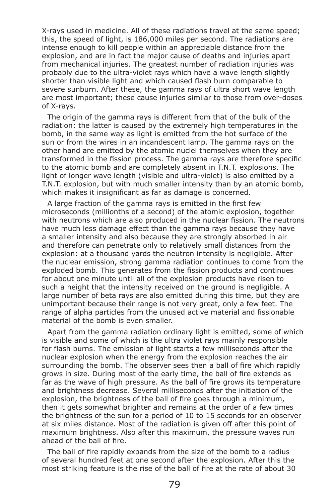X-rays used in medicine. All of these radiations travel at the same speed; this, the speed of light, is 186,000 miles per second. The radiations are intense enough to kill people within an appreciable distance from the explosion, and are in fact the major cause of deaths and injuries apart from mechanical injuries. The greatest number of radiation injuries was probably due to the ultra-violet rays which have a wave length slightly shorter than visible light and which caused flash burn comparable to severe sunburn. After these, the gamma rays of ultra short wave length are most important; these cause injuries similar to those from over-doses of X-rays.

The origin of the gamma rays is different from that of the bulk of the radiation: the latter is caused by the extremely high temperatures in the bomb, in the same way as light is emitted from the hot surface of the sun or from the wires in an incandescent lamp. The gamma rays on the other hand are emitted by the atomic nuclei themselves when they are transformed in the fission process. The gamma rays are therefore specific to the atomic bomb and are completely absent in T.N.T. explosions. The light of longer wave length (visible and ultra-violet) is also emitted by a T.N.T. explosion, but with much smaller intensity than by an atomic bomb, which makes it insignificant as far as damage is concerned.

A large fraction of the gamma rays is emitted in the first few microseconds (millionths of a second) of the atomic explosion, together with neutrons which are also produced in the nuclear fission. The neutrons have much less damage effect than the gamma rays because they have a smaller intensity and also because they are strongly absorbed in air and therefore can penetrate only to relatively small distances from the explosion: at a thousand yards the neutron intensity is negligible. After the nuclear emission, strong gamma radiation continues to come from the exploded bomb. This generates from the fission products and continues for about one minute until all of the explosion products have risen to such a height that the intensity received on the ground is negligible. A large number of beta rays are also emitted during this time, but they are unimportant because their range is not very great, only a few feet. The range of alpha particles from the unused active material and fissionable material of the bomb is even smaller.

Apart from the gamma radiation ordinary light is emitted, some of which is visible and some of which is the ultra violet rays mainly responsible for flash burns. The emission of light starts a few milliseconds after the nuclear explosion when the energy from the explosion reaches the air surrounding the bomb. The observer sees then a ball of fire which rapidly grows in size. During most of the early time, the ball of fire extends as far as the wave of high pressure. As the ball of fire grows its temperature and brightness decrease. Several milliseconds after the initiation of the explosion, the brightness of the ball of fire goes through a minimum, then it gets somewhat brighter and remains at the order of a few times the brightness of the sun for a period of 10 to 15 seconds for an observer at six miles distance. Most of the radiation is given off after this point of maximum brightness. Also after this maximum, the pressure waves run ahead of the ball of fire.

The ball of fire rapidly expands from the size of the bomb to a radius of several hundred feet at one second after the explosion. After this the most striking feature is the rise of the ball of fire at the rate of about 30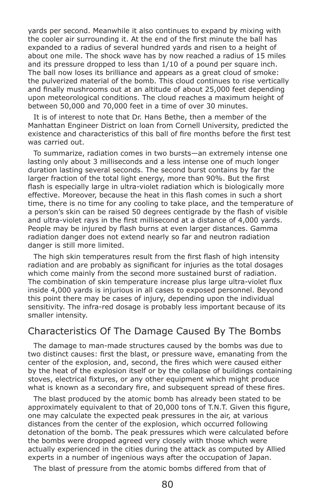yards per second. Meanwhile it also continues to expand by mixing with the cooler air surrounding it. At the end of the first minute the ball has expanded to a radius of several hundred yards and risen to a height of about one mile. The shock wave has by now reached a radius of 15 miles and its pressure dropped to less than 1/10 of a pound per square inch. The ball now loses its brilliance and appears as a great cloud of smoke: the pulverized material of the bomb. This cloud continues to rise vertically and finally mushrooms out at an altitude of about 25,000 feet depending upon meteorological conditions. The cloud reaches a maximum height of between 50,000 and 70,000 feet in a time of over 30 minutes.

It is of interest to note that Dr. Hans Bethe, then a member of the Manhattan Engineer District on loan from Cornell University, predicted the existence and characteristics of this ball of fire months before the first test was carried out.

To summarize, radiation comes in two bursts—an extremely intense one lasting only about 3 milliseconds and a less intense one of much longer duration lasting several seconds. The second burst contains by far the larger fraction of the total light energy, more than 90%. But the first flash is especially large in ultra-violet radiation which is biologically more effective. Moreover, because the heat in this flash comes in such a short time, there is no time for any cooling to take place, and the temperature of a person's skin can be raised 50 degrees centigrade by the flash of visible and ultra-violet rays in the first millisecond at a distance of 4,000 yards. People may be injured by flash burns at even larger distances. Gamma radiation danger does not extend nearly so far and neutron radiation danger is still more limited.

The high skin temperatures result from the first flash of high intensity radiation and are probably as significant for injuries as the total dosages which come mainly from the second more sustained burst of radiation. The combination of skin temperature increase plus large ultra-violet flux inside 4,000 yards is injurious in all cases to exposed personnel. Beyond this point there may be cases of injury, depending upon the individual sensitivity. The infra-red dosage is probably less important because of its smaller intensity.

#### Characteristics Of The Damage Caused By The Bombs

The damage to man-made structures caused by the bombs was due to two distinct causes: first the blast, or pressure wave, emanating from the center of the explosion, and, second, the fires which were caused either by the heat of the explosion itself or by the collapse of buildings containing stoves, electrical fixtures, or any other equipment which might produce what is known as a secondary fire, and subsequent spread of these fires.

The blast produced by the atomic bomb has already been stated to be approximately equivalent to that of 20,000 tons of T.N.T. Given this figure, one may calculate the expected peak pressures in the air, at various distances from the center of the explosion, which occurred following detonation of the bomb. The peak pressures which were calculated before the bombs were dropped agreed very closely with those which were actually experienced in the cities during the attack as computed by Allied experts in a number of ingenious ways after the occupation of Japan.

The blast of pressure from the atomic bombs differed from that of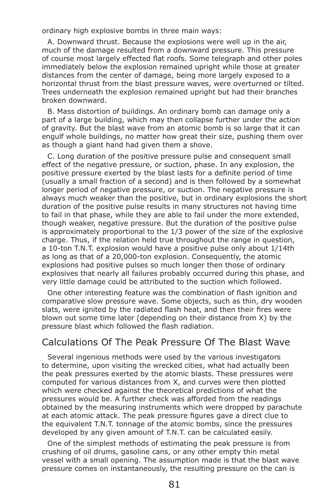ordinary high explosive bombs in three main ways:

A. Downward thrust. Because the explosions were well up in the air, much of the damage resulted from a downward pressure. This pressure of course most largely effected flat roofs. Some telegraph and other poles immediately below the explosion remained upright while those at greater distances from the center of damage, being more largely exposed to a horizontal thrust from the blast pressure waves, were overturned or tilted. Trees underneath the explosion remained upright but had their branches broken downward.

B. Mass distortion of buildings. An ordinary bomb can damage only a part of a large building, which may then collapse further under the action of gravity. But the blast wave from an atomic bomb is so large that it can engulf whole buildings, no matter how great their size, pushing them over as though a giant hand had given them a shove.

C. Long duration of the positive pressure pulse and consequent small effect of the negative pressure, or suction, phase. In any explosion, the positive pressure exerted by the blast lasts for a definite period of time (usually a small fraction of a second) and is then followed by a somewhat longer period of negative pressure, or suction. The negative pressure is always much weaker than the positive, but in ordinary explosions the short duration of the positive pulse results in many structures not having time to fail in that phase, while they are able to fail under the more extended, though weaker, negative pressure. But the duration of the positive pulse is approximately proportional to the 1/3 power of the size of the explosive charge. Thus, if the relation held true throughout the range in question, a 10-ton T.N.T. explosion would have a positive pulse only about 1/14th as long as that of a 20,000-ton explosion. Consequently, the atomic explosions had positive pulses so much longer then those of ordinary explosives that nearly all failures probably occurred during this phase, and very little damage could be attributed to the suction which followed.

One other interesting feature was the combination of flash ignition and comparative slow pressure wave. Some objects, such as thin, dry wooden slats, were ignited by the radiated flash heat, and then their fires were blown out some time later (depending on their distance from X) by the pressure blast which followed the flash radiation.

#### Calculations Of The Peak Pressure Of The Blast Wave

Several ingenious methods were used by the various investigators to determine, upon visiting the wrecked cities, what had actually been the peak pressures exerted by the atomic blasts. These pressures were computed for various distances from X, and curves were then plotted which were checked against the theoretical predictions of what the pressures would be. A further check was afforded from the readings obtained by the measuring instruments which were dropped by parachute at each atomic attack. The peak pressure figures gave a direct clue to the equivalent T.N.T. tonnage of the atomic bombs, since the pressures developed by any given amount of T.N.T. can be calculated easily.

One of the simplest methods of estimating the peak pressure is from crushing of oil drums, gasoline cans, or any other empty thin metal vessel with a small opening. The assumption made is that the blast wave pressure comes on instantaneously, the resulting pressure on the can is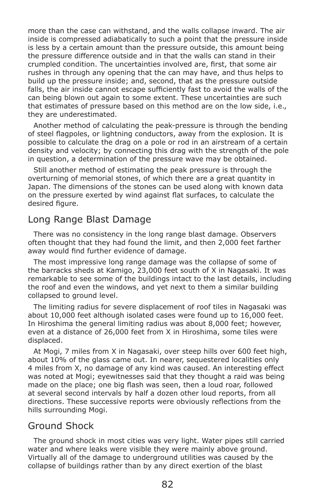more than the case can withstand, and the walls collapse inward. The air inside is compressed adiabatically to such a point that the pressure inside is less by a certain amount than the pressure outside, this amount being the pressure difference outside and in that the walls can stand in their crumpled condition. The uncertainties involved are, first, that some air rushes in through any opening that the can may have, and thus helps to build up the pressure inside; and, second, that as the pressure outside falls, the air inside cannot escape sufficiently fast to avoid the walls of the can being blown out again to some extent. These uncertainties are such that estimates of pressure based on this method are on the low side, i.e., they are underestimated.

Another method of calculating the peak-pressure is through the bending of steel flagpoles, or lightning conductors, away from the explosion. It is possible to calculate the drag on a pole or rod in an airstream of a certain density and velocity; by connecting this drag with the strength of the pole in question, a determination of the pressure wave may be obtained.

Still another method of estimating the peak pressure is through the overturning of memorial stones, of which there are a great quantity in Japan. The dimensions of the stones can be used along with known data on the pressure exerted by wind against flat surfaces, to calculate the desired figure.

## Long Range Blast Damage

There was no consistency in the long range blast damage. Observers often thought that they had found the limit, and then 2,000 feet farther away would find further evidence of damage.

The most impressive long range damage was the collapse of some of the barracks sheds at Kamigo, 23,000 feet south of X in Nagasaki. It was remarkable to see some of the buildings intact to the last details, including the roof and even the windows, and yet next to them a similar building collapsed to ground level.

The limiting radius for severe displacement of roof tiles in Nagasaki was about 10,000 feet although isolated cases were found up to 16,000 feet. In Hiroshima the general limiting radius was about 8,000 feet; however, even at a distance of 26,000 feet from X in Hiroshima, some tiles were displaced.

At Mogi, 7 miles from X in Nagasaki, over steep hills over 600 feet high, about 10% of the glass came out. In nearer, sequestered localities only 4 miles from X, no damage of any kind was caused. An interesting effect was noted at Mogi; eyewitnesses said that they thought a raid was being made on the place; one big flash was seen, then a loud roar, followed at several second intervals by half a dozen other loud reports, from all directions. These successive reports were obviously reflections from the hills surrounding Mogi.

#### Ground Shock

The ground shock in most cities was very light. Water pipes still carried water and where leaks were visible they were mainly above ground. Virtually all of the damage to underground utilities was caused by the collapse of buildings rather than by any direct exertion of the blast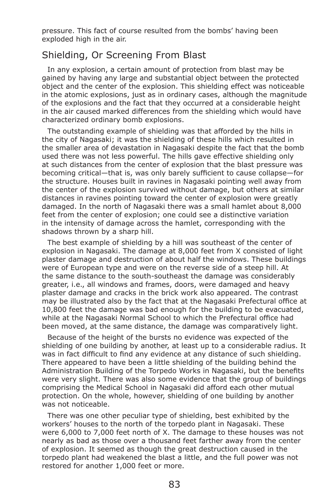pressure. This fact of course resulted from the bombs' having been exploded high in the air.

## Shielding, Or Screening From Blast

In any explosion, a certain amount of protection from blast may be gained by having any large and substantial object between the protected object and the center of the explosion. This shielding effect was noticeable in the atomic explosions, just as in ordinary cases, although the magnitude of the explosions and the fact that they occurred at a considerable height in the air caused marked differences from the shielding which would have characterized ordinary bomb explosions.

The outstanding example of shielding was that afforded by the hills in the city of Nagasaki; it was the shielding of these hills which resulted in the smaller area of devastation in Nagasaki despite the fact that the bomb used there was not less powerful. The hills gave effective shielding only at such distances from the center of explosion that the blast pressure was becoming critical—that is, was only barely sufficient to cause collapse—for the structure. Houses built in ravines in Nagasaki pointing well away from the center of the explosion survived without damage, but others at similar distances in ravines pointing toward the center of explosion were greatly damaged. In the north of Nagasaki there was a small hamlet about 8,000 feet from the center of explosion; one could see a distinctive variation in the intensity of damage across the hamlet, corresponding with the shadows thrown by a sharp hill.

The best example of shielding by a hill was southeast of the center of explosion in Nagasaki. The damage at 8,000 feet from X consisted of light plaster damage and destruction of about half the windows. These buildings were of European type and were on the reverse side of a steep hill. At the same distance to the south-southeast the damage was considerably greater, i.e., all windows and frames, doors, were damaged and heavy plaster damage and cracks in the brick work also appeared. The contrast may be illustrated also by the fact that at the Nagasaki Prefectural office at 10,800 feet the damage was bad enough for the building to be evacuated, while at the Nagasaki Normal School to which the Prefectural office had been moved, at the same distance, the damage was comparatively light.

Because of the height of the bursts no evidence was expected of the shielding of one building by another, at least up to a considerable radius. It was in fact difficult to find any evidence at any distance of such shielding. There appeared to have been a little shielding of the building behind the Administration Building of the Torpedo Works in Nagasaki, but the benefits were very slight. There was also some evidence that the group of buildings comprising the Medical School in Nagasaki did afford each other mutual protection. On the whole, however, shielding of one building by another was not noticeable.

There was one other peculiar type of shielding, best exhibited by the workers' houses to the north of the torpedo plant in Nagasaki. These were 6,000 to 7,000 feet north of X. The damage to these houses was not nearly as bad as those over a thousand feet farther away from the center of explosion. It seemed as though the great destruction caused in the torpedo plant had weakened the blast a little, and the full power was not restored for another 1,000 feet or more.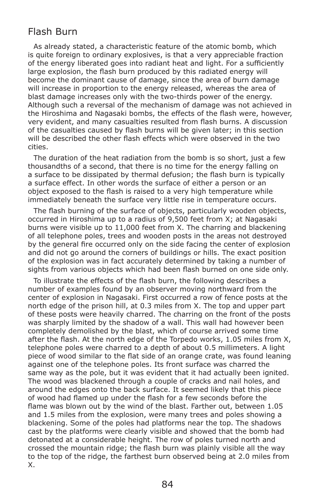## Flash Burn

As already stated, a characteristic feature of the atomic bomb, which is quite foreign to ordinary explosives, is that a very appreciable fraction of the energy liberated goes into radiant heat and light. For a sufficiently large explosion, the flash burn produced by this radiated energy will become the dominant cause of damage, since the area of burn damage will increase in proportion to the energy released, whereas the area of blast damage increases only with the two-thirds power of the energy. Although such a reversal of the mechanism of damage was not achieved in the Hiroshima and Nagasaki bombs, the effects of the flash were, however, very evident, and many casualties resulted from flash burns. A discussion of the casualties caused by flash burns will be given later; in this section will be described the other flash effects which were observed in the two cities.

The duration of the heat radiation from the bomb is so short, just a few thousandths of a second, that there is no time for the energy falling on a surface to be dissipated by thermal defusion; the flash burn is typically a surface effect. In other words the surface of either a person or an object exposed to the flash is raised to a very high temperature while immediately beneath the surface very little rise in temperature occurs.

The flash burning of the surface of objects, particularly wooden objects, occurred in Hiroshima up to a radius of 9,500 feet from X; at Nagasaki burns were visible up to 11,000 feet from X. The charring and blackening of all telephone poles, trees and wooden posts in the areas not destroyed by the general fire occurred only on the side facing the center of explosion and did not go around the corners of buildings or hills. The exact position of the explosion was in fact accurately determined by taking a number of sights from various objects which had been flash burned on one side only.

To illustrate the effects of the flash burn, the following describes a number of examples found by an observer moving northward from the center of explosion in Nagasaki. First occurred a row of fence posts at the north edge of the prison hill, at 0.3 miles from X. The top and upper part of these posts were heavily charred. The charring on the front of the posts was sharply limited by the shadow of a wall. This wall had however been completely demolished by the blast, which of course arrived some time after the flash. At the north edge of the Torpedo works, 1.05 miles from X, telephone poles were charred to a depth of about 0.5 millimeters. A light piece of wood similar to the flat side of an orange crate, was found leaning against one of the telephone poles. Its front surface was charred the same way as the pole, but it was evident that it had actually been ignited. The wood was blackened through a couple of cracks and nail holes, and around the edges onto the back surface. It seemed likely that this piece of wood had flamed up under the flash for a few seconds before the flame was blown out by the wind of the blast. Farther out, between 1.05 and 1.5 miles from the explosion, were many trees and poles showing a blackening. Some of the poles had platforms near the top. The shadows cast by the platforms were clearly visible and showed that the bomb had detonated at a considerable height. The row of poles turned north and crossed the mountain ridge; the flash burn was plainly visible all the way to the top of the ridge, the farthest burn observed being at 2.0 miles from X.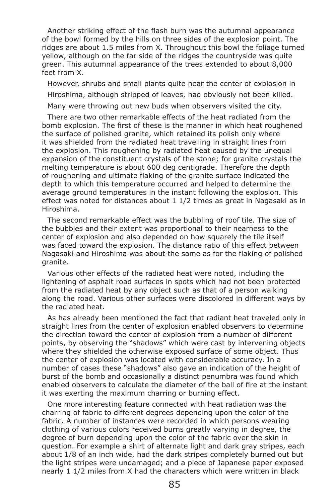Another striking effect of the flash burn was the autumnal appearance of the bowl formed by the hills on three sides of the explosion point. The ridges are about 1.5 miles from X. Throughout this bowl the foliage turned yellow, although on the far side of the ridges the countryside was quite green. This autumnal appearance of the trees extended to about 8,000 feet from X.

However, shrubs and small plants quite near the center of explosion in Hiroshima, although stripped of leaves, had obviously not been killed. Many were throwing out new buds when observers visited the city.

There are two other remarkable effects of the heat radiated from the bomb explosion. The first of these is the manner in which heat roughened the surface of polished granite, which retained its polish only where it was shielded from the radiated heat travelling in straight lines from the explosion. This roughening by radiated heat caused by the unequal expansion of the constituent crystals of the stone; for granite crystals the melting temperature is about 600 deg centigrade. Therefore the depth of roughening and ultimate flaking of the granite surface indicated the depth to which this temperature occurred and helped to determine the average ground temperatures in the instant following the explosion. This effect was noted for distances about 1 1/2 times as great in Nagasaki as in Hiroshima.

The second remarkable effect was the bubbling of roof tile. The size of the bubbles and their extent was proportional to their nearness to the center of explosion and also depended on how squarely the tile itself was faced toward the explosion. The distance ratio of this effect between Nagasaki and Hiroshima was about the same as for the flaking of polished granite.

Various other effects of the radiated heat were noted, including the lightening of asphalt road surfaces in spots which had not been protected from the radiated heat by any object such as that of a person walking along the road. Various other surfaces were discolored in different ways by the radiated heat.

As has already been mentioned the fact that radiant heat traveled only in straight lines from the center of explosion enabled observers to determine the direction toward the center of explosion from a number of different points, by observing the "shadows" which were cast by intervening objects where they shielded the otherwise exposed surface of some object. Thus the center of explosion was located with considerable accuracy. In a number of cases these "shadows" also gave an indication of the height of burst of the bomb and occasionally a distinct penumbra was found which enabled observers to calculate the diameter of the ball of fire at the instant it was exerting the maximum charring or burning effect.

One more interesting feature connected with heat radiation was the charring of fabric to different degrees depending upon the color of the fabric. A number of instances were recorded in which persons wearing clothing of various colors received burns greatly varying in degree, the degree of burn depending upon the color of the fabric over the skin in question. For example a shirt of alternate light and dark gray stripes, each about 1/8 of an inch wide, had the dark stripes completely burned out but the light stripes were undamaged; and a piece of Japanese paper exposed nearly 1 1/2 miles from X had the characters which were written in black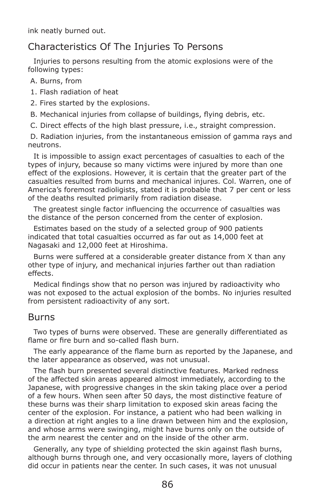ink neatly burned out.

# Characteristics Of The Injuries To Persons

Injuries to persons resulting from the atomic explosions were of the following types:

A. Burns, from

- 1. Flash radiation of heat
- 2. Fires started by the explosions.
- B. Mechanical injuries from collapse of buildings, flying debris, etc.
- C. Direct effects of the high blast pressure, i.e., straight compression.

 D. Radiation injuries, from the instantaneous emission of gamma rays and neutrons.

It is impossible to assign exact percentages of casualties to each of the types of injury, because so many victims were injured by more than one effect of the explosions. However, it is certain that the greater part of the casualties resulted from burns and mechanical injures. Col. Warren, one of America's foremost radioligists, stated it is probable that 7 per cent or less of the deaths resulted primarily from radiation disease.

The greatest single factor influencing the occurrence of casualties was the distance of the person concerned from the center of explosion.

Estimates based on the study of a selected group of 900 patients indicated that total casualties occurred as far out as 14,000 feet at Nagasaki and 12,000 feet at Hiroshima.

Burns were suffered at a considerable greater distance from X than any other type of injury, and mechanical injuries farther out than radiation effects.

Medical findings show that no person was injured by radioactivity who was not exposed to the actual explosion of the bombs. No injuries resulted from persistent radioactivity of any sort.

# Burns

Two types of burns were observed. These are generally differentiated as flame or fire burn and so-called flash burn.

The early appearance of the flame burn as reported by the Japanese, and the later appearance as observed, was not unusual.

The flash burn presented several distinctive features. Marked redness of the affected skin areas appeared almost immediately, according to the Japanese, with progressive changes in the skin taking place over a period of a few hours. When seen after 50 days, the most distinctive feature of these burns was their sharp limitation to exposed skin areas facing the center of the explosion. For instance, a patient who had been walking in a direction at right angles to a line drawn between him and the explosion, and whose arms were swinging, might have burns only on the outside of the arm nearest the center and on the inside of the other arm.

Generally, any type of shielding protected the skin against flash burns, although burns through one, and very occasionally more, layers of clothing did occur in patients near the center. In such cases, it was not unusual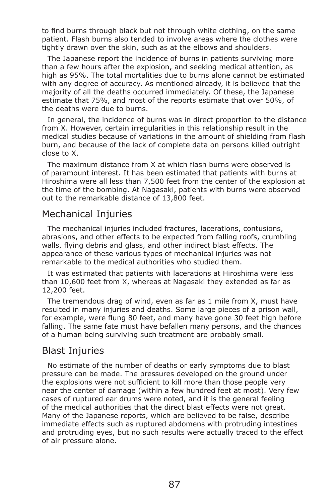to find burns through black but not through white clothing, on the same patient. Flash burns also tended to involve areas where the clothes were tightly drawn over the skin, such as at the elbows and shoulders.

The Japanese report the incidence of burns in patients surviving more than a few hours after the explosion, and seeking medical attention, as high as 95%. The total mortalities due to burns alone cannot be estimated with any degree of accuracy. As mentioned already, it is believed that the majority of all the deaths occurred immediately. Of these, the Japanese estimate that 75%, and most of the reports estimate that over 50%, of the deaths were due to burns.

In general, the incidence of burns was in direct proportion to the distance from X. However, certain irregularities in this relationship result in the medical studies because of variations in the amount of shielding from flash burn, and because of the lack of complete data on persons killed outright close to X.

The maximum distance from X at which flash burns were observed is of paramount interest. It has been estimated that patients with burns at Hiroshima were all less than 7,500 feet from the center of the explosion at the time of the bombing. At Nagasaki, patients with burns were observed out to the remarkable distance of 13,800 feet.

## Mechanical Injuries

The mechanical injuries included fractures, lacerations, contusions, abrasions, and other effects to be expected from falling roofs, crumbling walls, flying debris and glass, and other indirect blast effects. The appearance of these various types of mechanical injuries was not remarkable to the medical authorities who studied them.

It was estimated that patients with lacerations at Hiroshima were less than 10,600 feet from X, whereas at Nagasaki they extended as far as 12,200 feet.

The tremendous drag of wind, even as far as 1 mile from X, must have resulted in many injuries and deaths. Some large pieces of a prison wall, for example, were flung 80 feet, and many have gone 30 feet high before falling. The same fate must have befallen many persons, and the chances of a human being surviving such treatment are probably small.

# Blast Injuries

No estimate of the number of deaths or early symptoms due to blast pressure can be made. The pressures developed on the ground under the explosions were not sufficient to kill more than those people very near the center of damage (within a few hundred feet at most). Very few cases of ruptured ear drums were noted, and it is the general feeling of the medical authorities that the direct blast effects were not great. Many of the Japanese reports, which are believed to be false, describe immediate effects such as ruptured abdomens with protruding intestines and protruding eyes, but no such results were actually traced to the effect of air pressure alone.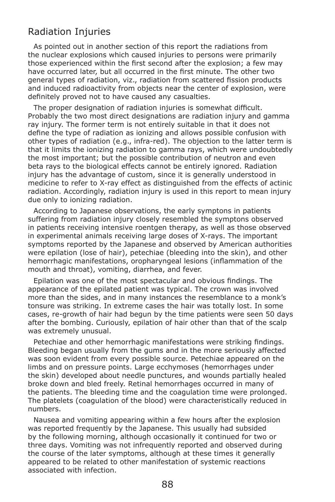## Radiation Injuries

As pointed out in another section of this report the radiations from the nuclear explosions which caused injuries to persons were primarily those experienced within the first second after the explosion; a few may have occurred later, but all occurred in the first minute. The other two general types of radiation, viz., radiation from scattered fission products and induced radioactivity from objects near the center of explosion, were definitely proved not to have caused any casualties.

The proper designation of radiation injuries is somewhat difficult. Probably the two most direct designations are radiation injury and gamma ray injury. The former term is not entirely suitable in that it does not define the type of radiation as ionizing and allows possible confusion with other types of radiation (e.g., infra-red). The objection to the latter term is that it limits the ionizing radiation to gamma rays, which were undoubtedly the most important; but the possible contribution of neutron and even beta rays to the biological effects cannot be entirely ignored. Radiation injury has the advantage of custom, since it is generally understood in medicine to refer to X-ray effect as distinguished from the effects of actinic radiation. Accordingly, radiation injury is used in this report to mean injury due only to ionizing radiation.

According to Japanese observations, the early symptons in patients suffering from radiation injury closely resembled the symptons observed in patients receiving intensive roentgen therapy, as well as those observed in experimental animals receiving large doses of X-rays. The important symptoms reported by the Japanese and observed by American authorities were epilation (lose of hair), petechiae (bleeding into the skin), and other hemorrhagic manifestations, oropharyngeal lesions (inflammation of the mouth and throat), vomiting, diarrhea, and fever.

Epilation was one of the most spectacular and obvious findings. The appearance of the epilated patient was typical. The crown was involved more than the sides, and in many instances the resemblance to a monk's tonsure was striking. In extreme cases the hair was totally lost. In some cases, re-growth of hair had begun by the time patients were seen 50 days after the bombing. Curiously, epilation of hair other than that of the scalp was extremely unusual.

Petechiae and other hemorrhagic manifestations were striking findings. Bleeding began usually from the gums and in the more seriously affected was soon evident from every possible source. Petechiae appeared on the limbs and on pressure points. Large ecchymoses (hemorrhages under the skin) developed about needle punctures, and wounds partially healed broke down and bled freely. Retinal hemorrhages occurred in many of the patients. The bleeding time and the coagulation time were prolonged. The platelets (coagulation of the blood) were characteristically reduced in numbers.

Nausea and vomiting appearing within a few hours after the explosion was reported frequently by the Japanese. This usually had subsided by the following morning, although occasionally it continued for two or three days. Vomiting was not infrequently reported and observed during the course of the later symptoms, although at these times it generally appeared to be related to other manifestation of systemic reactions associated with infection.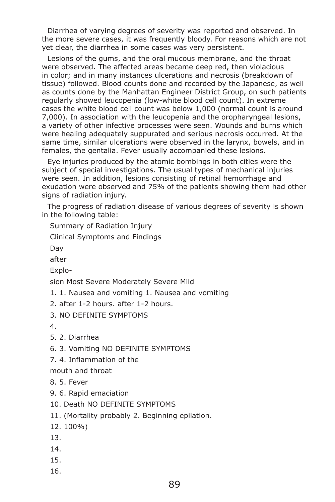Diarrhea of varying degrees of severity was reported and observed. In the more severe cases, it was frequently bloody. For reasons which are not yet clear, the diarrhea in some cases was very persistent.

Lesions of the gums, and the oral mucous membrane, and the throat were observed. The affected areas became deep red, then violacious in color; and in many instances ulcerations and necrosis (breakdown of tissue) followed. Blood counts done and recorded by the Japanese, as well as counts done by the Manhattan Engineer District Group, on such patients regularly showed leucopenia (low-white blood cell count). In extreme cases the white blood cell count was below 1,000 (normal count is around 7,000). In association with the leucopenia and the oropharyngeal lesions, a variety of other infective processes were seen. Wounds and burns which were healing adequately suppurated and serious necrosis occurred. At the same time, similar ulcerations were observed in the larynx, bowels, and in females, the gentalia. Fever usually accompanied these lesions.

Eye injuries produced by the atomic bombings in both cities were the subject of special investigations. The usual types of mechanical injuries were seen. In addition, lesions consisting of retinal hemorrhage and exudation were observed and 75% of the patients showing them had other signs of radiation injury.

The progress of radiation disease of various degrees of severity is shown in the following table:

Summary of Radiation Injury

Clinical Symptoms and Findings

Day

after

Explo-

sion Most Severe Moderately Severe Mild

- 1. 1. Nausea and vomiting 1. Nausea and vomiting
- 2. after 1-2 hours. after 1-2 hours.
- 3. NO DEFINITE SYMPTOMS

4.

- 5. 2. Diarrhea
- 6. 3. Vomiting NO DEFINITE SYMPTOMS
- 7. 4. Inflammation of the

mouth and throat

- 8. 5. Fever
- 9. 6. Rapid emaciation
- 10. Death NO DEFINITE SYMPTOMS
- 11. (Mortality probably 2. Beginning epilation.
- 12. 100%)
- 13.
- 14.
- 15.
- 16.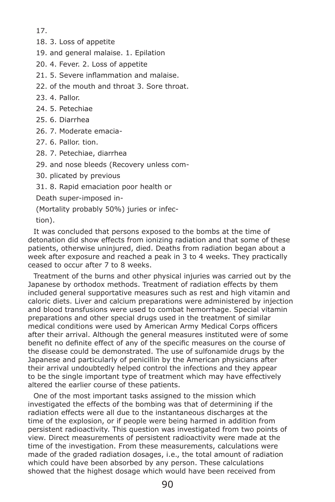17.

18. 3. Loss of appetite

19. and general malaise. 1. Epilation

20. 4. Fever. 2. Loss of appetite

21. 5. Severe inflammation and malaise.

22. of the mouth and throat 3. Sore throat.

- 23. 4. Pallor.
- 24. 5. Petechiae
- 25. 6. Diarrhea
- 26. 7. Moderate emacia-
- 27. 6. Pallor. tion.
- 28. 7. Petechiae, diarrhea
- 29. and nose bleeds (Recovery unless com-
- 30. plicated by previous
- 31. 8. Rapid emaciation poor health or

Death super-imposed in-

(Mortality probably 50%) juries or infec-

tion).

It was concluded that persons exposed to the bombs at the time of detonation did show effects from ionizing radiation and that some of these patients, otherwise uninjured, died. Deaths from radiation began about a week after exposure and reached a peak in 3 to 4 weeks. They practically ceased to occur after 7 to 8 weeks.

Treatment of the burns and other physical injuries was carried out by the Japanese by orthodox methods. Treatment of radiation effects by them included general supportative measures such as rest and high vitamin and caloric diets. Liver and calcium preparations were administered by injection and blood transfusions were used to combat hemorrhage. Special vitamin preparations and other special drugs used in the treatment of similar medical conditions were used by American Army Medical Corps officers after their arrival. Although the general measures instituted were of some benefit no definite effect of any of the specific measures on the course of the disease could be demonstrated. The use of sulfonamide drugs by the Japanese and particularly of penicillin by the American physicians after their arrival undoubtedly helped control the infections and they appear to be the single important type of treatment which may have effectively altered the earlier course of these patients.

One of the most important tasks assigned to the mission which investigated the effects of the bombing was that of determining if the radiation effects were all due to the instantaneous discharges at the time of the explosion, or if people were being harmed in addition from persistent radioactivity. This question was investigated from two points of view. Direct measurements of persistent radioactivity were made at the time of the investigation. From these measurements, calculations were made of the graded radiation dosages, i.e., the total amount of radiation which could have been absorbed by any person. These calculations showed that the highest dosage which would have been received from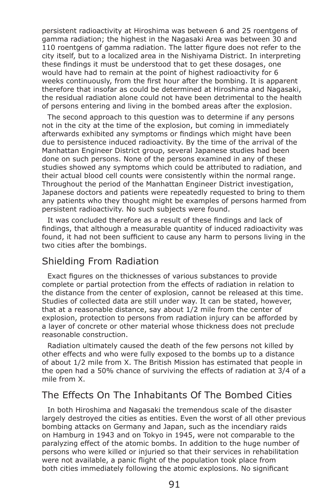persistent radioactivity at Hiroshima was between 6 and 25 roentgens of gamma radiation; the highest in the Nagasaki Area was between 30 and 110 roentgens of gamma radiation. The latter figure does not refer to the city itself, but to a localized area in the Nishiyama District. In interpreting these findings it must be understood that to get these dosages, one would have had to remain at the point of highest radioactivity for 6 weeks continuously, from the first hour after the bombing. It is apparent therefore that insofar as could be determined at Hiroshima and Nagasaki, the residual radiation alone could not have been detrimental to the health of persons entering and living in the bombed areas after the explosion.

The second approach to this question was to determine if any persons not in the city at the time of the explosion, but coming in immediately afterwards exhibited any symptoms or findings which might have been due to persistence induced radioactivity. By the time of the arrival of the Manhattan Engineer District group, several Japanese studies had been done on such persons. None of the persons examined in any of these studies showed any symptoms which could be attributed to radiation, and their actual blood cell counts were consistently within the normal range. Throughout the period of the Manhattan Engineer District investigation, Japanese doctors and patients were repeatedly requested to bring to them any patients who they thought might be examples of persons harmed from persistent radioactivity. No such subjects were found.

It was concluded therefore as a result of these findings and lack of findings, that although a measurable quantity of induced radioactivity was found, it had not been sufficient to cause any harm to persons living in the two cities after the bombings.

#### Shielding From Radiation

Exact figures on the thicknesses of various substances to provide complete or partial protection from the effects of radiation in relation to the distance from the center of explosion, cannot be released at this time. Studies of collected data are still under way. It can be stated, however, that at a reasonable distance, say about 1/2 mile from the center of explosion, protection to persons from radiation injury can be afforded by a layer of concrete or other material whose thickness does not preclude reasonable construction.

Radiation ultimately caused the death of the few persons not killed by other effects and who were fully exposed to the bombs up to a distance of about 1/2 mile from X. The British Mission has estimated that people in the open had a 50% chance of surviving the effects of radiation at 3/4 of a mile from X.

# The Effects On The Inhabitants Of The Bombed Cities

In both Hiroshima and Nagasaki the tremendous scale of the disaster largely destroyed the cities as entities. Even the worst of all other previous bombing attacks on Germany and Japan, such as the incendiary raids on Hamburg in 1943 and on Tokyo in 1945, were not comparable to the paralyzing effect of the atomic bombs. In addition to the huge number of persons who were killed or injuried so that their services in rehabilitation were not available, a panic flight of the population took place from both cities immediately following the atomic explosions. No significant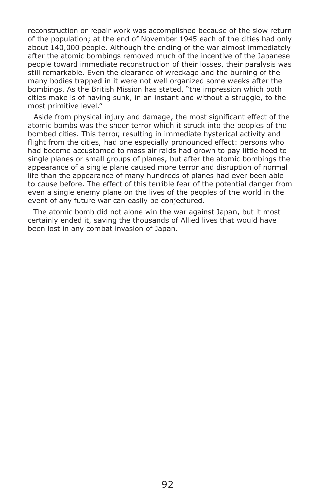reconstruction or repair work was accomplished because of the slow return of the population; at the end of November 1945 each of the cities had only about 140,000 people. Although the ending of the war almost immediately after the atomic bombings removed much of the incentive of the Japanese people toward immediate reconstruction of their losses, their paralysis was still remarkable. Even the clearance of wreckage and the burning of the many bodies trapped in it were not well organized some weeks after the bombings. As the British Mission has stated, "the impression which both cities make is of having sunk, in an instant and without a struggle, to the most primitive level."

Aside from physical injury and damage, the most significant effect of the atomic bombs was the sheer terror which it struck into the peoples of the bombed cities. This terror, resulting in immediate hysterical activity and flight from the cities, had one especially pronounced effect: persons who had become accustomed to mass air raids had grown to pay little heed to single planes or small groups of planes, but after the atomic bombings the appearance of a single plane caused more terror and disruption of normal life than the appearance of many hundreds of planes had ever been able to cause before. The effect of this terrible fear of the potential danger from even a single enemy plane on the lives of the peoples of the world in the event of any future war can easily be conjectured.

The atomic bomb did not alone win the war against Japan, but it most certainly ended it, saving the thousands of Allied lives that would have been lost in any combat invasion of Japan.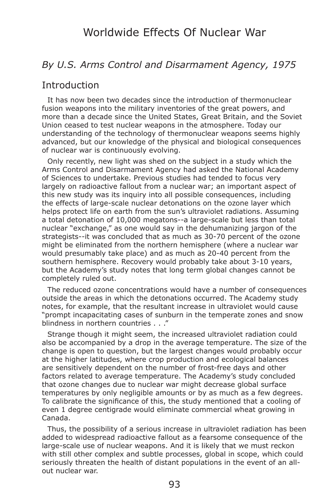# Worldwide Effects Of Nuclear War

## *By U.S. Arms Control and Disarmament Agency, 1975*

#### **Introduction**

It has now been two decades since the introduction of thermonuclear fusion weapons into the military inventories of the great powers, and more than a decade since the United States, Great Britain, and the Soviet Union ceased to test nuclear weapons in the atmosphere. Today our understanding of the technology of thermonuclear weapons seems highly advanced, but our knowledge of the physical and biological consequences of nuclear war is continuously evolving.

Only recently, new light was shed on the subject in a study which the Arms Control and Disarmament Agency had asked the National Academy of Sciences to undertake. Previous studies had tended to focus very largely on radioactive fallout from a nuclear war; an important aspect of this new study was its inquiry into all possible consequences, including the effects of large-scale nuclear detonations on the ozone layer which helps protect life on earth from the sun's ultraviolet radiations. Assuming a total detonation of 10,000 megatons--a large-scale but less than total nuclear "exchange," as one would say in the dehumanizing jargon of the strategists--it was concluded that as much as 30-70 percent of the ozone might be eliminated from the northern hemisphere (where a nuclear war would presumably take place) and as much as 20-40 percent from the southern hemisphere. Recovery would probably take about 3-10 years, but the Academy's study notes that long term global changes cannot be completely ruled out.

The reduced ozone concentrations would have a number of consequences outside the areas in which the detonations occurred. The Academy study notes, for example, that the resultant increase in ultraviolet would cause "prompt incapacitating cases of sunburn in the temperate zones and snow blindness in northern countries . . ."

Strange though it might seem, the increased ultraviolet radiation could also be accompanied by a drop in the average temperature. The size of the change is open to question, but the largest changes would probably occur at the higher latitudes, where crop production and ecological balances are sensitively dependent on the number of frost-free days and other factors related to average temperature. The Academy's study concluded that ozone changes due to nuclear war might decrease global surface temperatures by only negligible amounts or by as much as a few degrees. To calibrate the significance of this, the study mentioned that a cooling of even 1 degree centigrade would eliminate commercial wheat growing in Canada.

Thus, the possibility of a serious increase in ultraviolet radiation has been added to widespread radioactive fallout as a fearsome consequence of the large-scale use of nuclear weapons. And it is likely that we must reckon with still other complex and subtle processes, global in scope, which could seriously threaten the health of distant populations in the event of an allout nuclear war.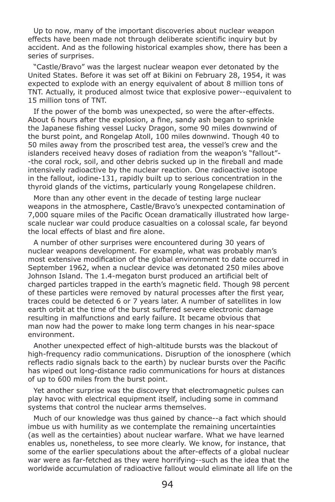Up to now, many of the important discoveries about nuclear weapon effects have been made not through deliberate scientific inquiry but by accident. And as the following historical examples show, there has been a series of surprises.

"Castle/Bravo" was the largest nuclear weapon ever detonated by the United States. Before it was set off at Bikini on February 28, 1954, it was expected to explode with an energy equivalent of about 8 million tons of TNT. Actually, it produced almost twice that explosive power--equivalent to 15 million tons of TNT.

If the power of the bomb was unexpected, so were the after-effects. About 6 hours after the explosion, a fine, sandy ash began to sprinkle the Japanese fishing vessel Lucky Dragon, some 90 miles downwind of the burst point, and Rongelap Atoll, 100 miles downwind. Though 40 to 50 miles away from the proscribed test area, the vessel's crew and the islanders received heavy doses of radiation from the weapon's "fallout"- -the coral rock, soil, and other debris sucked up in the fireball and made intensively radioactive by the nuclear reaction. One radioactive isotope in the fallout, iodine-131, rapidly built up to serious concentration in the thyroid glands of the victims, particularly young Rongelapese children.

More than any other event in the decade of testing large nuclear weapons in the atmosphere, Castle/Bravo's unexpected contamination of 7,000 square miles of the Pacific Ocean dramatically illustrated how largescale nuclear war could produce casualties on a colossal scale, far beyond the local effects of blast and fire alone.

A number of other surprises were encountered during 30 years of nuclear weapons development. For example, what was probably man's most extensive modification of the global environment to date occurred in September 1962, when a nuclear device was detonated 250 miles above Johnson Island. The 1.4-megaton burst produced an artificial belt of charged particles trapped in the earth's magnetic field. Though 98 percent of these particles were removed by natural processes after the first year, traces could be detected 6 or 7 years later. A number of satellites in low earth orbit at the time of the burst suffered severe electronic damage resulting in malfunctions and early failure. It became obvious that man now had the power to make long term changes in his near-space environment.

Another unexpected effect of high-altitude bursts was the blackout of high-frequency radio communications. Disruption of the ionosphere (which reflects radio signals back to the earth) by nuclear bursts over the Pacific has wiped out long-distance radio communications for hours at distances of up to 600 miles from the burst point.

Yet another surprise was the discovery that electromagnetic pulses can play havoc with electrical equipment itself, including some in command systems that control the nuclear arms themselves.

Much of our knowledge was thus gained by chance--a fact which should imbue us with humility as we contemplate the remaining uncertainties (as well as the certainties) about nuclear warfare. What we have learned enables us, nonetheless, to see more clearly. We know, for instance, that some of the earlier speculations about the after-effects of a global nuclear war were as far-fetched as they were horrifying--such as the idea that the worldwide accumulation of radioactive fallout would eliminate all life on the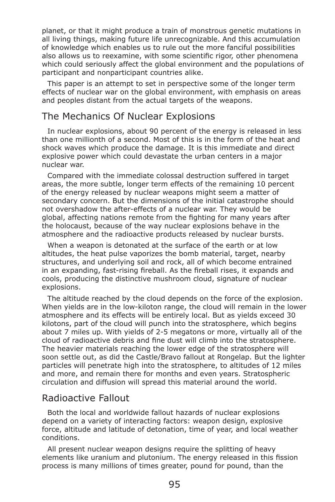planet, or that it might produce a train of monstrous genetic mutations in all living things, making future life unrecognizable. And this accumulation of knowledge which enables us to rule out the more fanciful possibilities also allows us to reexamine, with some scientific rigor, other phenomena which could seriously affect the global environment and the populations of participant and nonparticipant countries alike.

This paper is an attempt to set in perspective some of the longer term effects of nuclear war on the global environment, with emphasis on areas and peoples distant from the actual targets of the weapons.

#### The Mechanics Of Nuclear Explosions

In nuclear explosions, about 90 percent of the energy is released in less than one millionth of a second. Most of this is in the form of the heat and shock waves which produce the damage. It is this immediate and direct explosive power which could devastate the urban centers in a major nuclear war.

Compared with the immediate colossal destruction suffered in target areas, the more subtle, longer term effects of the remaining 10 percent of the energy released by nuclear weapons might seem a matter of secondary concern. But the dimensions of the initial catastrophe should not overshadow the after-effects of a nuclear war. They would be global, affecting nations remote from the fighting for many years after the holocaust, because of the way nuclear explosions behave in the atmosphere and the radioactive products released by nuclear bursts.

When a weapon is detonated at the surface of the earth or at low altitudes, the heat pulse vaporizes the bomb material, target, nearby structures, and underlying soil and rock, all of which become entrained in an expanding, fast-rising fireball. As the fireball rises, it expands and cools, producing the distinctive mushroom cloud, signature of nuclear explosions.

The altitude reached by the cloud depends on the force of the explosion. When yields are in the low-kiloton range, the cloud will remain in the lower atmosphere and its effects will be entirely local. But as yields exceed 30 kilotons, part of the cloud will punch into the stratosphere, which begins about 7 miles up. With yields of 2-5 megatons or more, virtually all of the cloud of radioactive debris and fine dust will climb into the stratosphere. The heavier materials reaching the lower edge of the stratosphere will soon settle out, as did the Castle/Bravo fallout at Rongelap. But the lighter particles will penetrate high into the stratosphere, to altitudes of 12 miles and more, and remain there for months and even years. Stratospheric circulation and diffusion will spread this material around the world.

#### Radioactive Fallout

Both the local and worldwide fallout hazards of nuclear explosions depend on a variety of interacting factors: weapon design, explosive force, altitude and latitude of detonation, time of year, and local weather conditions.

All present nuclear weapon designs require the splitting of heavy elements like uranium and plutonium. The energy released in this fission process is many millions of times greater, pound for pound, than the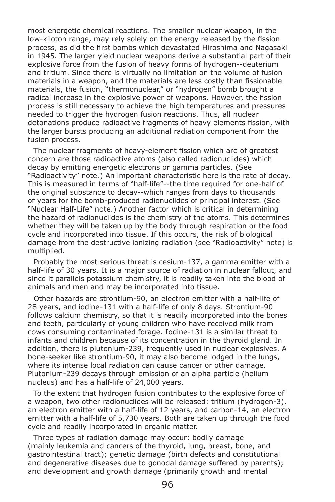most energetic chemical reactions. The smaller nuclear weapon, in the low-kiloton range, may rely solely on the energy released by the fission process, as did the first bombs which devastated Hiroshima and Nagasaki in 1945. The larger yield nuclear weapons derive a substantial part of their explosive force from the fusion of heavy forms of hydrogen--deuterium and tritium. Since there is virtually no limitation on the volume of fusion materials in a weapon, and the materials are less costly than fissionable materials, the fusion, "thermonuclear," or "hydrogen" bomb brought a radical increase in the explosive power of weapons. However, the fission process is still necessary to achieve the high temperatures and pressures needed to trigger the hydrogen fusion reactions. Thus, all nuclear detonations produce radioactive fragments of heavy elements fission, with the larger bursts producing an additional radiation component from the fusion process.

The nuclear fragments of heavy-element fission which are of greatest concern are those radioactive atoms (also called radionuclides) which decay by emitting energetic electrons or gamma particles. (See "Radioactivity" note.) An important characteristic here is the rate of decay. This is measured in terms of "half-life"--the time required for one-half of the original substance to decay--which ranges from days to thousands of years for the bomb-produced radionuclides of principal interest. (See "Nuclear Half-Life" note.) Another factor which is critical in determining the hazard of radionuclides is the chemistry of the atoms. This determines whether they will be taken up by the body through respiration or the food cycle and incorporated into tissue. If this occurs, the risk of biological damage from the destructive ionizing radiation (see "Radioactivity" note) is multiplied.

Probably the most serious threat is cesium-137, a gamma emitter with a half-life of 30 years. It is a major source of radiation in nuclear fallout, and since it parallels potassium chemistry, it is readily taken into the blood of animals and men and may be incorporated into tissue.

Other hazards are strontium-90, an electron emitter with a half-life of 28 years, and iodine-131 with a half-life of only 8 days. Strontium-90 follows calcium chemistry, so that it is readily incorporated into the bones and teeth, particularly of young children who have received milk from cows consuming contaminated forage. Iodine-131 is a similar threat to infants and children because of its concentration in the thyroid gland. In addition, there is plutonium-239, frequently used in nuclear explosives. A bone-seeker like strontium-90, it may also become lodged in the lungs, where its intense local radiation can cause cancer or other damage. Plutonium-239 decays through emission of an alpha particle (helium nucleus) and has a half-life of 24,000 years.

To the extent that hydrogen fusion contributes to the explosive force of a weapon, two other radionuclides will be released: tritium (hydrogen-3), an electron emitter with a half-life of 12 years, and carbon-14, an electron emitter with a half-life of 5,730 years. Both are taken up through the food cycle and readily incorporated in organic matter.

Three types of radiation damage may occur: bodily damage (mainly leukemia and cancers of the thyroid, lung, breast, bone, and gastrointestinal tract); genetic damage (birth defects and constitutional and degenerative diseases due to gonodal damage suffered by parents); and development and growth damage (primarily growth and mental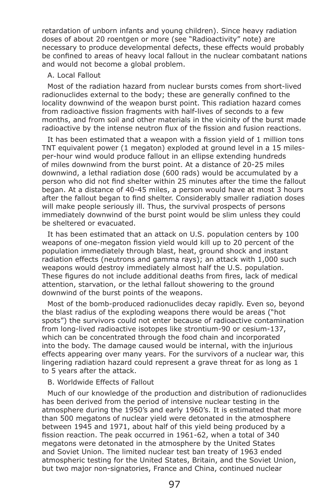retardation of unborn infants and young children). Since heavy radiation doses of about 20 roentgen or more (see "Radioactivity" note) are necessary to produce developmental defects, these effects would probably be confined to areas of heavy local fallout in the nuclear combatant nations and would not become a global problem.

#### A. Local Fallout

Most of the radiation hazard from nuclear bursts comes from short-lived radionuclides external to the body; these are generally confined to the locality downwind of the weapon burst point. This radiation hazard comes from radioactive fission fragments with half-lives of seconds to a few months, and from soil and other materials in the vicinity of the burst made radioactive by the intense neutron flux of the fission and fusion reactions.

It has been estimated that a weapon with a fission yield of 1 million tons TNT equivalent power (1 megaton) exploded at ground level in a 15 milesper-hour wind would produce fallout in an ellipse extending hundreds of miles downwind from the burst point. At a distance of 20-25 miles downwind, a lethal radiation dose (600 rads) would be accumulated by a person who did not find shelter within 25 minutes after the time the fallout began. At a distance of 40-45 miles, a person would have at most 3 hours after the fallout began to find shelter. Considerably smaller radiation doses will make people seriously ill. Thus, the survival prospects of persons immediately downwind of the burst point would be slim unless they could be sheltered or evacuated.

It has been estimated that an attack on U.S. population centers by 100 weapons of one-megaton fission yield would kill up to 20 percent of the population immediately through blast, heat, ground shock and instant radiation effects (neutrons and gamma rays); an attack with 1,000 such weapons would destroy immediately almost half the U.S. population. These figures do not include additional deaths from fires, lack of medical attention, starvation, or the lethal fallout showering to the ground downwind of the burst points of the weapons.

Most of the bomb-produced radionuclides decay rapidly. Even so, beyond the blast radius of the exploding weapons there would be areas ("hot spots") the survivors could not enter because of radioactive contamination from long-lived radioactive isotopes like strontium-90 or cesium-137, which can be concentrated through the food chain and incorporated into the body. The damage caused would be internal, with the injurious effects appearing over many years. For the survivors of a nuclear war, this lingering radiation hazard could represent a grave threat for as long as 1 to 5 years after the attack.

#### B. Worldwide Effects of Fallout

Much of our knowledge of the production and distribution of radionuclides has been derived from the period of intensive nuclear testing in the atmosphere during the 1950's and early 1960's. It is estimated that more than 500 megatons of nuclear yield were detonated in the atmosphere between 1945 and 1971, about half of this yield being produced by a fission reaction. The peak occurred in 1961-62, when a total of 340 megatons were detonated in the atmosphere by the United States and Soviet Union. The limited nuclear test ban treaty of 1963 ended atmospheric testing for the United States, Britain, and the Soviet Union, but two major non-signatories, France and China, continued nuclear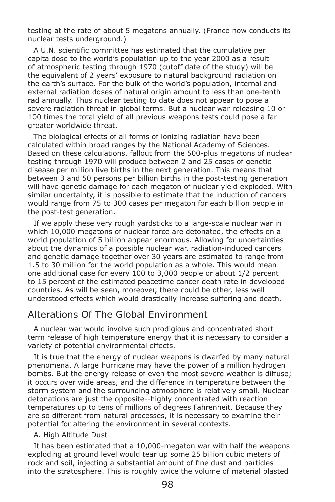testing at the rate of about 5 megatons annually. (France now conducts its nuclear tests underground.)

A U.N. scientific committee has estimated that the cumulative per capita dose to the world's population up to the year 2000 as a result of atmospheric testing through 1970 (cutoff date of the study) will be the equivalent of 2 years' exposure to natural background radiation on the earth's surface. For the bulk of the world's population, internal and external radiation doses of natural origin amount to less than one-tenth rad annually. Thus nuclear testing to date does not appear to pose a severe radiation threat in global terms. But a nuclear war releasing 10 or 100 times the total yield of all previous weapons tests could pose a far greater worldwide threat.

The biological effects of all forms of ionizing radiation have been calculated within broad ranges by the National Academy of Sciences. Based on these calculations, fallout from the 500-plus megatons of nuclear testing through 1970 will produce between 2 and 25 cases of genetic disease per million live births in the next generation. This means that between 3 and 50 persons per billion births in the post-testing generation will have genetic damage for each megaton of nuclear yield exploded. With similar uncertainty, it is possible to estimate that the induction of cancers would range from 75 to 300 cases per megaton for each billion people in the post-test generation.

If we apply these very rough yardsticks to a large-scale nuclear war in which 10,000 megatons of nuclear force are detonated, the effects on a world population of 5 billion appear enormous. Allowing for uncertainties about the dynamics of a possible nuclear war, radiation-induced cancers and genetic damage together over 30 years are estimated to range from 1.5 to 30 million for the world population as a whole. This would mean one additional case for every 100 to 3,000 people or about 1/2 percent to 15 percent of the estimated peacetime cancer death rate in developed countries. As will be seen, moreover, there could be other, less well understood effects which would drastically increase suffering and death.

#### Alterations Of The Global Environment

A nuclear war would involve such prodigious and concentrated short term release of high temperature energy that it is necessary to consider a variety of potential environmental effects.

It is true that the energy of nuclear weapons is dwarfed by many natural phenomena. A large hurricane may have the power of a million hydrogen bombs. But the energy release of even the most severe weather is diffuse; it occurs over wide areas, and the difference in temperature between the storm system and the surrounding atmosphere is relatively small. Nuclear detonations are just the opposite--highly concentrated with reaction temperatures up to tens of millions of degrees Fahrenheit. Because they are so different from natural processes, it is necessary to examine their potential for altering the environment in several contexts.

A. High Altitude Dust

It has been estimated that a 10,000-megaton war with half the weapons exploding at ground level would tear up some 25 billion cubic meters of rock and soil, injecting a substantial amount of fine dust and particles into the stratosphere. This is roughly twice the volume of material blasted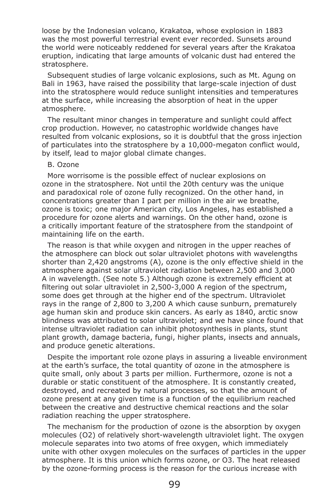loose by the Indonesian volcano, Krakatoa, whose explosion in 1883 was the most powerful terrestrial event ever recorded. Sunsets around the world were noticeably reddened for several years after the Krakatoa eruption, indicating that large amounts of volcanic dust had entered the stratosphere.

Subsequent studies of large volcanic explosions, such as Mt. Agung on Bali in 1963, have raised the possibility that large-scale injection of dust into the stratosphere would reduce sunlight intensities and temperatures at the surface, while increasing the absorption of heat in the upper atmosphere.

The resultant minor changes in temperature and sunlight could affect crop production. However, no catastrophic worldwide changes have resulted from volcanic explosions, so it is doubtful that the gross injection of particulates into the stratosphere by a 10,000-megaton conflict would, by itself, lead to major global climate changes.

#### B. Ozone

More worrisome is the possible effect of nuclear explosions on ozone in the stratosphere. Not until the 20th century was the unique and paradoxical role of ozone fully recognized. On the other hand, in concentrations greater than I part per million in the air we breathe, ozone is toxic; one major American city, Los Angeles, has established a procedure for ozone alerts and warnings. On the other hand, ozone is a critically important feature of the stratosphere from the standpoint of maintaining life on the earth.

The reason is that while oxygen and nitrogen in the upper reaches of the atmosphere can block out solar ultraviolet photons with wavelengths shorter than 2,420 angstroms (A), ozone is the only effective shield in the atmosphere against solar ultraviolet radiation between 2,500 and 3,000 A in wavelength. (See note 5.) Although ozone is extremely efficient at filtering out solar ultraviolet in 2,500-3,000 A region of the spectrum, some does get through at the higher end of the spectrum. Ultraviolet rays in the range of 2,800 to 3,200 A which cause sunburn, prematurely age human skin and produce skin cancers. As early as 1840, arctic snow blindness was attributed to solar ultraviolet; and we have since found that intense ultraviolet radiation can inhibit photosynthesis in plants, stunt plant growth, damage bacteria, fungi, higher plants, insects and annuals, and produce genetic alterations.

Despite the important role ozone plays in assuring a liveable environment at the earth's surface, the total quantity of ozone in the atmosphere is quite small, only about 3 parts per million. Furthermore, ozone is not a durable or static constituent of the atmosphere. It is constantly created, destroyed, and recreated by natural processes, so that the amount of ozone present at any given time is a function of the equilibrium reached between the creative and destructive chemical reactions and the solar radiation reaching the upper stratosphere.

The mechanism for the production of ozone is the absorption by oxygen molecules (O2) of relatively short-wavelength ultraviolet light. The oxygen molecule separates into two atoms of free oxygen, which immediately unite with other oxygen molecules on the surfaces of particles in the upper atmosphere. It is this union which forms ozone, or O3. The heat released by the ozone-forming process is the reason for the curious increase with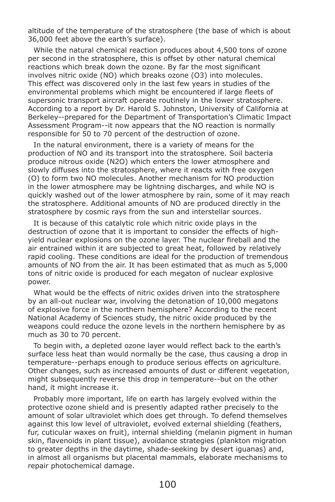altitude of the temperature of the stratosphere (the base of which is about 36,000 feet above the earth's surface).

While the natural chemical reaction produces about 4,500 tons of ozone per second in the stratosphere, this is offset by other natural chemical reactions which break down the ozone. By far the most significant involves nitric oxide (NO) which breaks ozone (O3) into molecules. This effect was discovered only in the last few years in studies of the environmental problems which might be encountered if large fleets of supersonic transport aircraft operate routinely in the lower stratosphere. According to a report by Dr. Harold S. Johnston, University of California at Berkeley--prepared for the Department of Transportation's Climatic Impact Assessment Program--it now appears that the NO reaction is normally responsible for 50 to 70 percent of the destruction of ozone.

In the natural environment, there is a variety of means for the production of NO and its transport into the stratosphere. Soil bacteria produce nitrous oxide (N2O) which enters the lower atmosphere and slowly diffuses into the stratosphere, where it reacts with free oxygen (O) to form two NO molecules. Another mechanism for NO production in the lower atmosphere may be lightning discharges, and while NO is quickly washed out of the lower atmosphere by rain, some of it may reach the stratosphere. Additional amounts of NO are produced directly in the stratosphere by cosmic rays from the sun and interstellar sources.

It is because of this catalytic role which nitric oxide plays in the destruction of ozone that it is important to consider the effects of highyield nuclear explosions on the ozone layer. The nuclear fireball and the air entrained within it are subjected to great heat, followed by relatively rapid cooling. These conditions are ideal for the production of tremendous amounts of NO from the air. It has been estimated that as much as 5,000 tons of nitric oxide is produced for each megaton of nuclear explosive power.

What would be the effects of nitric oxides driven into the stratosphere by an all-out nuclear war, involving the detonation of 10,000 megatons of explosive force in the northern hemisphere? According to the recent National Academy of Sciences study, the nitric oxide produced by the weapons could reduce the ozone levels in the northern hemisphere by as much as 30 to 70 percent.

To begin with, a depleted ozone layer would reflect back to the earth's surface less heat than would normally be the case, thus causing a drop in temperature--perhaps enough to produce serious effects on agriculture. Other changes, such as increased amounts of dust or different vegetation, might subsequently reverse this drop in temperature--but on the other hand, it might increase it.

Probably more important, life on earth has largely evolved within the protective ozone shield and is presently adapted rather precisely to the amount of solar ultraviolet which does get through. To defend themselves against this low level of ultraviolet, evolved external shielding (feathers, fur, cuticular waxes on fruit), internal shielding (melanin pigment in human skin, flavenoids in plant tissue), avoidance strategies (plankton migration to greater depths in the daytime, shade-seeking by desert iguanas) and, in almost all organisms but placental mammals, elaborate mechanisms to repair photochemical damage.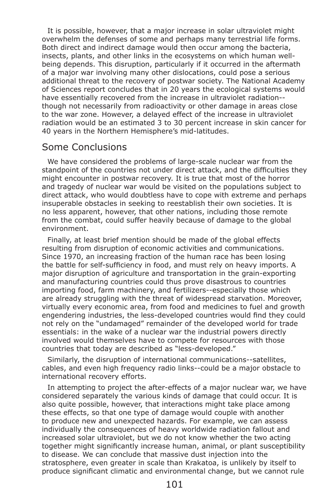It is possible, however, that a major increase in solar ultraviolet might overwhelm the defenses of some and perhaps many terrestrial life forms. Both direct and indirect damage would then occur among the bacteria, insects, plants, and other links in the ecosystems on which human wellbeing depends. This disruption, particularly if it occurred in the aftermath of a major war involving many other dislocations, could pose a serious additional threat to the recovery of postwar society. The National Academy of Sciences report concludes that in 20 years the ecological systems would have essentially recovered from the increase in ultraviolet radiation- though not necessarily from radioactivity or other damage in areas close to the war zone. However, a delayed effect of the increase in ultraviolet radiation would be an estimated 3 to 30 percent increase in skin cancer for 40 years in the Northern Hemisphere's mid-latitudes.

#### Some Conclusions

We have considered the problems of large-scale nuclear war from the standpoint of the countries not under direct attack, and the difficulties they might encounter in postwar recovery. It is true that most of the horror and tragedy of nuclear war would be visited on the populations subject to direct attack, who would doubtless have to cope with extreme and perhaps insuperable obstacles in seeking to reestablish their own societies. It is no less apparent, however, that other nations, including those remote from the combat, could suffer heavily because of damage to the global environment.

Finally, at least brief mention should be made of the global effects resulting from disruption of economic activities and communications. Since 1970, an increasing fraction of the human race has been losing the battle for self-sufficiency in food, and must rely on heavy imports. A major disruption of agriculture and transportation in the grain-exporting and manufacturing countries could thus prove disastrous to countries importing food, farm machinery, and fertilizers--especially those which are already struggling with the threat of widespread starvation. Moreover, virtually every economic area, from food and medicines to fuel and growth engendering industries, the less-developed countries would find they could not rely on the "undamaged" remainder of the developed world for trade essentials: in the wake of a nuclear war the industrial powers directly involved would themselves have to compete for resources with those countries that today are described as "less-developed."

Similarly, the disruption of international communications--satellites, cables, and even high frequency radio links--could be a major obstacle to international recovery efforts.

In attempting to project the after-effects of a major nuclear war, we have considered separately the various kinds of damage that could occur. It is also quite possible, however, that interactions might take place among these effects, so that one type of damage would couple with another to produce new and unexpected hazards. For example, we can assess individually the consequences of heavy worldwide radiation fallout and increased solar ultraviolet, but we do not know whether the two acting together might significantly increase human, animal, or plant susceptibility to disease. We can conclude that massive dust injection into the stratosphere, even greater in scale than Krakatoa, is unlikely by itself to produce significant climatic and environmental change, but we cannot rule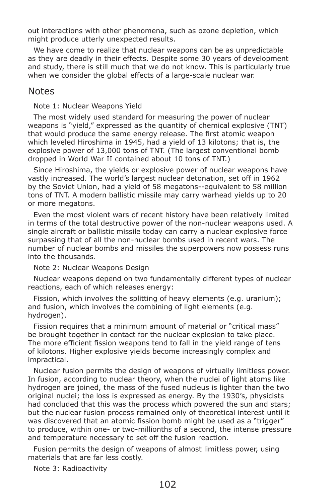out interactions with other phenomena, such as ozone depletion, which might produce utterly unexpected results.

We have come to realize that nuclear weapons can be as unpredictable as they are deadly in their effects. Despite some 30 years of development and study, there is still much that we do not know. This is particularly true when we consider the global effects of a large-scale nuclear war.

#### Notes

#### Note 1: Nuclear Weapons Yield

The most widely used standard for measuring the power of nuclear weapons is "yield," expressed as the quantity of chemical explosive (TNT) that would produce the same energy release. The first atomic weapon which leveled Hiroshima in 1945, had a yield of 13 kilotons; that is, the explosive power of 13,000 tons of TNT. (The largest conventional bomb dropped in World War II contained about 10 tons of TNT.)

Since Hiroshima, the yields or explosive power of nuclear weapons have vastly increased. The world's largest nuclear detonation, set off in 1962 by the Soviet Union, had a yield of 58 megatons--equivalent to 58 million tons of TNT. A modern ballistic missile may carry warhead yields up to 20 or more megatons.

Even the most violent wars of recent history have been relatively limited in terms of the total destructive power of the non-nuclear weapons used. A single aircraft or ballistic missile today can carry a nuclear explosive force surpassing that of all the non-nuclear bombs used in recent wars. The number of nuclear bombs and missiles the superpowers now possess runs into the thousands.

Note 2: Nuclear Weapons Design

Nuclear weapons depend on two fundamentally different types of nuclear reactions, each of which releases energy:

Fission, which involves the splitting of heavy elements (e.g. uranium); and fusion, which involves the combining of light elements (e.g. hydrogen).

Fission requires that a minimum amount of material or "critical mass" be brought together in contact for the nuclear explosion to take place. The more efficient fission weapons tend to fall in the yield range of tens of kilotons. Higher explosive yields become increasingly complex and impractical.

Nuclear fusion permits the design of weapons of virtually limitless power. In fusion, according to nuclear theory, when the nuclei of light atoms like hydrogen are joined, the mass of the fused nucleus is lighter than the two original nuclei; the loss is expressed as energy. By the 1930's, physicists had concluded that this was the process which powered the sun and stars; but the nuclear fusion process remained only of theoretical interest until it was discovered that an atomic fission bomb might be used as a "trigger" to produce, within one- or two-millionths of a second, the intense pressure and temperature necessary to set off the fusion reaction.

Fusion permits the design of weapons of almost limitless power, using materials that are far less costly.

Note 3: Radioactivity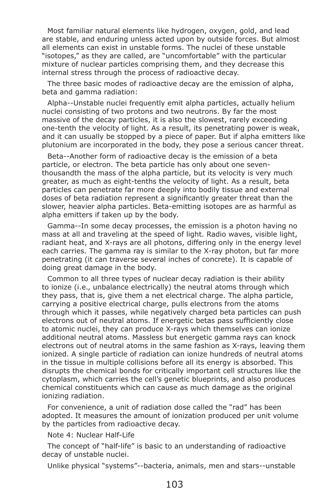Most familiar natural elements like hydrogen, oxygen, gold, and lead are stable, and enduring unless acted upon by outside forces. But almost all elements can exist in unstable forms. The nuclei of these unstable "isotopes," as they are called, are "uncomfortable" with the particular mixture of nuclear particles comprising them, and they decrease this internal stress through the process of radioactive decay.

The three basic modes of radioactive decay are the emission of alpha, beta and gamma radiation:

Alpha--Unstable nuclei frequently emit alpha particles, actually helium nuclei consisting of two protons and two neutrons. By far the most massive of the decay particles, it is also the slowest, rarely exceeding one-tenth the velocity of light. As a result, its penetrating power is weak, and it can usually be stopped by a piece of paper. But if alpha emitters like plutonium are incorporated in the body, they pose a serious cancer threat.

Beta--Another form of radioactive decay is the emission of a beta particle, or electron. The beta particle has only about one seventhousandth the mass of the alpha particle, but its velocity is very much greater, as much as eight-tenths the velocity of light. As a result, beta particles can penetrate far more deeply into bodily tissue and external doses of beta radiation represent a significantly greater threat than the slower, heavier alpha particles. Beta-emitting isotopes are as harmful as alpha emitters if taken up by the body.

Gamma--In some decay processes, the emission is a photon having no mass at all and traveling at the speed of light. Radio waves, visible light, radiant heat, and X-rays are all photons, differing only in the energy level each carries. The gamma ray is similar to the X-ray photon, but far more penetrating (it can traverse several inches of concrete). It is capable of doing great damage in the body.

Common to all three types of nuclear decay radiation is their ability to ionize (i.e., unbalance electrically) the neutral atoms through which they pass, that is, give them a net electrical charge. The alpha particle, carrying a positive electrical charge, pulls electrons from the atoms through which it passes, while negatively charged beta particles can push electrons out of neutral atoms. If energetic betas pass sufficiently close to atomic nuclei, they can produce X-rays which themselves can ionize additional neutral atoms. Massless but energetic gamma rays can knock electrons out of neutral atoms in the same fashion as X-rays, leaving them ionized. A single particle of radiation can ionize hundreds of neutral atoms in the tissue in multiple collisions before all its energy is absorbed. This disrupts the chemical bonds for critically important cell structures like the cytoplasm, which carries the cell's genetic blueprints, and also produces chemical constituents which can cause as much damage as the original ionizing radiation.

For convenience, a unit of radiation dose called the "rad" has been adopted. It measures the amount of ionization produced per unit volume by the particles from radioactive decay.

Note 4: Nuclear Half-Life

The concept of "half-life" is basic to an understanding of radioactive decay of unstable nuclei.

Unlike physical "systems"--bacteria, animals, men and stars--unstable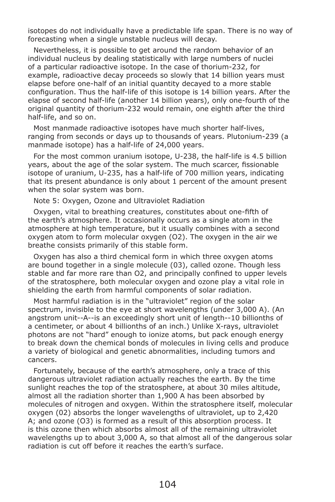isotopes do not individually have a predictable life span. There is no way of forecasting when a single unstable nucleus will decay.

Nevertheless, it is possible to get around the random behavior of an individual nucleus by dealing statistically with large numbers of nuclei of a particular radioactive isotope. In the case of thorium-232, for example, radioactive decay proceeds so slowly that 14 billion years must elapse before one-half of an initial quantity decayed to a more stable configuration. Thus the half-life of this isotope is 14 billion years. After the elapse of second half-life (another 14 billion years), only one-fourth of the original quantity of thorium-232 would remain, one eighth after the third half-life, and so on.

Most manmade radioactive isotopes have much shorter half-lives, ranging from seconds or days up to thousands of years. Plutonium-239 (a manmade isotope) has a half-life of 24,000 years.

For the most common uranium isotope, U-238, the half-life is 4.5 billion years, about the age of the solar system. The much scarcer, fissionable isotope of uranium, U-235, has a half-life of 700 million years, indicating that its present abundance is only about 1 percent of the amount present when the solar system was born.

Note 5: Oxygen, Ozone and Ultraviolet Radiation

Oxygen, vital to breathing creatures, constitutes about one-fifth of the earth's atmosphere. It occasionally occurs as a single atom in the atmosphere at high temperature, but it usually combines with a second oxygen atom to form molecular oxygen (O2). The oxygen in the air we breathe consists primarily of this stable form.

Oxygen has also a third chemical form in which three oxygen atoms are bound together in a single molecule (03), called ozone. Though less stable and far more rare than O2, and principally confined to upper levels of the stratosphere, both molecular oxygen and ozone play a vital role in shielding the earth from harmful components of solar radiation.

Most harmful radiation is in the "ultraviolet" region of the solar spectrum, invisible to the eye at short wavelengths (under 3,000 A). (An angstrom unit--A--is an exceedingly short unit of length--10 billionths of a centimeter, or about 4 billionths of an inch.) Unlike X-rays, ultraviolet photons are not "hard" enough to ionize atoms, but pack enough energy to break down the chemical bonds of molecules in living cells and produce a variety of biological and genetic abnormalities, including tumors and cancers.

Fortunately, because of the earth's atmosphere, only a trace of this dangerous ultraviolet radiation actually reaches the earth. By the time sunlight reaches the top of the stratosphere, at about 30 miles altitude, almost all the radiation shorter than 1,900 A has been absorbed by molecules of nitrogen and oxygen. Within the stratosphere itself, molecular oxygen (02) absorbs the longer wavelengths of ultraviolet, up to 2,420 A; and ozone (O3) is formed as a result of this absorption process. It is this ozone then which absorbs almost all of the remaining ultraviolet wavelengths up to about 3,000 A, so that almost all of the dangerous solar radiation is cut off before it reaches the earth's surface.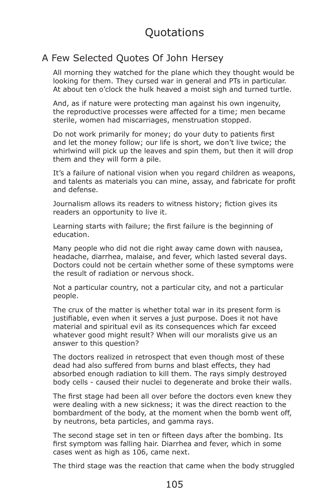## A Few Selected Quotes Of John Hersey

All morning they watched for the plane which they thought would be looking for them. They cursed war in general and PTs in particular. At about ten o'clock the hulk heaved a moist sigh and turned turtle.

And, as if nature were protecting man against his own ingenuity, the reproductive processes were affected for a time; men became sterile, women had miscarriages, menstruation stopped.

Do not work primarily for money; do your duty to patients first and let the money follow; our life is short, we don't live twice; the whirlwind will pick up the leaves and spin them, but then it will drop them and they will form a pile.

It's a failure of national vision when you regard children as weapons, and talents as materials you can mine, assay, and fabricate for profit and defense.

Journalism allows its readers to witness history; fiction gives its readers an opportunity to live it.

Learning starts with failure; the first failure is the beginning of education.

Many people who did not die right away came down with nausea, headache, diarrhea, malaise, and fever, which lasted several days. Doctors could not be certain whether some of these symptoms were the result of radiation or nervous shock.

Not a particular country, not a particular city, and not a particular people.

The crux of the matter is whether total war in its present form is justifiable, even when it serves a just purpose. Does it not have material and spiritual evil as its consequences which far exceed whatever good might result? When will our moralists give us an answer to this question?

The doctors realized in retrospect that even though most of these dead had also suffered from burns and blast effects, they had absorbed enough radiation to kill them. The rays simply destroyed body cells - caused their nuclei to degenerate and broke their walls.

The first stage had been all over before the doctors even knew they were dealing with a new sickness; it was the direct reaction to the bombardment of the body, at the moment when the bomb went off, by neutrons, beta particles, and gamma rays.

The second stage set in ten or fifteen days after the bombing. Its first symptom was falling hair. Diarrhea and fever, which in some cases went as high as 106, came next.

The third stage was the reaction that came when the body struggled